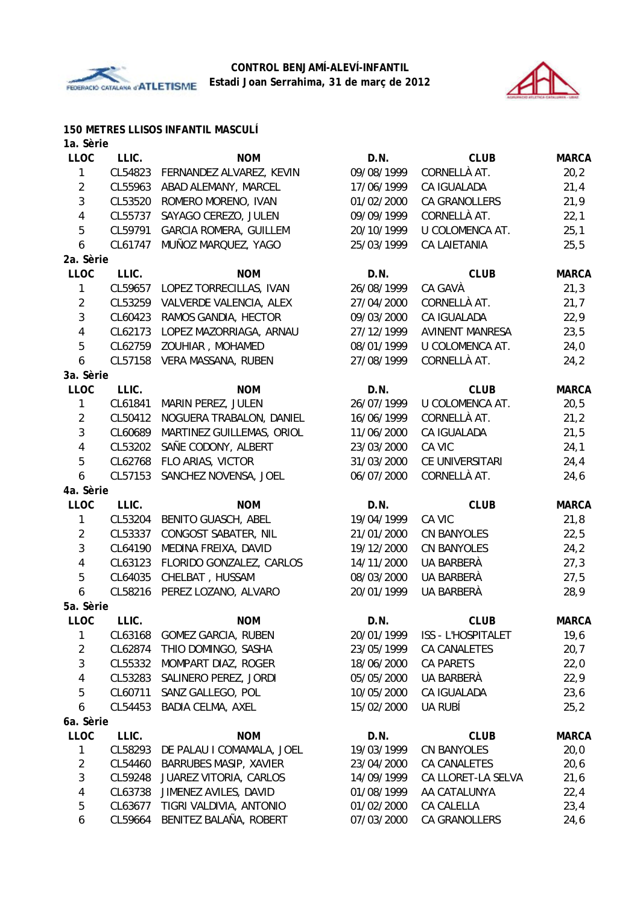



### **150 METRES LLISOS INFANTIL MASCULÍ**

| 1a. Sèrie      |         |                               |            |                        |              |
|----------------|---------|-------------------------------|------------|------------------------|--------------|
| <b>LLOC</b>    | LLIC.   | <b>NOM</b>                    | D.N.       | <b>CLUB</b>            | <b>MARCA</b> |
| 1              | CL54823 | FERNANDEZ ALVAREZ, KEVIN      | 09/08/1999 | CORNELLÀ AT.           | 20,2         |
| $\sqrt{2}$     | CL55963 | ABAD ALEMANY, MARCEL          | 17/06/1999 | CA IGUALADA            | 21,4         |
| $\mathfrak{Z}$ | CL53520 | ROMERO MORENO, IVAN           | 01/02/2000 | <b>CA GRANOLLERS</b>   | 21,9         |
| 4              | CL55737 | SAYAGO CEREZO, JULEN          | 09/09/1999 | CORNELLÀ AT.           | 22,1         |
| 5              | CL59791 | <b>GARCIA ROMERA, GUILLEM</b> | 20/10/1999 | U COLOMENCA AT.        | 25,1         |
| 6              | CL61747 | MUÑOZ MARQUEZ, YAGO           | 25/03/1999 | CA LAIETANIA           | 25,5         |
| 2a. Sèrie      |         |                               |            |                        |              |
| <b>LLOC</b>    | LLIC.   | <b>NOM</b>                    | D.N.       | <b>CLUB</b>            | <b>MARCA</b> |
| 1              | CL59657 | LOPEZ TORRECILLAS, IVAN       | 26/08/1999 | CA GAVÀ                | 21,3         |
| $\sqrt{2}$     | CL53259 | VALVERDE VALENCIA, ALEX       | 27/04/2000 | CORNELLÀ AT.           | 21,7         |
| $\mathfrak{Z}$ | CL60423 | RAMOS GANDIA, HECTOR          | 09/03/2000 | CA IGUALADA            | 22,9         |
| $\overline{4}$ | CL62173 | LOPEZ MAZORRIAGA, ARNAU       | 27/12/1999 | <b>AVINENT MANRESA</b> | 23,5         |
| 5              | CL62759 | ZOUHIAR, MOHAMED              | 08/01/1999 | U COLOMENCA AT.        | 24,0         |
| 6              | CL57158 | VERA MASSANA, RUBEN           | 27/08/1999 | CORNELLÀ AT.           | 24,2         |
| 3a. Sèrie      |         |                               |            |                        |              |
| <b>LLOC</b>    | LLIC.   | <b>NOM</b>                    | D.N.       | <b>CLUB</b>            | <b>MARCA</b> |
| 1              | CL61841 | MARIN PEREZ, JULEN            | 26/07/1999 | U COLOMENCA AT.        | 20,5         |
| $\sqrt{2}$     | CL50412 | NOGUERA TRABALON, DANIEL      | 16/06/1999 | CORNELLÀ AT.           | 21,2         |
| $\sqrt{3}$     | CL60689 | MARTINEZ GUILLEMAS, ORIOL     | 11/06/2000 | CA IGUALADA            | 21,5         |
| $\overline{4}$ | CL53202 | SAÑE CODONY, ALBERT           | 23/03/2000 | CA VIC                 | 24,1         |
| 5              | CL62768 | FLO ARIAS, VICTOR             | 31/03/2000 | CE UNIVERSITARI        | 24,4         |
| 6              | CL57153 | SANCHEZ NOVENSA, JOEL         | 06/07/2000 | CORNELLÀ AT.           | 24,6         |
| 4a. Sèrie      |         |                               |            |                        |              |
| <b>LLOC</b>    | LLIC.   | <b>NOM</b>                    | D.N.       | <b>CLUB</b>            | <b>MARCA</b> |
| 1              | CL53204 | <b>BENITO GUASCH, ABEL</b>    | 19/04/1999 | CA VIC                 | 21,8         |
| $\overline{2}$ | CL53337 | CONGOST SABATER, NIL          | 21/01/2000 | CN BANYOLES            | 22,5         |
| $\sqrt{3}$     | CL64190 | MEDINA FREIXA, DAVID          | 19/12/2000 | <b>CN BANYOLES</b>     | 24,2         |
| $\overline{4}$ | CL63123 | FLORIDO GONZALEZ, CARLOS      | 14/11/2000 | UA BARBERÀ             | 27,3         |
| 5              | CL64035 | CHELBAT, HUSSAM               | 08/03/2000 | UA BARBERÀ             | 27,5         |
| 6              | CL58216 | PEREZ LOZANO, ALVARO          | 20/01/1999 | UA BARBERÀ             | 28,9         |
| 5a. Sèrie      |         |                               |            |                        |              |
| <b>LLOC</b>    | LLIC.   | <b>NOM</b>                    | D.N.       | <b>CLUB</b>            | <b>MARCA</b> |
| 1              | CL63168 | <b>GOMEZ GARCIA, RUBEN</b>    | 20/01/1999 | ISS - L'HOSPITALET     | 19,6         |
| $\overline{2}$ | CL62874 | THIO DOMINGO, SASHA           | 23/05/1999 | CA CANALETES           |              |
| $\sqrt{3}$     | CL55332 | MOMPART DIAZ, ROGER           | 18/06/2000 | <b>CA PARETS</b>       | 20,7         |
| $\overline{4}$ |         |                               |            |                        | 22,0         |
|                | CL53283 | SALINERO PEREZ, JORDI         | 05/05/2000 | UA BARBERÀ             | 22,9         |
| 5              | CL60711 | SANZ GALLEGO, POL             | 10/05/2000 | CA IGUALADA            | 23,6         |
| 6              | CL54453 | <b>BADIA CELMA, AXEL</b>      | 15/02/2000 | UA RUBÍ                | 25,2         |
| 6a. Sèrie      |         |                               |            |                        |              |
| <b>LLOC</b>    | LLIC.   | <b>NOM</b>                    | D.N.       | <b>CLUB</b>            | <b>MARCA</b> |
| 1              | CL58293 | DE PALAU I COMAMALA, JOEL     | 19/03/1999 | CN BANYOLES            | 20,0         |
| $\overline{2}$ | CL54460 | <b>BARRUBES MASIP, XAVIER</b> | 23/04/2000 | CA CANALETES           | 20,6         |
| 3              | CL59248 | JUAREZ VITORIA, CARLOS        | 14/09/1999 | CA LLORET-LA SELVA     | 21,6         |
| 4              | CL63738 | JIMENEZ AVILES, DAVID         | 01/08/1999 | AA CATALUNYA           | 22,4         |
| 5              | CL63677 | TIGRI VALDIVIA, ANTONIO       | 01/02/2000 | CA CALELLA             | 23,4         |
| 6              | CL59664 | BENITEZ BALAÑA, ROBERT        | 07/03/2000 | CA GRANOLLERS          | 24,6         |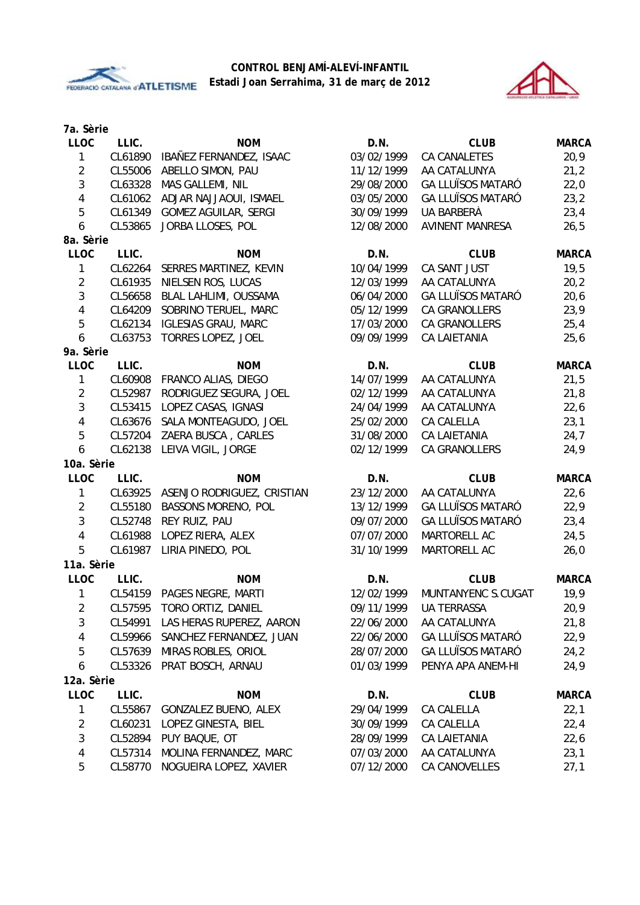



| 7a. Sèrie        |         |                             |            |                          |              |
|------------------|---------|-----------------------------|------------|--------------------------|--------------|
| <b>LLOC</b>      | LLIC.   | <b>NOM</b>                  | D.N.       | <b>CLUB</b>              | <b>MARCA</b> |
| $\mathbf{1}$     | CL61890 | IBAÑEZ FERNANDEZ, ISAAC     | 03/02/1999 | <b>CA CANALETES</b>      | 20,9         |
| $\sqrt{2}$       | CL55006 | ABELLO SIMON, PAU           | 11/12/1999 | AA CATALUNYA             | 21,2         |
| 3                | CL63328 | MAS GALLEMI, NIL            | 29/08/2000 | <b>GA LLUÏSOS MATARÓ</b> | 22,0         |
| $\overline{4}$   | CL61062 | ADJAR NAJJAOUI, ISMAEL      | 03/05/2000 | <b>GA LLUÏSOS MATARÓ</b> | 23,2         |
| $\mathbf 5$      | CL61349 | <b>GOMEZ AGUILAR, SERGI</b> | 30/09/1999 | UA BARBERÀ               | 23,4         |
| $\boldsymbol{6}$ | CL53865 | JORBA LLOSES, POL           | 12/08/2000 | <b>AVINENT MANRESA</b>   | 26,5         |
| 8a. Sèrie        |         |                             |            |                          |              |
| <b>LLOC</b>      | LLIC.   | <b>NOM</b>                  | D.N.       | <b>CLUB</b>              | <b>MARCA</b> |
| $\mathbf{1}$     | CL62264 | SERRES MARTINEZ, KEVIN      | 10/04/1999 | CA SANT JUST             | 19,5         |
| $\sqrt{2}$       | CL61935 | NIELSEN ROS, LUCAS          | 12/03/1999 | AA CATALUNYA             | 20,2         |
| 3                | CL56658 | BLAL LAHLIMI, OUSSAMA       | 06/04/2000 | <b>GA LLUÏSOS MATARÓ</b> | 20, 6        |
| $\overline{4}$   | CL64209 | SOBRINO TERUEL, MARC        | 05/12/1999 | <b>CA GRANOLLERS</b>     | 23,9         |
| 5                | CL62134 | <b>IGLESIAS GRAU, MARC</b>  | 17/03/2000 | <b>CA GRANOLLERS</b>     | 25,4         |
| $\boldsymbol{6}$ | CL63753 | <b>TORRES LOPEZ, JOEL</b>   | 09/09/1999 | CA LAIETANIA             | 25, 6        |
| 9a. Sèrie        |         |                             |            |                          |              |
| <b>LLOC</b>      | LLIC.   | <b>NOM</b>                  | D.N.       | <b>CLUB</b>              | <b>MARCA</b> |
| $\mathbf{1}$     | CL60908 | FRANCO ALIAS, DIEGO         | 14/07/1999 | AA CATALUNYA             | 21,5         |
| $\overline{2}$   | CL52987 | RODRIGUEZ SEGURA, JOEL      | 02/12/1999 | AA CATALUNYA             | 21,8         |
| $\mathfrak{Z}$   | CL53415 | LOPEZ CASAS, IGNASI         | 24/04/1999 | AA CATALUNYA             | 22,6         |
| $\overline{4}$   | CL63676 | SALA MONTEAGUDO, JOEL       | 25/02/2000 | CA CALELLA               | 23,1         |
| 5                | CL57204 | ZAERA BUSCA, CARLES         | 31/08/2000 | <b>CA LAIETANIA</b>      | 24,7         |
| 6                | CL62138 | LEIVA VIGIL, JORGE          | 02/12/1999 | CA GRANOLLERS            | 24,9         |
| 10a. Sèrie       |         |                             |            |                          |              |
| <b>LLOC</b>      | LLIC.   | <b>NOM</b>                  | D.N.       | <b>CLUB</b>              | <b>MARCA</b> |
| $\mathbf{1}$     | CL63925 | ASENJO RODRIGUEZ, CRISTIAN  | 23/12/2000 | AA CATALUNYA             | 22,6         |
| $\overline{2}$   | CL55180 | BASSONS MORENO, POL         | 13/12/1999 | <b>GA LLUÏSOS MATARÓ</b> | 22,9         |
| 3                | CL52748 | REY RUIZ, PAU               | 09/07/2000 | <b>GA LLUÏSOS MATARÓ</b> | 23,4         |
| $\overline{4}$   | CL61988 | LOPEZ RIERA, ALEX           | 07/07/2000 | MARTORELL AC             | 24,5         |
| 5                | CL61987 | LIRIA PINEDO, POL           | 31/10/1999 | MARTORELL AC             | 26,0         |
| 11a. Sèrie       |         |                             |            |                          |              |
| <b>LLOC</b>      | LLIC.   | <b>NOM</b>                  | D.N.       | <b>CLUB</b>              | <b>MARCA</b> |
| $\mathbf{1}$     |         | CL54159 PAGES NEGRE, MARTI  | 12/02/1999 | MUNTANYENC S.CUGAT       | 19,9         |
| $\overline{2}$   | CL57595 | TORO ORTIZ, DANIEL          | 09/11/1999 | <b>UA TERRASSA</b>       | 20,9         |
| 3                | CL54991 | LAS HERAS RUPEREZ, AARON    | 22/06/2000 | AA CATALUNYA             | 21,8         |
| 4                | CL59966 | SANCHEZ FERNANDEZ, JUAN     | 22/06/2000 | <b>GA LLUÏSOS MATARÓ</b> | 22,9         |
| 5                | CL57639 | MIRAS ROBLES, ORIOL         | 28/07/2000 | <b>GA LLUÏSOS MATARÓ</b> | 24,2         |
| 6                | CL53326 | PRAT BOSCH, ARNAU           | 01/03/1999 | PENYA APA ANEM-HI        | 24,9         |
| 12a. Sèrie       |         |                             |            |                          |              |
| <b>LLOC</b>      | LLIC.   | <b>NOM</b>                  | D.N.       | <b>CLUB</b>              | <b>MARCA</b> |
| 1                | CL55867 | GONZALEZ BUENO, ALEX        | 29/04/1999 | CA CALELLA               | 22,1         |
| $\overline{c}$   | CL60231 | LOPEZ GINESTA, BIEL         | 30/09/1999 | CA CALELLA               | 22,4         |
| 3                | CL52894 | PUY BAQUE, OT               | 28/09/1999 | CA LAIETANIA             | 22,6         |
| 4                | CL57314 | MOLINA FERNANDEZ, MARC      | 07/03/2000 | AA CATALUNYA             | 23,1         |
|                  |         |                             |            |                          |              |
| 5                | CL58770 | NOGUEIRA LOPEZ, XAVIER      | 07/12/2000 | CA CANOVELLES            | 27,1         |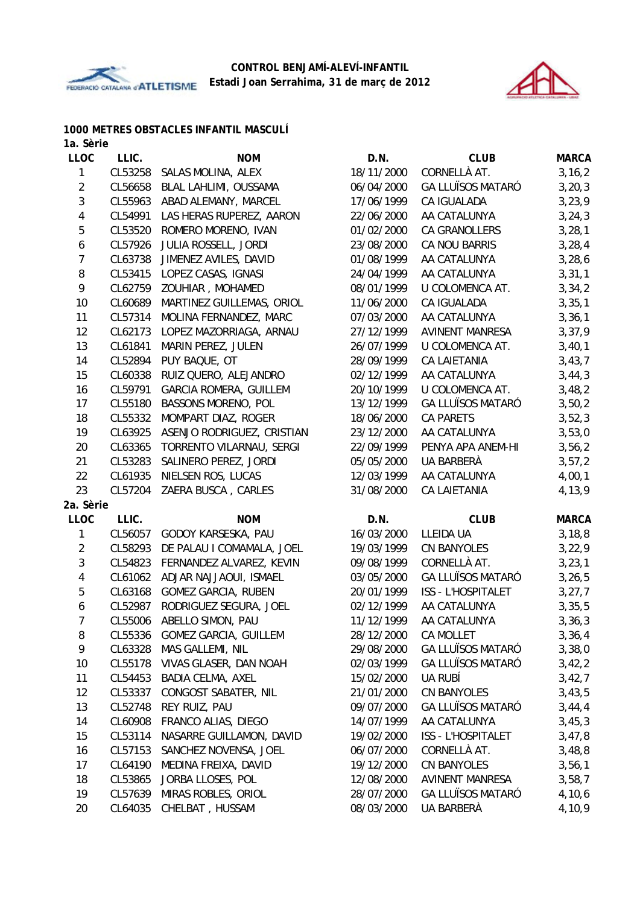



### **1000 METRES OBSTACLES INFANTIL MASCULÍ**

| 1a. Sèrie      |         |                               |            |                          |              |
|----------------|---------|-------------------------------|------------|--------------------------|--------------|
| <b>LLOC</b>    | LLIC.   | <b>NOM</b>                    | D.N.       | <b>CLUB</b>              | <b>MARCA</b> |
| 1              | CL53258 | SALAS MOLINA, ALEX            | 18/11/2000 | CORNELLÀ AT.             | 3, 16, 2     |
| $\overline{2}$ | CL56658 | BLAL LAHLIMI, OUSSAMA         | 06/04/2000 | <b>GA LLUÏSOS MATARÓ</b> | 3, 20, 3     |
| 3              | CL55963 | ABAD ALEMANY, MARCEL          | 17/06/1999 | CA IGUALADA              | 3,23,9       |
| 4              | CL54991 | LAS HERAS RUPEREZ, AARON      | 22/06/2000 | AA CATALUNYA             | 3, 24, 3     |
| 5              | CL53520 | ROMERO MORENO, IVAN           | 01/02/2000 | CA GRANOLLERS            | 3, 28, 1     |
| 6              | CL57926 | JULIA ROSSELL, JORDI          | 23/08/2000 | CA NOU BARRIS            | 3, 28, 4     |
| 7              | CL63738 | JIMENEZ AVILES, DAVID         | 01/08/1999 | AA CATALUNYA             | 3,28,6       |
| 8              | CL53415 | LOPEZ CASAS, IGNASI           | 24/04/1999 | AA CATALUNYA             | 3,31,1       |
| 9              | CL62759 | ZOUHIAR, MOHAMED              | 08/01/1999 | U COLOMENCA AT.          | 3,34,2       |
| 10             | CL60689 | MARTINEZ GUILLEMAS, ORIOL     | 11/06/2000 | CA IGUALADA              | 3,35,1       |
| 11             | CL57314 | MOLINA FERNANDEZ, MARC        | 07/03/2000 | AA CATALUNYA             | 3,36,1       |
| 12             | CL62173 | LOPEZ MAZORRIAGA, ARNAU       | 27/12/1999 | <b>AVINENT MANRESA</b>   | 3,37,9       |
| 13             | CL61841 | MARIN PEREZ, JULEN            | 26/07/1999 | U COLOMENCA AT.          | 3,40,1       |
| 14             | CL52894 | PUY BAQUE, OT                 | 28/09/1999 | <b>CA LAIETANIA</b>      | 3,43,7       |
| 15             | CL60338 | RUIZ QUERO, ALEJANDRO         | 02/12/1999 | AA CATALUNYA             | 3,44,3       |
| 16             | CL59791 | <b>GARCIA ROMERA, GUILLEM</b> | 20/10/1999 | U COLOMENCA AT.          | 3,48,2       |
| 17             | CL55180 | BASSONS MORENO, POL           | 13/12/1999 | <b>GA LLUÏSOS MATARÓ</b> | 3,50,2       |
| 18             | CL55332 | MOMPART DIAZ, ROGER           | 18/06/2000 | <b>CA PARETS</b>         | 3,52,3       |
| 19             | CL63925 | ASENJO RODRIGUEZ, CRISTIAN    | 23/12/2000 | AA CATALUNYA             | 3,53,0       |
| 20             | CL63365 | TORRENTO VILARNAU, SERGI      | 22/09/1999 | PENYA APA ANEM-HI        | 3,56,2       |
| 21             | CL53283 | SALINERO PEREZ, JORDI         | 05/05/2000 | UA BARBERÀ               | 3, 57, 2     |
| 22             | CL61935 | NIELSEN ROS, LUCAS            | 12/03/1999 | AA CATALUNYA             | 4,00,1       |
| 23             | CL57204 | ZAERA BUSCA, CARLES           | 31/08/2000 | <b>CA LAIETANIA</b>      | 4,13,9       |
| 2a. Sèrie      |         |                               |            |                          |              |
| LLOC           | LLIC.   | <b>NOM</b>                    | D.N.       | <b>CLUB</b>              | <b>MARCA</b> |
| 1              | CL56057 | GODOY KARSESKA, PAU           | 16/03/2000 | <b>LLEIDA UA</b>         | 3, 18, 8     |
| $\overline{2}$ | CL58293 | DE PALAU I COMAMALA, JOEL     | 19/03/1999 | <b>CN BANYOLES</b>       | 3,22,9       |
| 3              | CL54823 | FERNANDEZ ALVAREZ, KEVIN      | 09/08/1999 | CORNELLÀ AT.             | 3, 23, 1     |
| 4              | CL61062 | ADJAR NAJJAOUI, ISMAEL        | 03/05/2000 | <b>GA LLUÏSOS MATARÓ</b> | 3, 26, 5     |
| 5              | CL63168 | <b>GOMEZ GARCIA, RUBEN</b>    | 20/01/1999 | ISS - L'HOSPITALET       | 3, 27, 7     |
| 6              | CL52987 | RODRIGUEZ SEGURA, JOEL        | 02/12/1999 | AA CATALUNYA             | 3,35,5       |
| 7              |         | CL55006 ABELLO SIMON, PAU     | 11/12/1999 | AA CATALUNYA             | 3, 36, 3     |
| 8              |         | CL55336 GOMEZ GARCIA, GUILLEM | 28/12/2000 | CA MOLLET                | 3,36,4       |
| 9              | CL63328 | MAS GALLEMI, NIL              | 29/08/2000 | <b>GA LLUÏSOS MATARÓ</b> | 3,38,0       |
| 10             | CL55178 | VIVAS GLASER, DAN NOAH        | 02/03/1999 | <b>GA LLUÏSOS MATARÓ</b> | 3,42,2       |
| 11             | CL54453 | <b>BADIA CELMA, AXEL</b>      | 15/02/2000 | UA RUBÍ                  | 3,42,7       |
| 12             | CL53337 | CONGOST SABATER, NIL          | 21/01/2000 | <b>CN BANYOLES</b>       | 3,43,5       |
| 13             | CL52748 | REY RUIZ, PAU                 | 09/07/2000 | <b>GA LLUÏSOS MATARÓ</b> | 3,44,4       |
| 14             | CL60908 | FRANCO ALIAS, DIEGO           | 14/07/1999 | AA CATALUNYA             | 3,45,3       |
| 15             | CL53114 | NASARRE GUILLAMON, DAVID      | 19/02/2000 | ISS - L'HOSPITALET       | 3,47,8       |
| 16             | CL57153 | SANCHEZ NOVENSA, JOEL         | 06/07/2000 | CORNELLÀ AT.             | 3,48,8       |
| 17             | CL64190 | MEDINA FREIXA, DAVID          | 19/12/2000 | CN BANYOLES              | 3,56,1       |
| 18             | CL53865 | JORBA LLOSES, POL             | 12/08/2000 | <b>AVINENT MANRESA</b>   | 3,58,7       |
| 19             | CL57639 | MIRAS ROBLES, ORIOL           | 28/07/2000 | <b>GA LLUÏSOS MATARÓ</b> | 4,10,6       |
| 20             | CL64035 | CHELBAT, HUSSAM               | 08/03/2000 | UA BARBERÀ               | 4,10,9       |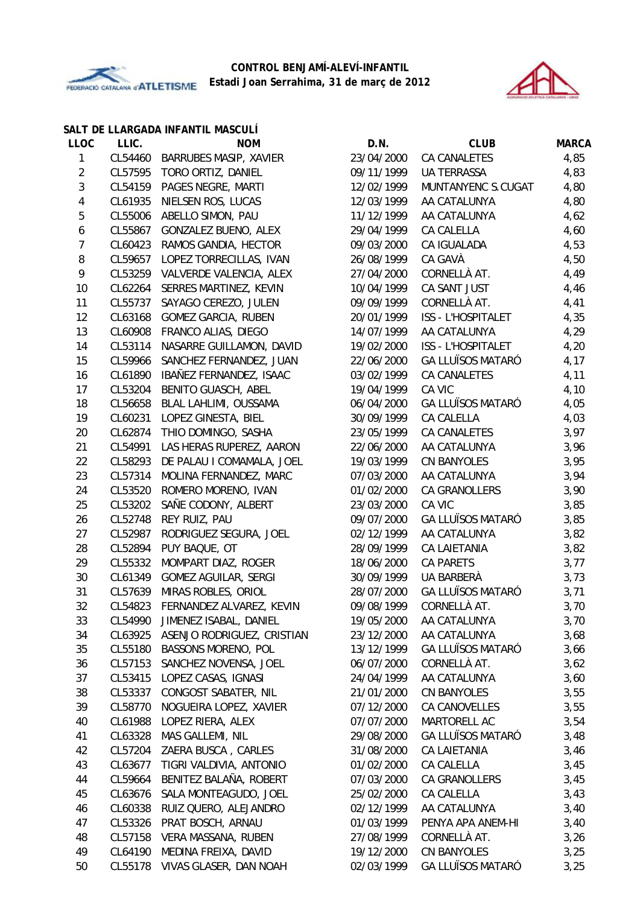



### **SALT DE LLARGADA INFANTIL MASCULÍ**

| <b>LLOC</b>    | LLIC.   | <b>NOM</b>                  | D.N.       | <b>CLUB</b>               | <b>MARCA</b> |
|----------------|---------|-----------------------------|------------|---------------------------|--------------|
| 1              | CL54460 | BARRUBES MASIP, XAVIER      | 23/04/2000 | <b>CA CANALETES</b>       | 4,85         |
| $\sqrt{2}$     | CL57595 | TORO ORTIZ, DANIEL          | 09/11/1999 | <b>UA TERRASSA</b>        | 4,83         |
| 3              | CL54159 | PAGES NEGRE, MARTI          | 12/02/1999 | MUNTANYENC S.CUGAT        | 4,80         |
| 4              | CL61935 | NIELSEN ROS, LUCAS          | 12/03/1999 | AA CATALUNYA              | 4,80         |
| 5              | CL55006 | ABELLO SIMON, PAU           | 11/12/1999 | AA CATALUNYA              | 4,62         |
| 6              | CL55867 | GONZALEZ BUENO, ALEX        | 29/04/1999 | CA CALELLA                | 4,60         |
| $\overline{7}$ | CL60423 | RAMOS GANDIA, HECTOR        | 09/03/2000 | CA IGUALADA               | 4,53         |
| 8              | CL59657 | LOPEZ TORRECILLAS, IVAN     | 26/08/1999 | CA GAVÀ                   | 4,50         |
| 9              | CL53259 | VALVERDE VALENCIA, ALEX     | 27/04/2000 | CORNELLÀ AT.              | 4,49         |
| 10             | CL62264 | SERRES MARTINEZ, KEVIN      | 10/04/1999 | CA SANT JUST              | 4,46         |
| 11             | CL55737 | SAYAGO CEREZO, JULEN        | 09/09/1999 | CORNELLÀ AT.              | 4,41         |
| 12             | CL63168 | <b>GOMEZ GARCIA, RUBEN</b>  | 20/01/1999 | <b>ISS - L'HOSPITALET</b> | 4,35         |
| 13             | CL60908 | FRANCO ALIAS, DIEGO         | 14/07/1999 | AA CATALUNYA              | 4,29         |
| 14             | CL53114 | NASARRE GUILLAMON, DAVID    | 19/02/2000 | ISS - L'HOSPITALET        | 4,20         |
| 15             | CL59966 | SANCHEZ FERNANDEZ, JUAN     | 22/06/2000 | <b>GA LLUÏSOS MATARÓ</b>  | 4,17         |
| 16             | CL61890 | IBAÑEZ FERNANDEZ, ISAAC     | 03/02/1999 | CA CANALETES              | 4,11         |
| 17             | CL53204 | BENITO GUASCH, ABEL         | 19/04/1999 | CA VIC                    | 4,10         |
| 18             | CL56658 | BLAL LAHLIMI, OUSSAMA       | 06/04/2000 | <b>GA LLUÏSOS MATARÓ</b>  | 4,05         |
| 19             | CL60231 | LOPEZ GINESTA, BIEL         | 30/09/1999 | CA CALELLA                | 4,03         |
| 20             | CL62874 | THIO DOMINGO, SASHA         | 23/05/1999 | CA CANALETES              | 3,97         |
| 21             | CL54991 | LAS HERAS RUPEREZ, AARON    | 22/06/2000 | AA CATALUNYA              | 3,96         |
| 22             | CL58293 | DE PALAU I COMAMALA, JOEL   | 19/03/1999 | <b>CN BANYOLES</b>        | 3,95         |
| 23             | CL57314 | MOLINA FERNANDEZ, MARC      | 07/03/2000 | AA CATALUNYA              | 3,94         |
| 24             | CL53520 | ROMERO MORENO, IVAN         | 01/02/2000 | CA GRANOLLERS             | 3,90         |
| 25             | CL53202 | SAÑE CODONY, ALBERT         | 23/03/2000 | CA VIC                    | 3,85         |
| 26             | CL52748 | REY RUIZ, PAU               | 09/07/2000 | <b>GA LLUÏSOS MATARÓ</b>  | 3,85         |
| 27             | CL52987 | RODRIGUEZ SEGURA, JOEL      | 02/12/1999 | AA CATALUNYA              | 3,82         |
| 28             | CL52894 | PUY BAQUE, OT               | 28/09/1999 | <b>CA LAIETANIA</b>       | 3,82         |
| 29             | CL55332 | MOMPART DIAZ, ROGER         | 18/06/2000 | <b>CA PARETS</b>          | 3,77         |
| 30             | CL61349 | <b>GOMEZ AGUILAR, SERGI</b> | 30/09/1999 | UA BARBERÀ                | 3,73         |
| 31             | CL57639 | MIRAS ROBLES, ORIOL         | 28/07/2000 | <b>GA LLUÏSOS MATARÓ</b>  | 3,71         |
| 32             | CL54823 | FERNANDEZ ALVAREZ, KEVIN    | 09/08/1999 | CORNELLÀ AT.              | 3,70         |
| 33             | CL54990 | JIMENEZ ISABAL, DANIEL      | 19/05/2000 | AA CATALUNYA              | 3,70         |
| 34             | CL63925 | ASENJO RODRIGUEZ, CRISTIAN  | 23/12/2000 | AA CATALUNYA              | 3,68         |
| 35             | CL55180 | BASSONS MORENO, POL         | 13/12/1999 | <b>GA LLUÏSOS MATARÓ</b>  | 3,66         |
| 36             | CL57153 | SANCHEZ NOVENSA, JOEL       | 06/07/2000 | CORNELLÀ AT.              | 3,62         |
| 37             | CL53415 | LOPEZ CASAS, IGNASI         | 24/04/1999 | AA CATALUNYA              | 3,60         |
| 38             | CL53337 | CONGOST SABATER, NIL        | 21/01/2000 | CN BANYOLES               | 3,55         |
| 39             | CL58770 | NOGUEIRA LOPEZ, XAVIER      | 07/12/2000 | CA CANOVELLES             | 3,55         |
| 40             | CL61988 | LOPEZ RIERA, ALEX           | 07/07/2000 | MARTORELL AC              | 3,54         |
| 41             | CL63328 | MAS GALLEMI, NIL            | 29/08/2000 | <b>GA LLUÏSOS MATARÓ</b>  | 3,48         |
| 42             | CL57204 | ZAERA BUSCA, CARLES         | 31/08/2000 | CA LAIETANIA              | 3,46         |
| 43             | CL63677 | TIGRI VALDIVIA, ANTONIO     | 01/02/2000 | CA CALELLA                | 3,45         |
| 44             | CL59664 | BENITEZ BALAÑA, ROBERT      | 07/03/2000 | CA GRANOLLERS             | 3,45         |
| 45             | CL63676 | SALA MONTEAGUDO, JOEL       | 25/02/2000 | CA CALELLA                | 3,43         |
| 46             | CL60338 | RUIZ QUERO, ALEJANDRO       | 02/12/1999 | AA CATALUNYA              | 3,40         |
| 47             | CL53326 | PRAT BOSCH, ARNAU           | 01/03/1999 | PENYA APA ANEM-HI         | 3,40         |
| 48             | CL57158 | VERA MASSANA, RUBEN         | 27/08/1999 | CORNELLÀ AT.              | 3,26         |
| 49             | CL64190 | MEDINA FREIXA, DAVID        | 19/12/2000 | CN BANYOLES               | 3,25         |
| 50             | CL55178 | VIVAS GLASER, DAN NOAH      | 02/03/1999 | <b>GA LLUÏSOS MATARÓ</b>  | 3,25         |
|                |         |                             |            |                           |              |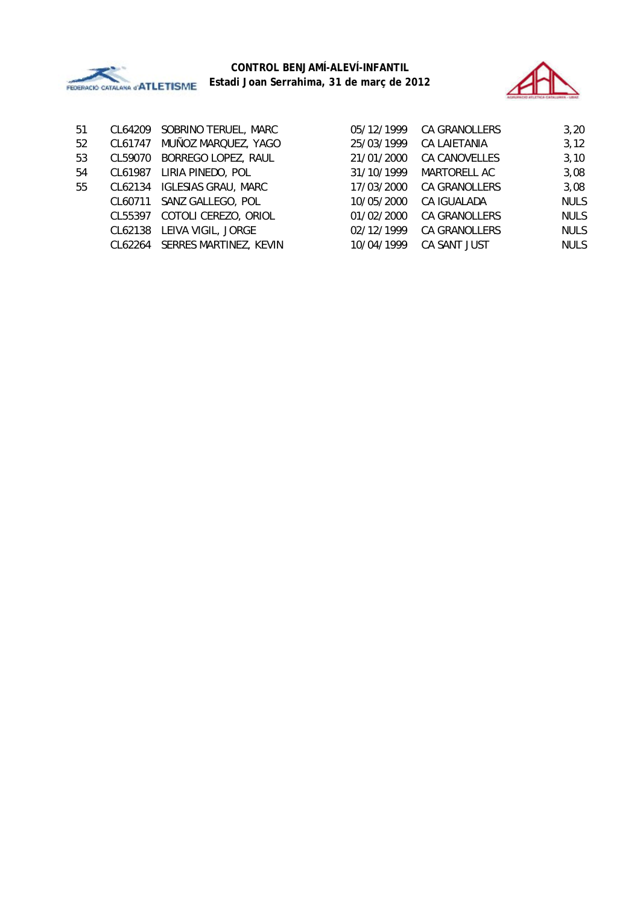



| 51 | CL64209 | SOBRINO TERUEL, MARC   | 05/12/1999 | <b>CA GRANOLLERS</b> | 3,20        |
|----|---------|------------------------|------------|----------------------|-------------|
| 52 | CL61747 | MUÑOZ MARQUEZ, YAGO    | 25/03/1999 | <b>CA LAIETANIA</b>  | 3,12        |
| 53 | CL59070 | BORREGO LOPEZ, RAUL    | 21/01/2000 | <b>CA CANOVELLES</b> | 3,10        |
| 54 | CL61987 | LIRIA PINEDO, POL      | 31/10/1999 | MARTORELL AC         | 3,08        |
| 55 | CL62134 | IGLESIAS GRAU, MARC    | 17/03/2000 | <b>CA GRANOLLERS</b> | 3,08        |
|    | CL60711 | SANZ GALLEGO, POL      | 10/05/2000 | CA IGUALADA          | <b>NULS</b> |
|    | CL55397 | COTOLI CEREZO, ORIOL   | 01/02/2000 | <b>CA GRANOLLERS</b> | <b>NULS</b> |
|    | CL62138 | LEIVA VIGIL, JORGE     | 02/12/1999 | <b>CA GRANOLLERS</b> | <b>NULS</b> |
|    | CL62264 | SERRES MARTINEZ, KEVIN | 10/04/1999 | CA SANT JUST         | <b>NULS</b> |
|    |         |                        |            |                      |             |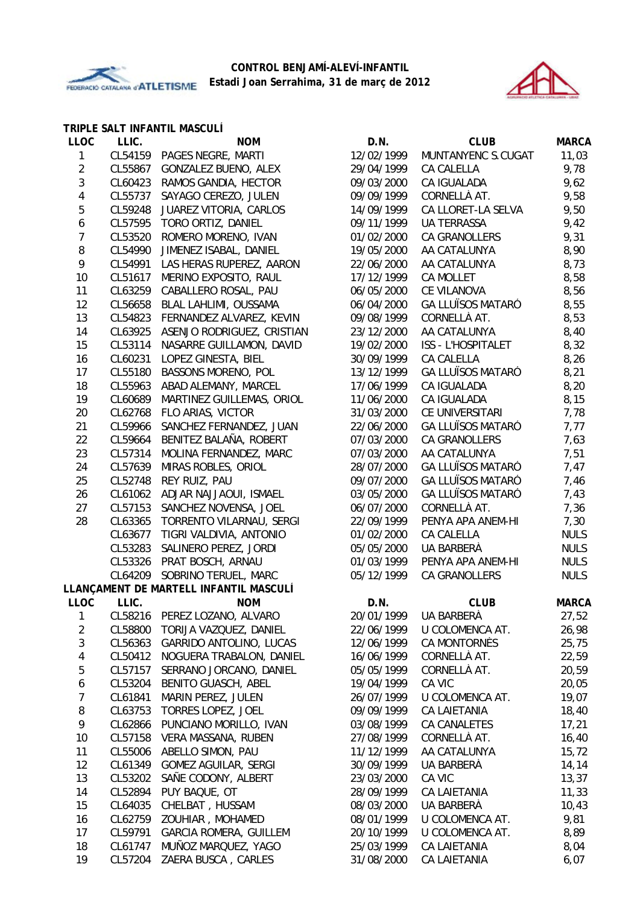



#### **TRIPLE SALT INFANTIL MASCULÍ**

| <b>LLOC</b>    | LLIC.   | <b>NOM</b>                             | D.N.       | <b>CLUB</b>               | <b>MARCA</b> |
|----------------|---------|----------------------------------------|------------|---------------------------|--------------|
| 1              | CL54159 | PAGES NEGRE, MARTI                     | 12/02/1999 | MUNTANYENC S.CUGAT        | 11,03        |
| $\overline{2}$ | CL55867 | GONZALEZ BUENO, ALEX                   | 29/04/1999 | CA CALELLA                | 9,78         |
| $\mathfrak{Z}$ | CL60423 | RAMOS GANDIA, HECTOR                   | 09/03/2000 | CA IGUALADA               | 9,62         |
| 4              | CL55737 | SAYAGO CEREZO, JULEN                   | 09/09/1999 | CORNELLÀ AT.              | 9,58         |
| 5              | CL59248 | JUAREZ VITORIA, CARLOS                 | 14/09/1999 | CA LLORET-LA SELVA        | 9,50         |
| 6              | CL57595 | TORO ORTIZ, DANIEL                     | 09/11/1999 | <b>UA TERRASSA</b>        | 9,42         |
| 7              | CL53520 | ROMERO MORENO, IVAN                    | 01/02/2000 | CA GRANOLLERS             | 9,31         |
| 8              | CL54990 | JIMENEZ ISABAL, DANIEL                 | 19/05/2000 | AA CATALUNYA              | 8,90         |
| 9              | CL54991 | LAS HERAS RUPEREZ, AARON               | 22/06/2000 | AA CATALUNYA              | 8,73         |
| 10             | CL51617 | MERINO EXPOSITO, RAUL                  | 17/12/1999 | <b>CA MOLLET</b>          | 8,58         |
| 11             | CL63259 | CABALLERO ROSAL, PAU                   | 06/05/2000 | CE VILANOVA               | 8,56         |
| 12             | CL56658 | BLAL LAHLIMI, OUSSAMA                  | 06/04/2000 | <b>GA LLUÏSOS MATARÓ</b>  | 8,55         |
| 13             | CL54823 | FERNANDEZ ALVAREZ, KEVIN               | 09/08/1999 | CORNELLÀ AT.              | 8,53         |
| 14             | CL63925 | ASENJO RODRIGUEZ, CRISTIAN             | 23/12/2000 | AA CATALUNYA              | 8,40         |
| 15             | CL53114 | NASARRE GUILLAMON, DAVID               | 19/02/2000 | <b>ISS - L'HOSPITALET</b> | 8,32         |
| 16             | CL60231 | LOPEZ GINESTA, BIEL                    | 30/09/1999 | CA CALELLA                | 8,26         |
| 17             | CL55180 | BASSONS MORENO, POL                    | 13/12/1999 | <b>GA LLUÏSOS MATARÓ</b>  | 8,21         |
| 18             | CL55963 | ABAD ALEMANY, MARCEL                   | 17/06/1999 | CA IGUALADA               | 8,20         |
| 19             | CL60689 | MARTINEZ GUILLEMAS, ORIOL              | 11/06/2000 | CA IGUALADA               | 8,15         |
| 20             | CL62768 | FLO ARIAS, VICTOR                      | 31/03/2000 | CE UNIVERSITARI           | 7,78         |
| 21             | CL59966 | SANCHEZ FERNANDEZ, JUAN                | 22/06/2000 | <b>GA LLUÏSOS MATARÓ</b>  | 7,77         |
| 22             | CL59664 | BENITEZ BALAÑA, ROBERT                 | 07/03/2000 | CA GRANOLLERS             | 7,63         |
| 23             | CL57314 | MOLINA FERNANDEZ, MARC                 | 07/03/2000 | AA CATALUNYA              | 7,51         |
| 24             | CL57639 | MIRAS ROBLES, ORIOL                    | 28/07/2000 | <b>GA LLUÏSOS MATARÓ</b>  | 7,47         |
| 25             | CL52748 | REY RUIZ, PAU                          | 09/07/2000 | <b>GA LLUÏSOS MATARÓ</b>  | 7,46         |
| 26             | CL61062 | ADJAR NAJJAOUI, ISMAEL                 | 03/05/2000 | <b>GA LLUÏSOS MATARÓ</b>  | 7,43         |
| 27             | CL57153 | SANCHEZ NOVENSA, JOEL                  | 06/07/2000 | CORNELLÀ AT.              | 7,36         |
| 28             | CL63365 | TORRENTO VILARNAU, SERGI               | 22/09/1999 | PENYA APA ANEM-HI         | 7,30         |
|                | CL63677 | TIGRI VALDIVIA, ANTONIO                | 01/02/2000 | CA CALELLA                | <b>NULS</b>  |
|                | CL53283 | SALINERO PEREZ, JORDI                  | 05/05/2000 | UA BARBERÀ                | <b>NULS</b>  |
|                | CL53326 | PRAT BOSCH, ARNAU                      | 01/03/1999 | PENYA APA ANEM-HI         | <b>NULS</b>  |
|                | CL64209 | SOBRINO TERUEL, MARC                   | 05/12/1999 | CA GRANOLLERS             | <b>NULS</b>  |
|                |         | LLANÇAMENT DE MARTELL INFANTIL MASCULÍ |            |                           |              |
| <b>LLOC</b>    | LLIC.   | <b>NOM</b>                             | D.N.       | <b>CLUB</b>               | <b>MARCA</b> |
| $\overline{1}$ |         | CL58216 PEREZ LOZANO, ALVARO           |            | 20/01/1999 UA BARBERÀ     | 27,52        |
| $\overline{2}$ | CL58800 | TORIJA VAZQUEZ, DANIEL                 | 22/06/1999 | U COLOMENCA AT.           | 26,98        |
| 3              | CL56363 | GARRIDO ANTOLINO, LUCAS                | 12/06/1999 | CA MONTORNÈS              | 25,75        |
| 4              | CL50412 | NOGUERA TRABALON, DANIEL               | 16/06/1999 | CORNELLÀ AT.              | 22,59        |
| 5              | CL57157 | SERRANO JORCANO, DANIEL                | 05/05/1999 | CORNELLÀ AT.              | 20,59        |
| 6              | CL53204 | BENITO GUASCH, ABEL                    | 19/04/1999 | CA VIC                    | 20,05        |
| 7              | CL61841 | MARIN PEREZ, JULEN                     | 26/07/1999 | U COLOMENCA AT.           | 19,07        |
| 8              | CL63753 | TORRES LOPEZ, JOEL                     | 09/09/1999 | CA LAIETANIA              | 18,40        |
| 9              | CL62866 | PUNCIANO MORILLO, IVAN                 | 03/08/1999 | CA CANALETES              | 17,21        |
| 10             | CL57158 | VERA MASSANA, RUBEN                    | 27/08/1999 | CORNELLÀ AT.              | 16,40        |
| 11             | CL55006 | ABELLO SIMON, PAU                      | 11/12/1999 | AA CATALUNYA              | 15, 72       |
| 12             | CL61349 | <b>GOMEZ AGUILAR, SERGI</b>            | 30/09/1999 | UA BARBERÀ                | 14,14        |
| 13             | CL53202 | SAÑE CODONY, ALBERT                    | 23/03/2000 | CA VIC                    | 13,37        |
| 14             | CL52894 | PUY BAQUE, OT                          | 28/09/1999 | CA LAIETANIA              | 11,33        |
| 15             | CL64035 | CHELBAT, HUSSAM                        | 08/03/2000 | UA BARBERÀ                | 10,43        |
| 16             | CL62759 | ZOUHIAR, MOHAMED                       | 08/01/1999 | U COLOMENCA AT.           | 9,81         |
| 17             | CL59791 | <b>GARCIA ROMERA, GUILLEM</b>          | 20/10/1999 | U COLOMENCA AT.           | 8,89         |
| 18             | CL61747 | MUÑOZ MARQUEZ, YAGO                    | 25/03/1999 | CA LAIETANIA              | 8,04         |
| 19             | CL57204 | ZAERA BUSCA, CARLES                    | 31/08/2000 | CA LAIETANIA              | 6,07         |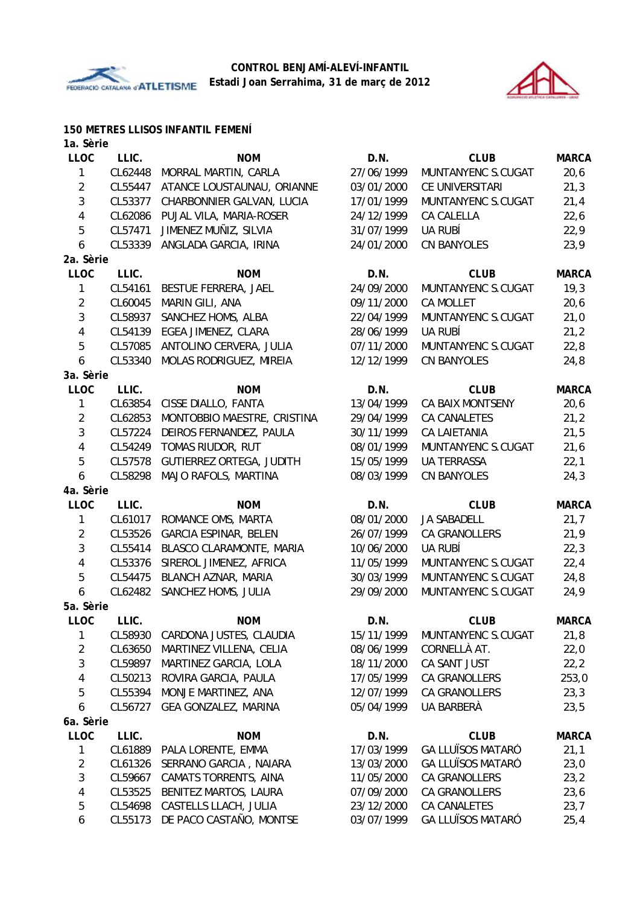



#### **150 METRES LLISOS INFANTIL FEMENÍ**

| 1a. Sèrie      |         |                              |            |                          |              |
|----------------|---------|------------------------------|------------|--------------------------|--------------|
| <b>LLOC</b>    | LLIC.   | <b>NOM</b>                   | D.N.       | <b>CLUB</b>              | <b>MARCA</b> |
| 1              | CL62448 | MORRAL MARTIN, CARLA         | 27/06/1999 | MUNTANYENC S.CUGAT       | 20, 6        |
| $\overline{c}$ | CL55447 | ATANCE LOUSTAUNAU, ORIANNE   | 03/01/2000 | CE UNIVERSITARI          | 21,3         |
| 3              | CL53377 | CHARBONNIER GALVAN, LUCIA    | 17/01/1999 | MUNTANYENC S.CUGAT       | 21,4         |
| 4              | CL62086 | PUJAL VILA, MARIA-ROSER      | 24/12/1999 | CA CALELLA               | 22,6         |
| 5              | CL57471 | JIMENEZ MUÑIZ, SILVIA        | 31/07/1999 | UA RUBÍ                  | 22,9         |
| 6              | CL53339 | ANGLADA GARCIA, IRINA        | 24/01/2000 | <b>CN BANYOLES</b>       | 23,9         |
| 2a. Sèrie      |         |                              |            |                          |              |
| <b>LLOC</b>    | LLIC.   | <b>NOM</b>                   | D.N.       | <b>CLUB</b>              | <b>MARCA</b> |
| 1              | CL54161 | BESTUE FERRERA, JAEL         | 24/09/2000 | MUNTANYENC S.CUGAT       | 19,3         |
| $\overline{c}$ | CL60045 | MARIN GILI, ANA              | 09/11/2000 | CA MOLLET                | 20, 6        |
| $\sqrt{3}$     | CL58937 | SANCHEZ HOMS, ALBA           | 22/04/1999 | MUNTANYENC S.CUGAT       | 21,0         |
| 4              | CL54139 | EGEA JIMENEZ, CLARA          | 28/06/1999 | UA RUBÍ                  | 21,2         |
| 5              | CL57085 | ANTOLINO CERVERA, JULIA      | 07/11/2000 | MUNTANYENC S.CUGAT       | 22,8         |
| 6              | CL53340 | MOLAS RODRIGUEZ, MIREIA      | 12/12/1999 | <b>CN BANYOLES</b>       | 24,8         |
| 3a. Sèrie      |         |                              |            |                          |              |
| <b>LLOC</b>    | LLIC.   | <b>NOM</b>                   | D.N.       | <b>CLUB</b>              | <b>MARCA</b> |
| 1              | CL63854 | CISSE DIALLO, FANTA          | 13/04/1999 | CA BAIX MONTSENY         | 20, 6        |
| $\overline{2}$ | CL62853 | MONTOBBIO MAESTRE, CRISTINA  | 29/04/1999 | CA CANALETES             | 21,2         |
| $\sqrt{3}$     | CL57224 | DEIROS FERNANDEZ, PAULA      | 30/11/1999 | <b>CA LAIETANIA</b>      | 21,5         |
| 4              | CL54249 | TOMAS RIUDOR, RUT            | 08/01/1999 | MUNTANYENC S.CUGAT       | 21,6         |
| 5              | CL57578 | GUTIERREZ ORTEGA, JUDITH     | 15/05/1999 | <b>UA TERRASSA</b>       | 22,1         |
| 6              | CL58298 | MAJO RAFOLS, MARTINA         | 08/03/1999 | <b>CN BANYOLES</b>       | 24,3         |
| 4a. Sèrie      |         |                              |            |                          |              |
| <b>LLOC</b>    | LLIC.   | <b>NOM</b>                   | D.N.       | <b>CLUB</b>              | <b>MARCA</b> |
| 1              | CL61017 | ROMANCE OMS, MARTA           | 08/01/2000 | JA SABADELL              | 21,7         |
| $\overline{2}$ | CL53526 | <b>GARCIA ESPINAR, BELEN</b> | 26/07/1999 | CA GRANOLLERS            | 21,9         |
| $\sqrt{3}$     | CL55414 | BLASCO CLARAMONTE, MARIA     | 10/06/2000 | UA RUBÍ                  | 22,3         |
| 4              | CL53376 | SIREROL JIMENEZ, AFRICA      | 11/05/1999 | MUNTANYENC S.CUGAT       | 22,4         |
| 5              | CL54475 | BLANCH AZNAR, MARIA          | 30/03/1999 | MUNTANYENC S.CUGAT       | 24,8         |
| 6              | CL62482 | SANCHEZ HOMS, JULIA          | 29/09/2000 | MUNTANYENC S.CUGAT       | 24,9         |
| 5a. Sèrie      |         |                              |            |                          |              |
| <b>LLOC</b>    | LLIC.   | <b>NOM</b>                   | D.N.       | <b>CLUB</b>              | <b>MARCA</b> |
| 1              | CL58930 | CARDONA JUSTES, CLAUDIA      | 15/11/1999 | MUNTANYENC S.CUGAT       | 21,8         |
| $\overline{2}$ | CL63650 | MARTINEZ VILLENA, CELIA      | 08/06/1999 | CORNELLÀ AT.             | 22,0         |
| 3              | CL59897 | MARTINEZ GARCIA, LOLA        | 18/11/2000 | CA SANT JUST             | 22,2         |
| 4              | CL50213 | ROVIRA GARCIA, PAULA         | 17/05/1999 | CA GRANOLLERS            | 253,0        |
| 5              | CL55394 | MONJE MARTINEZ, ANA          | 12/07/1999 | CA GRANOLLERS            | 23,3         |
| 6              | CL56727 | <b>GEA GONZALEZ, MARINA</b>  | 05/04/1999 | UA BARBERÀ               | 23,5         |
| 6a. Sèrie      |         |                              |            |                          |              |
| <b>LLOC</b>    | LLIC.   | <b>NOM</b>                   | D.N.       | <b>CLUB</b>              | <b>MARCA</b> |
| 1              | CL61889 | PALA LORENTE, EMMA           | 17/03/1999 | <b>GA LLUÏSOS MATARÓ</b> | 21,1         |
| $\overline{c}$ | CL61326 | SERRANO GARCIA, NAIARA       | 13/03/2000 | <b>GA LLUÏSOS MATARÓ</b> | 23,0         |
| 3              | CL59667 | CAMATS TORRENTS, AINA        | 11/05/2000 | CA GRANOLLERS            | 23,2         |
| 4              | CL53525 | BENITEZ MARTOS, LAURA        | 07/09/2000 | CA GRANOLLERS            | 23,6         |
| 5              | CL54698 | CASTELLS LLACH, JULIA        | 23/12/2000 | <b>CA CANALETES</b>      | 23,7         |
| 6              | CL55173 | DE PACO CASTAÑO, MONTSE      | 03/07/1999 | <b>GA LLUÏSOS MATARÓ</b> | 25,4         |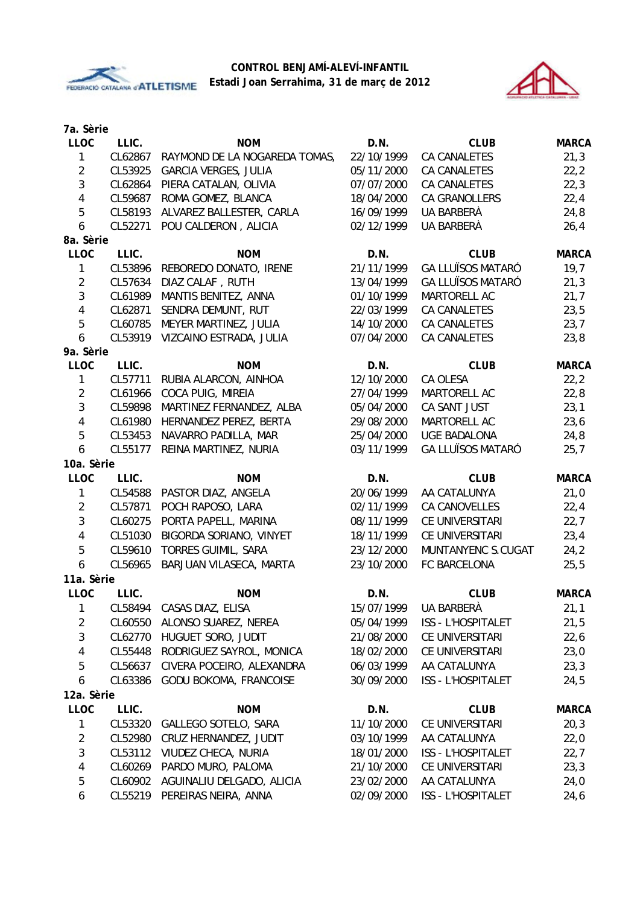



| 7a. Sèrie               |         |                               |            |                          |              |
|-------------------------|---------|-------------------------------|------------|--------------------------|--------------|
| <b>LLOC</b>             | LLIC.   | <b>NOM</b>                    | D.N.       | <b>CLUB</b>              | <b>MARCA</b> |
| 1                       | CL62867 | RAYMOND DE LA NOGAREDA TOMAS, | 22/10/1999 | <b>CA CANALETES</b>      | 21,3         |
| $\overline{2}$          | CL53925 | <b>GARCIA VERGES, JULIA</b>   | 05/11/2000 | <b>CA CANALETES</b>      | 22,2         |
| 3                       | CL62864 | PIERA CATALAN, OLIVIA         | 07/07/2000 | <b>CA CANALETES</b>      | 22,3         |
| $\overline{\mathbf{4}}$ | CL59687 | ROMA GOMEZ, BLANCA            | 18/04/2000 | <b>CA GRANOLLERS</b>     | 22,4         |
| 5                       | CL58193 | ALVAREZ BALLESTER, CARLA      | 16/09/1999 | UA BARBERÀ               | 24,8         |
| 6                       | CL52271 | POU CALDERON, ALICIA          | 02/12/1999 | UA BARBERÀ               | 26,4         |
| 8a. Sèrie               |         |                               |            |                          |              |
| <b>LLOC</b>             | LLIC.   | <b>NOM</b>                    | D.N.       | <b>CLUB</b>              | <b>MARCA</b> |
| 1                       | CL53896 | REBOREDO DONATO, IRENE        | 21/11/1999 | <b>GA LLUÏSOS MATARÓ</b> | 19,7         |
| $\overline{2}$          | CL57634 | DIAZ CALAF, RUTH              | 13/04/1999 | <b>GA LLUÏSOS MATARÓ</b> | 21,3         |
| 3                       | CL61989 | MANTIS BENITEZ, ANNA          | 01/10/1999 | MARTORELL AC             | 21,7         |
| $\overline{\mathbf{4}}$ | CL62871 | SENDRA DEMUNT, RUT            | 22/03/1999 | CA CANALETES             | 23,5         |
| 5                       | CL60785 | MEYER MARTINEZ, JULIA         | 14/10/2000 | CA CANALETES             | 23,7         |
| 6                       | CL53919 | VIZCAINO ESTRADA, JULIA       | 07/04/2000 | CA CANALETES             | 23,8         |
| 9a. Sèrie               |         |                               |            |                          |              |
| <b>LLOC</b>             | LLIC.   | <b>NOM</b>                    | D.N.       | <b>CLUB</b>              | <b>MARCA</b> |
| 1                       | CL57711 | RUBIA ALARCON, AINHOA         | 12/10/2000 | CA OLESA                 | 22,2         |
| $\overline{2}$          | CL61966 | COCA PUIG, MIREIA             | 27/04/1999 | MARTORELL AC             | 22,8         |
| 3                       | CL59898 | MARTINEZ FERNANDEZ, ALBA      | 05/04/2000 | CA SANT JUST             | 23,1         |
| $\overline{\mathbf{4}}$ | CL61980 | HERNANDEZ PEREZ, BERTA        | 29/08/2000 | MARTORELL AC             | 23,6         |
| 5                       | CL53453 | NAVARRO PADILLA, MAR          | 25/04/2000 | <b>UGE BADALONA</b>      | 24,8         |
| 6                       | CL55177 | REINA MARTINEZ, NURIA         | 03/11/1999 | <b>GA LLUÏSOS MATARÓ</b> | 25,7         |
| 10a. Sèrie              |         |                               |            |                          |              |
| <b>LLOC</b>             | LLIC.   | <b>NOM</b>                    | D.N.       | <b>CLUB</b>              | <b>MARCA</b> |
| 1                       | CL54588 | PASTOR DIAZ, ANGELA           | 20/06/1999 | AA CATALUNYA             | 21,0         |
| $\overline{2}$          | CL57871 | POCH RAPOSO, LARA             | 02/11/1999 | CA CANOVELLES            | 22,4         |
| 3                       | CL60275 | PORTA PAPELL, MARINA          | 08/11/1999 | CE UNIVERSITARI          | 22,7         |
| $\overline{\mathbf{4}}$ | CL51030 | BIGORDA SORIANO, VINYET       | 18/11/1999 | CE UNIVERSITARI          | 23,4         |
| 5                       | CL59610 | <b>TORRES GUIMIL, SARA</b>    | 23/12/2000 | MUNTANYENC S.CUGAT       | 24,2         |
| 6                       | CL56965 | BARJUAN VILASECA, MARTA       | 23/10/2000 | FC BARCELONA             | 25,5         |
| 11a. Sèrie              |         |                               |            |                          |              |
| <b>LLOC</b>             | LLIC.   | <b>NOM</b>                    | D.N.       | <b>CLUB</b>              | <b>MARCA</b> |
| $\mathbf{1}$            |         | CL58494 CASAS DIAZ, ELISA     |            | 15/07/1999 UA BARBERÀ    | 21,1         |
| $\overline{2}$          | CL60550 | ALONSO SUAREZ, NEREA          | 05/04/1999 | ISS - L'HOSPITALET       | 21,5         |
| $\sqrt{3}$              | CL62770 | HUGUET SORO, JUDIT            | 21/08/2000 | CE UNIVERSITARI          | 22,6         |
| 4                       | CL55448 | RODRIGUEZ SAYROL, MONICA      | 18/02/2000 | CE UNIVERSITARI          | 23,0         |
| 5                       | CL56637 | CIVERA POCEIRO, ALEXANDRA     | 06/03/1999 | AA CATALUNYA             | 23,3         |
| 6                       | CL63386 | <b>GODU BOKOMA, FRANCOISE</b> | 30/09/2000 | ISS - L'HOSPITALET       | 24,5         |
| 12a. Sèrie              |         |                               |            |                          |              |
| <b>LLOC</b>             | LLIC.   | <b>NOM</b>                    | D.N.       | <b>CLUB</b>              | <b>MARCA</b> |
| 1                       | CL53320 | GALLEGO SOTELO, SARA          | 11/10/2000 | CE UNIVERSITARI          | 20,3         |
| $\overline{2}$          | CL52980 | CRUZ HERNANDEZ, JUDIT         | 03/10/1999 | AA CATALUNYA             | 22,0         |
| 3                       | CL53112 | VIUDEZ CHECA, NURIA           | 18/01/2000 | ISS - L'HOSPITALET       | 22,7         |
| 4                       | CL60269 | PARDO MURO, PALOMA            | 21/10/2000 | CE UNIVERSITARI          | 23,3         |
| 5                       | CL60902 | AGUINALIU DELGADO, ALICIA     | 23/02/2000 | AA CATALUNYA             | 24,0         |
| 6                       | CL55219 | PEREIRAS NEIRA, ANNA          | 02/09/2000 | ISS - L'HOSPITALET       | 24,6         |
|                         |         |                               |            |                          |              |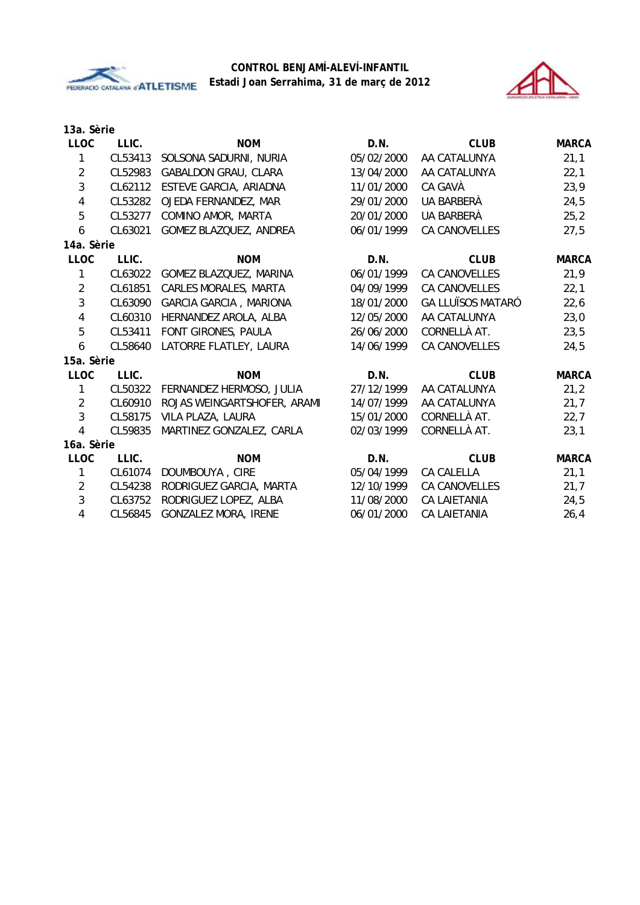



| 13a. Sèrie     |         |                               |            |                          |              |
|----------------|---------|-------------------------------|------------|--------------------------|--------------|
| <b>LLOC</b>    | LLIC.   | <b>NOM</b>                    | D.N.       | <b>CLUB</b>              | <b>MARCA</b> |
| 1              | CL53413 | SOLSONA SADURNI, NURIA        | 05/02/2000 | AA CATALUNYA             | 21,1         |
| $\overline{2}$ | CL52983 | <b>GABALDON GRAU, CLARA</b>   | 13/04/2000 | AA CATALUNYA             | 22,1         |
| 3              | CL62112 | ESTEVE GARCIA, ARIADNA        | 11/01/2000 | CA GAVÀ                  | 23,9         |
| $\overline{4}$ | CL53282 | OJEDA FERNANDEZ, MAR          | 29/01/2000 | UA BARBERÀ               | 24,5         |
| 5              | CL53277 | COMINO AMOR, MARTA            | 20/01/2000 | UA BARBERÀ               | 25,2         |
| 6              | CL63021 | GOMEZ BLAZQUEZ, ANDREA        | 06/01/1999 | <b>CA CANOVELLES</b>     | 27,5         |
| 14a. Sèrie     |         |                               |            |                          |              |
| <b>LLOC</b>    | LLIC.   | <b>NOM</b>                    | D.N.       | <b>CLUB</b>              | <b>MARCA</b> |
| 1              | CL63022 | GOMEZ BLAZQUEZ, MARINA        | 06/01/1999 | <b>CA CANOVELLES</b>     | 21,9         |
| $\overline{2}$ | CL61851 | CARLES MORALES, MARTA         | 04/09/1999 | <b>CA CANOVELLES</b>     | 22,1         |
| 3              | CL63090 | <b>GARCIA GARCIA, MARIONA</b> | 18/01/2000 | <b>GA LLUÏSOS MATARÓ</b> | 22,6         |
| $\overline{4}$ | CL60310 | HERNANDEZ AROLA, ALBA         | 12/05/2000 | AA CATALUNYA             | 23,0         |
| 5              | CL53411 | FONT GIRONES, PAULA           | 26/06/2000 | CORNELLÀ AT.             | 23,5         |
| 6              | CL58640 | LATORRE FLATLEY, LAURA        | 14/06/1999 | <b>CA CANOVELLES</b>     | 24,5         |
| 15a. Sèrie     |         |                               |            |                          |              |
| <b>LLOC</b>    | LLIC.   | <b>NOM</b>                    | D.N.       | <b>CLUB</b>              | <b>MARCA</b> |
| 1              | CL50322 | FERNANDEZ HERMOSO, JULIA      | 27/12/1999 | AA CATALUNYA             | 21,2         |
| $\overline{2}$ | CL60910 | ROJAS WEINGARTSHOFER, ARAMI   | 14/07/1999 | AA CATALUNYA             | 21,7         |
| 3              | CL58175 | VILA PLAZA, LAURA             | 15/01/2000 | CORNELLÀ AT.             | 22,7         |
| $\overline{4}$ | CL59835 | MARTINEZ GONZALEZ, CARLA      | 02/03/1999 | CORNELLÀ AT.             | 23,1         |
| 16a. Sèrie     |         |                               |            |                          |              |
| <b>LLOC</b>    | LLIC.   | <b>NOM</b>                    | D.N.       | <b>CLUB</b>              | <b>MARCA</b> |
| 1              | CL61074 | DOUMBOUYA, CIRE               | 05/04/1999 | CA CALELLA               | 21,1         |
| $\overline{2}$ | CL54238 | RODRIGUEZ GARCIA, MARTA       | 12/10/1999 | CA CANOVELLES            | 21,7         |
| 3              | CL63752 | RODRIGUEZ LOPEZ, ALBA         | 11/08/2000 | CA LAIETANIA             | 24,5         |
| 4              | CL56845 | <b>GONZALEZ MORA, IRENE</b>   | 06/01/2000 | <b>CA LAIETANIA</b>      | 26,4         |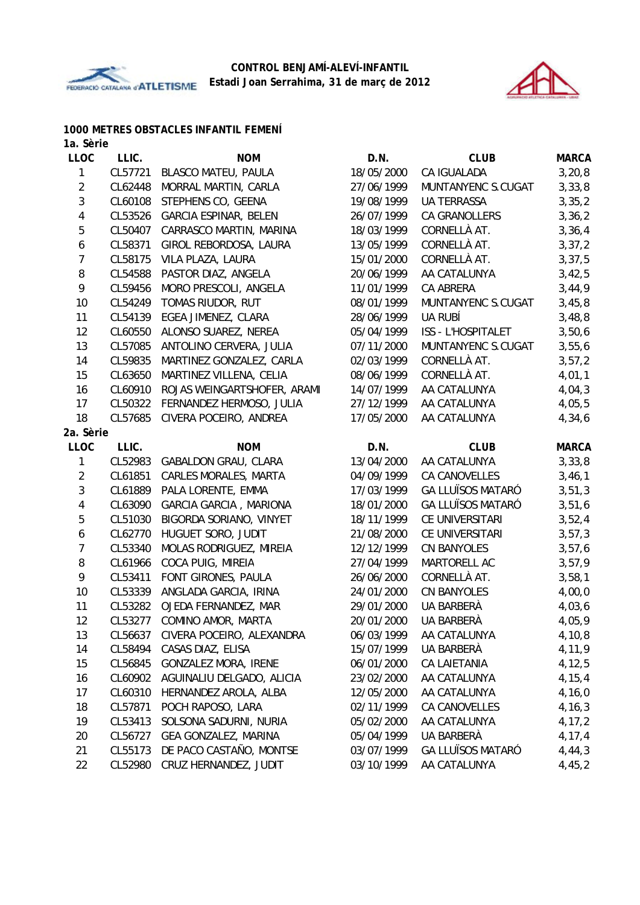



### **1000 METRES OBSTACLES INFANTIL FEMENÍ**

| 1a. Sèrie      |         |                              |            |                          |              |
|----------------|---------|------------------------------|------------|--------------------------|--------------|
| <b>LLOC</b>    | LLIC.   | <b>NOM</b>                   | D.N.       | <b>CLUB</b>              | <b>MARCA</b> |
| 1              | CL57721 | BLASCO MATEU, PAULA          | 18/05/2000 | CA IGUALADA              | 3,20,8       |
| $\overline{2}$ | CL62448 | MORRAL MARTIN, CARLA         | 27/06/1999 | MUNTANYENC S.CUGAT       | 3,33,8       |
| $\mathbf{3}$   | CL60108 | STEPHENS CO, GEENA           | 19/08/1999 | <b>UA TERRASSA</b>       | 3, 35, 2     |
| 4              | CL53526 | <b>GARCIA ESPINAR, BELEN</b> | 26/07/1999 | CA GRANOLLERS            | 3,36,2       |
| 5              | CL50407 | CARRASCO MARTIN, MARINA      | 18/03/1999 | CORNELLÀ AT.             | 3,36,4       |
| 6              | CL58371 | GIROL REBORDOSA, LAURA       | 13/05/1999 | CORNELLÀ AT.             | 3, 37, 2     |
| $\overline{7}$ | CL58175 | VILA PLAZA, LAURA            | 15/01/2000 | CORNELLÀ AT.             | 3, 37, 5     |
| 8              | CL54588 | PASTOR DIAZ, ANGELA          | 20/06/1999 | AA CATALUNYA             | 3,42,5       |
| 9              | CL59456 | MORO PRESCOLI, ANGELA        | 11/01/1999 | CA ABRERA                | 3,44,9       |
| 10             | CL54249 | TOMAS RIUDOR, RUT            | 08/01/1999 | MUNTANYENC S.CUGAT       | 3,45,8       |
| 11             | CL54139 | EGEA JIMENEZ, CLARA          | 28/06/1999 | UA RUBÍ                  | 3,48,8       |
| 12             | CL60550 | ALONSO SUAREZ, NEREA         | 05/04/1999 | ISS - L'HOSPITALET       | 3,50,6       |
| 13             | CL57085 | ANTOLINO CERVERA, JULIA      | 07/11/2000 | MUNTANYENC S.CUGAT       | 3,55,6       |
| 14             | CL59835 | MARTINEZ GONZALEZ, CARLA     | 02/03/1999 | CORNELLÀ AT.             | 3, 57, 2     |
| 15             | CL63650 | MARTINEZ VILLENA, CELIA      | 08/06/1999 | CORNELLÀ AT.             | 4,01,1       |
| 16             | CL60910 | ROJAS WEINGARTSHOFER, ARAMI  | 14/07/1999 | AA CATALUNYA             | 4,04,3       |
| 17             | CL50322 | FERNANDEZ HERMOSO, JULIA     | 27/12/1999 | AA CATALUNYA             | 4,05,5       |
| 18             | CL57685 | CIVERA POCEIRO, ANDREA       | 17/05/2000 | AA CATALUNYA             | 4,34,6       |
| 2a. Sèrie      |         |                              |            |                          |              |
| <b>LLOC</b>    | LLIC.   | <b>NOM</b>                   | D.N.       | <b>CLUB</b>              | <b>MARCA</b> |
| 1              | CL52983 | <b>GABALDON GRAU, CLARA</b>  | 13/04/2000 | AA CATALUNYA             | 3,33,8       |
| $\overline{2}$ | CL61851 | CARLES MORALES, MARTA        | 04/09/1999 | CA CANOVELLES            | 3,46,1       |
| $\sqrt{3}$     | CL61889 | PALA LORENTE, EMMA           | 17/03/1999 | <b>GA LLUÏSOS MATARÓ</b> | 3,51,3       |
| 4              | CL63090 | GARCIA GARCIA, MARIONA       | 18/01/2000 | <b>GA LLUÏSOS MATARÓ</b> | 3,51,6       |
| 5              | CL51030 | BIGORDA SORIANO, VINYET      | 18/11/1999 | CE UNIVERSITARI          | 3,52,4       |
| 6              | CL62770 | HUGUET SORO, JUDIT           | 21/08/2000 | CE UNIVERSITARI          | 3, 57, 3     |
| $\overline{7}$ | CL53340 | MOLAS RODRIGUEZ, MIREIA      | 12/12/1999 | <b>CN BANYOLES</b>       | 3,57,6       |
| 8              | CL61966 | COCA PUIG, MIREIA            | 27/04/1999 | MARTORELL AC             | 3, 57, 9     |
| 9              | CL53411 | FONT GIRONES, PAULA          | 26/06/2000 | CORNELLÀ AT.             | 3,58,1       |
| 10             | CL53339 | ANGLADA GARCIA, IRINA        | 24/01/2000 | <b>CN BANYOLES</b>       | 4,00,0       |
| 11             | CL53282 | OJEDA FERNANDEZ, MAR         | 29/01/2000 | UA BARBERÀ               | 4,03,6       |
| 12             |         | CL53277 COMINO AMOR, MARTA   | 20/01/2000 | UA BARBERÀ               | 4,05,9       |
| 13             | CL56637 | CIVERA POCEIRO, ALEXANDRA    | 06/03/1999 | AA CATALUNYA             | 4,10,8       |
| 14             | CL58494 | CASAS DIAZ, ELISA            | 15/07/1999 | UA BARBERÀ               | 4,11,9       |
| 15             | CL56845 | GONZALEZ MORA, IRENE         | 06/01/2000 | CA LAIETANIA             | 4,12,5       |
| 16             | CL60902 | AGUINALIU DELGADO, ALICIA    | 23/02/2000 | AA CATALUNYA             | 4,15,4       |
| 17             | CL60310 | HERNANDEZ AROLA, ALBA        | 12/05/2000 | AA CATALUNYA             | 4,16,0       |
| 18             | CL57871 | POCH RAPOSO, LARA            | 02/11/1999 | CA CANOVELLES            | 4, 16, 3     |
| 19             | CL53413 | SOLSONA SADURNI, NURIA       | 05/02/2000 | AA CATALUNYA             | 4,17,2       |
| 20             | CL56727 | GEA GONZALEZ, MARINA         | 05/04/1999 | UA BARBERÀ               | 4,17,4       |
| 21             | CL55173 | DE PACO CASTAÑO, MONTSE      | 03/07/1999 | <b>GA LLUÏSOS MATARÓ</b> | 4,44,3       |
| 22             | CL52980 | CRUZ HERNANDEZ, JUDIT        | 03/10/1999 | AA CATALUNYA             | 4,45,2       |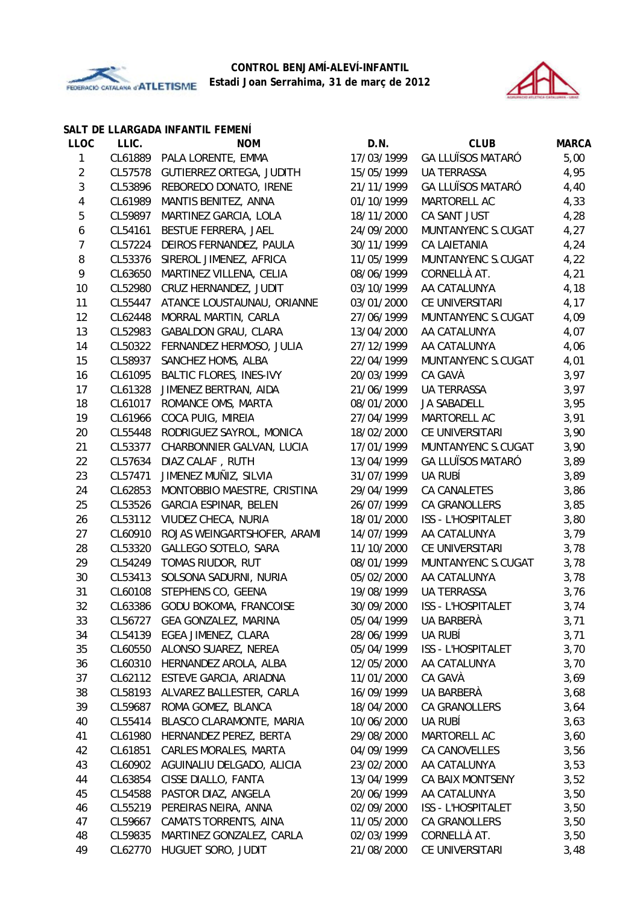



### **SALT DE LLARGADA INFANTIL FEMENÍ**

| <b>LLOC</b>    | LLIC.   | <b>NOM</b>                      | D.N.       | <b>CLUB</b>               | <b>MARCA</b> |
|----------------|---------|---------------------------------|------------|---------------------------|--------------|
| 1              | CL61889 | PALA LORENTE, EMMA              | 17/03/1999 | <b>GA LLUÏSOS MATARÓ</b>  | 5,00         |
| $\overline{2}$ | CL57578 | <b>GUTIERREZ ORTEGA, JUDITH</b> | 15/05/1999 | <b>UA TERRASSA</b>        | 4,95         |
| $\sqrt{3}$     | CL53896 | REBOREDO DONATO, IRENE          | 21/11/1999 | <b>GA LLUÏSOS MATARÓ</b>  | 4,40         |
| 4              | CL61989 | MANTIS BENITEZ, ANNA            | 01/10/1999 | MARTORELL AC              | 4,33         |
| 5              | CL59897 | MARTINEZ GARCIA, LOLA           | 18/11/2000 | CA SANT JUST              | 4,28         |
| 6              | CL54161 | BESTUE FERRERA, JAEL            | 24/09/2000 | MUNTANYENC S.CUGAT        | 4,27         |
| $\overline{7}$ | CL57224 | DEIROS FERNANDEZ, PAULA         | 30/11/1999 | <b>CA LAIETANIA</b>       | 4,24         |
| 8              | CL53376 | SIREROL JIMENEZ, AFRICA         | 11/05/1999 | MUNTANYENC S.CUGAT        | 4,22         |
| 9              | CL63650 | MARTINEZ VILLENA, CELIA         | 08/06/1999 | CORNELLÀ AT.              | 4,21         |
| 10             | CL52980 | CRUZ HERNANDEZ, JUDIT           | 03/10/1999 | AA CATALUNYA              | 4,18         |
| 11             | CL55447 | ATANCE LOUSTAUNAU, ORIANNE      | 03/01/2000 | CE UNIVERSITARI           | 4,17         |
| 12             | CL62448 | MORRAL MARTIN, CARLA            | 27/06/1999 | MUNTANYENC S.CUGAT        | 4,09         |
| 13             | CL52983 | <b>GABALDON GRAU, CLARA</b>     | 13/04/2000 | AA CATALUNYA              | 4,07         |
| 14             | CL50322 | FERNANDEZ HERMOSO, JULIA        | 27/12/1999 | AA CATALUNYA              | 4,06         |
| 15             | CL58937 | SANCHEZ HOMS, ALBA              | 22/04/1999 | MUNTANYENC S.CUGAT        | 4,01         |
| 16             | CL61095 | <b>BALTIC FLORES, INES-IVY</b>  | 20/03/1999 | CA GAVÀ                   | 3,97         |
| 17             | CL61328 | JIMENEZ BERTRAN, AIDA           | 21/06/1999 | <b>UA TERRASSA</b>        | 3,97         |
| 18             | CL61017 | ROMANCE OMS, MARTA              | 08/01/2000 | JA SABADELL               | 3,95         |
| 19             | CL61966 | COCA PUIG, MIREIA               | 27/04/1999 | MARTORELL AC              | 3,91         |
| 20             | CL55448 | RODRIGUEZ SAYROL, MONICA        | 18/02/2000 | CE UNIVERSITARI           | 3,90         |
| 21             | CL53377 | CHARBONNIER GALVAN, LUCIA       | 17/01/1999 | MUNTANYENC S.CUGAT        | 3,90         |
| 22             | CL57634 | DIAZ CALAF, RUTH                | 13/04/1999 | <b>GA LLUÏSOS MATARÓ</b>  | 3,89         |
| 23             | CL57471 | JIMENEZ MUÑIZ, SILVIA           | 31/07/1999 | UA RUBÍ                   | 3,89         |
| 24             | CL62853 | MONTOBBIO MAESTRE, CRISTINA     | 29/04/1999 | CA CANALETES              | 3,86         |
| 25             | CL53526 | <b>GARCIA ESPINAR, BELEN</b>    | 26/07/1999 | CA GRANOLLERS             | 3,85         |
| 26             | CL53112 | VIUDEZ CHECA, NURIA             | 18/01/2000 | ISS - L'HOSPITALET        | 3,80         |
| 27             | CL60910 | ROJAS WEINGARTSHOFER, ARAMI     | 14/07/1999 | AA CATALUNYA              | 3,79         |
| 28             | CL53320 | GALLEGO SOTELO, SARA            | 11/10/2000 | CE UNIVERSITARI           | 3,78         |
| 29             | CL54249 | TOMAS RIUDOR, RUT               | 08/01/1999 | MUNTANYENC S.CUGAT        | 3,78         |
| 30             | CL53413 | SOLSONA SADURNI, NURIA          | 05/02/2000 | AA CATALUNYA              | 3,78         |
| 31             | CL60108 | STEPHENS CO, GEENA              | 19/08/1999 | <b>UA TERRASSA</b>        | 3,76         |
| 32             |         | CL63386 GODU BOKOMA, FRANCOISE  | 30/09/2000 | ISS - L'HOSPITALET        | 3,74         |
| 33             | CL56727 | GEA GONZALEZ, MARINA            | 05/04/1999 | UA BARBERÀ                | 3,71         |
| 34             | CL54139 | EGEA JIMENEZ, CLARA             | 28/06/1999 | UA RUBÍ                   | 3,71         |
| 35             | CL60550 | ALONSO SUAREZ, NEREA            | 05/04/1999 | ISS - L'HOSPITALET        | 3,70         |
| 36             | CL60310 | HERNANDEZ AROLA, ALBA           | 12/05/2000 | AA CATALUNYA              | 3,70         |
| 37             | CL62112 | ESTEVE GARCIA, ARIADNA          | 11/01/2000 | CA GAVÀ                   | 3,69         |
| 38             | CL58193 | ALVAREZ BALLESTER, CARLA        | 16/09/1999 | UA BARBERÀ                | 3,68         |
| 39             | CL59687 | ROMA GOMEZ, BLANCA              | 18/04/2000 | <b>CA GRANOLLERS</b>      | 3,64         |
| 40             | CL55414 | BLASCO CLARAMONTE, MARIA        | 10/06/2000 | UA RUBÍ                   | 3,63         |
| 41             | CL61980 | HERNANDEZ PEREZ, BERTA          | 29/08/2000 | MARTORELL AC              | 3,60         |
| 42             | CL61851 | CARLES MORALES, MARTA           | 04/09/1999 | CA CANOVELLES             | 3,56         |
| 43             | CL60902 | AGUINALIU DELGADO, ALICIA       | 23/02/2000 | AA CATALUNYA              | 3,53         |
| 44             | CL63854 | CISSE DIALLO, FANTA             | 13/04/1999 | CA BAIX MONTSENY          | 3,52         |
| 45             | CL54588 | PASTOR DIAZ, ANGELA             | 20/06/1999 | AA CATALUNYA              | 3,50         |
| 46             | CL55219 | PEREIRAS NEIRA, ANNA            | 02/09/2000 | <b>ISS - L'HOSPITALET</b> | 3,50         |
| 47             | CL59667 | CAMATS TORRENTS, AINA           | 11/05/2000 | CA GRANOLLERS             | 3,50         |
| 48             | CL59835 | MARTINEZ GONZALEZ, CARLA        | 02/03/1999 | CORNELLÀ AT.              | 3,50         |
| 49             | CL62770 | HUGUET SORO, JUDIT              | 21/08/2000 | CE UNIVERSITARI           | 3,48         |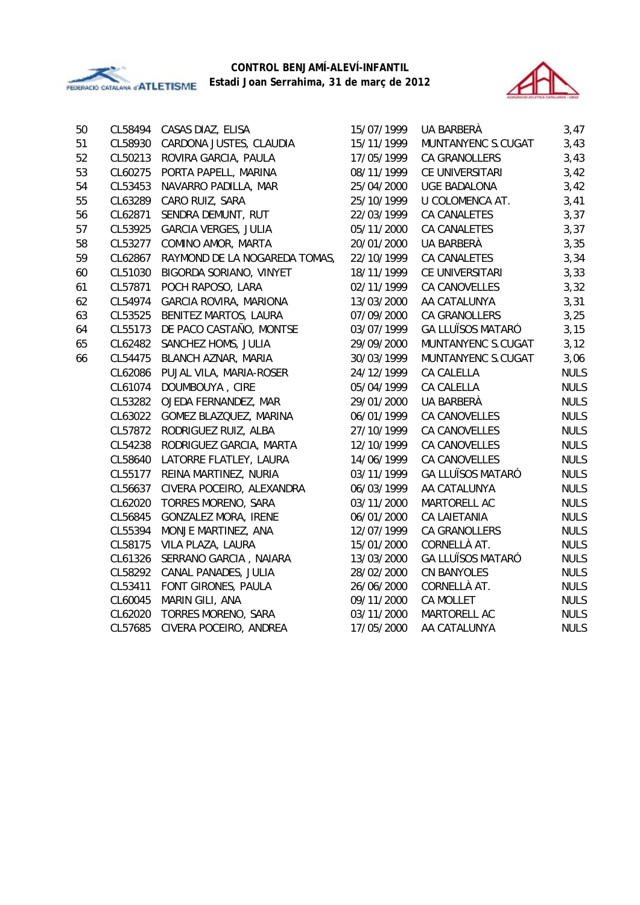



| 50 | CL58494 | CASAS DIAZ, ELISA             | 15/07/1999 | UA BARBERÀ               | 3,47        |
|----|---------|-------------------------------|------------|--------------------------|-------------|
| 51 | CL58930 | CARDONA JUSTES, CLAUDIA       | 15/11/1999 | MUNTANYENC S.CUGAT       | 3,43        |
| 52 | CL50213 | ROVIRA GARCIA, PAULA          | 17/05/1999 | CA GRANOLLERS            | 3,43        |
| 53 | CL60275 | PORTA PAPELL, MARINA          | 08/11/1999 | CE UNIVERSITARI          | 3,42        |
| 54 | CL53453 | NAVARRO PADILLA, MAR          | 25/04/2000 | <b>UGE BADALONA</b>      | 3,42        |
| 55 | CL63289 | CARO RUIZ, SARA               | 25/10/1999 | U COLOMENCA AT.          | 3,41        |
| 56 | CL62871 | SENDRA DEMUNT, RUT            | 22/03/1999 | CA CANALETES             | 3,37        |
| 57 | CL53925 | <b>GARCIA VERGES, JULIA</b>   | 05/11/2000 | <b>CA CANALETES</b>      | 3,37        |
| 58 | CL53277 | COMINO AMOR, MARTA            | 20/01/2000 | UA BARBERÀ               | 3,35        |
| 59 | CL62867 | RAYMOND DE LA NOGAREDA TOMAS, | 22/10/1999 | <b>CA CANALETES</b>      | 3,34        |
| 60 | CL51030 | BIGORDA SORIANO, VINYET       | 18/11/1999 | CE UNIVERSITARI          | 3,33        |
| 61 | CL57871 | POCH RAPOSO, LARA             | 02/11/1999 | CA CANOVELLES            | 3,32        |
| 62 | CL54974 | <b>GARCIA ROVIRA, MARIONA</b> | 13/03/2000 | AA CATALUNYA             | 3,31        |
| 63 | CL53525 | BENITEZ MARTOS, LAURA         | 07/09/2000 | CA GRANOLLERS            | 3,25        |
| 64 | CL55173 | DE PACO CASTAÑO, MONTSE       | 03/07/1999 | <b>GA LLUÏSOS MATARÓ</b> | 3,15        |
| 65 | CL62482 | SANCHEZ HOMS, JULIA           | 29/09/2000 | MUNTANYENC S.CUGAT       | 3,12        |
| 66 | CL54475 | BLANCH AZNAR, MARIA           | 30/03/1999 | MUNTANYENC S.CUGAT       | 3,06        |
|    | CL62086 | PUJAL VILA, MARIA-ROSER       | 24/12/1999 | CA CALELLA               | <b>NULS</b> |
|    | CL61074 | DOUMBOUYA, CIRE               | 05/04/1999 | <b>CA CALELLA</b>        | <b>NULS</b> |
|    | CL53282 | OJEDA FERNANDEZ, MAR          | 29/01/2000 | UA BARBERÀ               | <b>NULS</b> |
|    | CL63022 | GOMEZ BLAZQUEZ, MARINA        | 06/01/1999 | CA CANOVELLES            | <b>NULS</b> |
|    | CL57872 | RODRIGUEZ RUIZ, ALBA          | 27/10/1999 | CA CANOVELLES            | <b>NULS</b> |
|    | CL54238 | RODRIGUEZ GARCIA, MARTA       | 12/10/1999 | CA CANOVELLES            | <b>NULS</b> |
|    | CL58640 | LATORRE FLATLEY, LAURA        | 14/06/1999 | CA CANOVELLES            | <b>NULS</b> |
|    | CL55177 | REINA MARTINEZ, NURIA         | 03/11/1999 | <b>GA LLUÏSOS MATARÓ</b> | <b>NULS</b> |
|    | CL56637 | CIVERA POCEIRO, ALEXANDRA     | 06/03/1999 | AA CATALUNYA             | <b>NULS</b> |
|    | CL62020 | TORRES MORENO, SARA           | 03/11/2000 | MARTORELL AC             | <b>NULS</b> |
|    | CL56845 | <b>GONZALEZ MORA, IRENE</b>   | 06/01/2000 | <b>CA LAIETANIA</b>      | <b>NULS</b> |
|    | CL55394 | MONJE MARTINEZ, ANA           | 12/07/1999 | <b>CA GRANOLLERS</b>     | <b>NULS</b> |
|    | CL58175 | VILA PLAZA, LAURA             | 15/01/2000 | CORNELLÀ AT.             | <b>NULS</b> |
|    | CL61326 | SERRANO GARCIA, NAIARA        | 13/03/2000 | <b>GA LLUÏSOS MATARÓ</b> | <b>NULS</b> |
|    | CL58292 | CANAL PANADES, JULIA          | 28/02/2000 | <b>CN BANYOLES</b>       | <b>NULS</b> |
|    | CL53411 | FONT GIRONES, PAULA           | 26/06/2000 | CORNELLÀ AT.             | <b>NULS</b> |
|    | CL60045 | MARIN GILI, ANA               | 09/11/2000 | <b>CA MOLLET</b>         | <b>NULS</b> |
|    | CL62020 | TORRES MORENO, SARA           | 03/11/2000 | MARTORELL AC             | <b>NULS</b> |
|    | CL57685 | CIVERA POCEIRO, ANDREA        | 17/05/2000 | AA CATALUNYA             | <b>NULS</b> |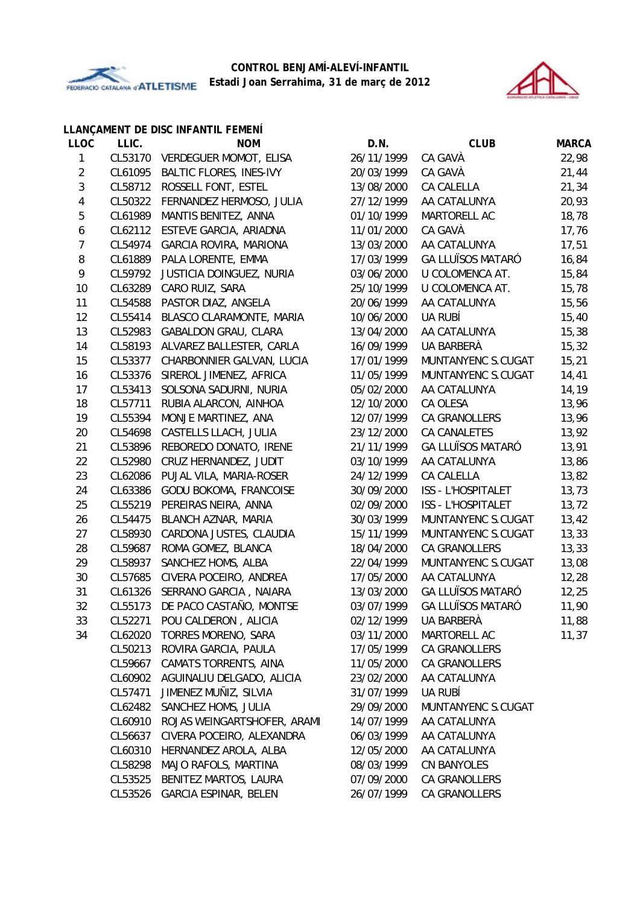



### **LLANÇAMENT DE DISC INFANTIL FEMENÍ**

| 26/11/1999<br>CL53170<br><b>VERDEGUER MOMOT, ELISA</b><br>1<br>CA GAVÀ<br>22,98<br>$\overline{a}$<br><b>BALTIC FLORES, INES-IVY</b><br>CA GAVÀ<br>21,44<br>CL61095<br>20/03/1999<br>3<br>21,34<br>CL58712<br>ROSSELL FONT, ESTEL<br>13/08/2000<br>CA CALELLA<br>AA CATALUNYA<br>20,93<br>4<br>CL50322<br>FERNANDEZ HERMOSO, JULIA<br>27/12/1999<br>5<br>CL61989<br>MANTIS BENITEZ, ANNA<br>MARTORELL AC<br>18,78<br>01/10/1999<br>6<br>ESTEVE GARCIA, ARIADNA<br>11/01/2000<br>CA GAVÀ<br>17,76<br>CL62112<br>$\overline{7}$<br>CL54974<br>13/03/2000<br>AA CATALUNYA<br>17,51<br><b>GARCIA ROVIRA, MARIONA</b><br>8<br>PALA LORENTE, EMMA<br>17/03/1999<br><b>GA LLUÏSOS MATARÓ</b><br>16,84<br>CL61889<br>9<br>15,84<br>CL59792<br>JUSTICIA DOINGUEZ, NURIA<br>03/06/2000<br>U COLOMENCA AT.<br>10<br>CL63289<br>CARO RUIZ, SARA<br>25/10/1999<br>U COLOMENCA AT.<br>15,78<br>15,56<br>11<br>CL54588<br>PASTOR DIAZ, ANGELA<br>20/06/1999<br>AA CATALUNYA<br>UA RUBÍ<br>15,40<br>12<br>CL55414<br>BLASCO CLARAMONTE, MARIA<br>10/06/2000<br>13<br>AA CATALUNYA<br>15,38<br>CL52983<br><b>GABALDON GRAU, CLARA</b><br>13/04/2000<br>14<br>ALVAREZ BALLESTER, CARLA<br>UA BARBERÀ<br>15,32<br>CL58193<br>16/09/1999<br>15<br>MUNTANYENC S.CUGAT<br>15,21<br>CL53377<br>CHARBONNIER GALVAN, LUCIA<br>17/01/1999<br>14,41<br>16<br>CL53376<br>SIREROL JIMENEZ, AFRICA<br>11/05/1999<br>MUNTANYENC S.CUGAT<br>14,19<br>17<br>CL53413<br>SOLSONA SADURNI, NURIA<br>05/02/2000<br>AA CATALUNYA<br>18<br>13,96<br>CL57711<br>RUBIA ALARCON, AINHOA<br>12/10/2000<br>CA OLESA<br>13,96<br>19<br>CL55394<br>MONJE MARTINEZ, ANA<br>12/07/1999<br>CA GRANOLLERS<br><b>CA CANALETES</b><br>13,92<br>20<br>CL54698<br>CASTELLS LLACH, JULIA<br>23/12/2000<br>21/11/1999<br><b>GA LLUÏSOS MATARÓ</b><br>13,91<br>21<br>CL53896<br>REBOREDO DONATO, IRENE<br>22<br>CL52980<br>03/10/1999<br>13,86<br>CRUZ HERNANDEZ, JUDIT<br>AA CATALUNYA<br>23<br>CA CALELLA<br>13,82<br>CL62086<br>PUJAL VILA, MARIA-ROSER<br>24/12/1999<br>13,73<br>24<br>CL63386<br>GODU BOKOMA, FRANCOISE<br>30/09/2000<br>ISS - L'HOSPITALET<br>13, 72<br>25<br>CL55219<br>PEREIRAS NEIRA, ANNA<br>02/09/2000<br>ISS - L'HOSPITALET<br>13,42<br>26<br>CL54475<br>BLANCH AZNAR, MARIA<br>30/03/1999<br>MUNTANYENC S.CUGAT<br>13,33<br>27<br>CARDONA JUSTES, CLAUDIA<br>CL58930<br>15/11/1999<br>MUNTANYENC S.CUGAT<br>13,33<br>28<br>CL59687<br>ROMA GOMEZ, BLANCA<br>18/04/2000<br>CA GRANOLLERS<br>13,08<br>29<br>CL58937<br>SANCHEZ HOMS, ALBA<br>22/04/1999<br>MUNTANYENC S.CUGAT<br>30<br>CIVERA POCEIRO, ANDREA<br>AA CATALUNYA<br>12,28<br>CL57685<br>17/05/2000<br>31<br>SERRANO GARCIA, NAIARA<br><b>GA LLUÏSOS MATARÓ</b><br>12,25<br>CL61326<br>13/03/2000<br>32<br>DE PACO CASTAÑO, MONTSE<br><b>GA LLUÏSOS MATARÓ</b><br>11,90<br>CL55173<br>03/07/1999<br>UA BARBERÀ<br>02/12/1999<br>33<br>CL52271<br>POU CALDERON, ALICIA<br>11,88<br>TORRES MORENO, SARA<br>34<br>CL62020<br>03/11/2000<br>MARTORELL AC<br>11,37<br>CL50213<br>ROVIRA GARCIA, PAULA<br>17/05/1999<br>CA GRANOLLERS<br>CL59667<br>CAMATS TORRENTS, AINA<br>CA GRANOLLERS<br>11/05/2000<br>AA CATALUNYA<br>CL60902<br>AGUINALIU DELGADO, ALICIA<br>23/02/2000<br>CL57471<br>JIMENEZ MUÑIZ, SILVIA<br>31/07/1999<br>UA RUBÍ<br>CL62482<br>SANCHEZ HOMS, JULIA<br>MUNTANYENC S.CUGAT<br>29/09/2000<br>CL60910<br>ROJAS WEINGARTSHOFER, ARAMI<br>14/07/1999<br>AA CATALUNYA<br>CL56637<br>CIVERA POCEIRO, ALEXANDRA<br>06/03/1999<br>AA CATALUNYA<br>HERNANDEZ AROLA, ALBA<br>AA CATALUNYA<br>CL60310<br>12/05/2000<br>CL58298<br>MAJO RAFOLS, MARTINA<br>08/03/1999<br><b>CN BANYOLES</b><br>CL53525<br>BENITEZ MARTOS, LAURA<br>07/09/2000<br>CA GRANOLLERS | <b>LLOC</b> | LLIC.   | <b>NOM</b>                   | D.N.       | <b>CLUB</b>   | <b>MARCA</b> |
|----------------------------------------------------------------------------------------------------------------------------------------------------------------------------------------------------------------------------------------------------------------------------------------------------------------------------------------------------------------------------------------------------------------------------------------------------------------------------------------------------------------------------------------------------------------------------------------------------------------------------------------------------------------------------------------------------------------------------------------------------------------------------------------------------------------------------------------------------------------------------------------------------------------------------------------------------------------------------------------------------------------------------------------------------------------------------------------------------------------------------------------------------------------------------------------------------------------------------------------------------------------------------------------------------------------------------------------------------------------------------------------------------------------------------------------------------------------------------------------------------------------------------------------------------------------------------------------------------------------------------------------------------------------------------------------------------------------------------------------------------------------------------------------------------------------------------------------------------------------------------------------------------------------------------------------------------------------------------------------------------------------------------------------------------------------------------------------------------------------------------------------------------------------------------------------------------------------------------------------------------------------------------------------------------------------------------------------------------------------------------------------------------------------------------------------------------------------------------------------------------------------------------------------------------------------------------------------------------------------------------------------------------------------------------------------------------------------------------------------------------------------------------------------------------------------------------------------------------------------------------------------------------------------------------------------------------------------------------------------------------------------------------------------------------------------------------------------------------------------------------------------------------------------------------------------------------------------------------------------------------------------------------------------------------------------------------------------------------------------------------------------------------------------------------------------------------------------------------------------------------------------------------------------------------------------------------------------------------------------------------------------------------------------------------------------------------|-------------|---------|------------------------------|------------|---------------|--------------|
|                                                                                                                                                                                                                                                                                                                                                                                                                                                                                                                                                                                                                                                                                                                                                                                                                                                                                                                                                                                                                                                                                                                                                                                                                                                                                                                                                                                                                                                                                                                                                                                                                                                                                                                                                                                                                                                                                                                                                                                                                                                                                                                                                                                                                                                                                                                                                                                                                                                                                                                                                                                                                                                                                                                                                                                                                                                                                                                                                                                                                                                                                                                                                                                                                                                                                                                                                                                                                                                                                                                                                                                                                                                                                                    |             |         |                              |            |               |              |
|                                                                                                                                                                                                                                                                                                                                                                                                                                                                                                                                                                                                                                                                                                                                                                                                                                                                                                                                                                                                                                                                                                                                                                                                                                                                                                                                                                                                                                                                                                                                                                                                                                                                                                                                                                                                                                                                                                                                                                                                                                                                                                                                                                                                                                                                                                                                                                                                                                                                                                                                                                                                                                                                                                                                                                                                                                                                                                                                                                                                                                                                                                                                                                                                                                                                                                                                                                                                                                                                                                                                                                                                                                                                                                    |             |         |                              |            |               |              |
|                                                                                                                                                                                                                                                                                                                                                                                                                                                                                                                                                                                                                                                                                                                                                                                                                                                                                                                                                                                                                                                                                                                                                                                                                                                                                                                                                                                                                                                                                                                                                                                                                                                                                                                                                                                                                                                                                                                                                                                                                                                                                                                                                                                                                                                                                                                                                                                                                                                                                                                                                                                                                                                                                                                                                                                                                                                                                                                                                                                                                                                                                                                                                                                                                                                                                                                                                                                                                                                                                                                                                                                                                                                                                                    |             |         |                              |            |               |              |
|                                                                                                                                                                                                                                                                                                                                                                                                                                                                                                                                                                                                                                                                                                                                                                                                                                                                                                                                                                                                                                                                                                                                                                                                                                                                                                                                                                                                                                                                                                                                                                                                                                                                                                                                                                                                                                                                                                                                                                                                                                                                                                                                                                                                                                                                                                                                                                                                                                                                                                                                                                                                                                                                                                                                                                                                                                                                                                                                                                                                                                                                                                                                                                                                                                                                                                                                                                                                                                                                                                                                                                                                                                                                                                    |             |         |                              |            |               |              |
|                                                                                                                                                                                                                                                                                                                                                                                                                                                                                                                                                                                                                                                                                                                                                                                                                                                                                                                                                                                                                                                                                                                                                                                                                                                                                                                                                                                                                                                                                                                                                                                                                                                                                                                                                                                                                                                                                                                                                                                                                                                                                                                                                                                                                                                                                                                                                                                                                                                                                                                                                                                                                                                                                                                                                                                                                                                                                                                                                                                                                                                                                                                                                                                                                                                                                                                                                                                                                                                                                                                                                                                                                                                                                                    |             |         |                              |            |               |              |
|                                                                                                                                                                                                                                                                                                                                                                                                                                                                                                                                                                                                                                                                                                                                                                                                                                                                                                                                                                                                                                                                                                                                                                                                                                                                                                                                                                                                                                                                                                                                                                                                                                                                                                                                                                                                                                                                                                                                                                                                                                                                                                                                                                                                                                                                                                                                                                                                                                                                                                                                                                                                                                                                                                                                                                                                                                                                                                                                                                                                                                                                                                                                                                                                                                                                                                                                                                                                                                                                                                                                                                                                                                                                                                    |             |         |                              |            |               |              |
|                                                                                                                                                                                                                                                                                                                                                                                                                                                                                                                                                                                                                                                                                                                                                                                                                                                                                                                                                                                                                                                                                                                                                                                                                                                                                                                                                                                                                                                                                                                                                                                                                                                                                                                                                                                                                                                                                                                                                                                                                                                                                                                                                                                                                                                                                                                                                                                                                                                                                                                                                                                                                                                                                                                                                                                                                                                                                                                                                                                                                                                                                                                                                                                                                                                                                                                                                                                                                                                                                                                                                                                                                                                                                                    |             |         |                              |            |               |              |
|                                                                                                                                                                                                                                                                                                                                                                                                                                                                                                                                                                                                                                                                                                                                                                                                                                                                                                                                                                                                                                                                                                                                                                                                                                                                                                                                                                                                                                                                                                                                                                                                                                                                                                                                                                                                                                                                                                                                                                                                                                                                                                                                                                                                                                                                                                                                                                                                                                                                                                                                                                                                                                                                                                                                                                                                                                                                                                                                                                                                                                                                                                                                                                                                                                                                                                                                                                                                                                                                                                                                                                                                                                                                                                    |             |         |                              |            |               |              |
|                                                                                                                                                                                                                                                                                                                                                                                                                                                                                                                                                                                                                                                                                                                                                                                                                                                                                                                                                                                                                                                                                                                                                                                                                                                                                                                                                                                                                                                                                                                                                                                                                                                                                                                                                                                                                                                                                                                                                                                                                                                                                                                                                                                                                                                                                                                                                                                                                                                                                                                                                                                                                                                                                                                                                                                                                                                                                                                                                                                                                                                                                                                                                                                                                                                                                                                                                                                                                                                                                                                                                                                                                                                                                                    |             |         |                              |            |               |              |
|                                                                                                                                                                                                                                                                                                                                                                                                                                                                                                                                                                                                                                                                                                                                                                                                                                                                                                                                                                                                                                                                                                                                                                                                                                                                                                                                                                                                                                                                                                                                                                                                                                                                                                                                                                                                                                                                                                                                                                                                                                                                                                                                                                                                                                                                                                                                                                                                                                                                                                                                                                                                                                                                                                                                                                                                                                                                                                                                                                                                                                                                                                                                                                                                                                                                                                                                                                                                                                                                                                                                                                                                                                                                                                    |             |         |                              |            |               |              |
|                                                                                                                                                                                                                                                                                                                                                                                                                                                                                                                                                                                                                                                                                                                                                                                                                                                                                                                                                                                                                                                                                                                                                                                                                                                                                                                                                                                                                                                                                                                                                                                                                                                                                                                                                                                                                                                                                                                                                                                                                                                                                                                                                                                                                                                                                                                                                                                                                                                                                                                                                                                                                                                                                                                                                                                                                                                                                                                                                                                                                                                                                                                                                                                                                                                                                                                                                                                                                                                                                                                                                                                                                                                                                                    |             |         |                              |            |               |              |
|                                                                                                                                                                                                                                                                                                                                                                                                                                                                                                                                                                                                                                                                                                                                                                                                                                                                                                                                                                                                                                                                                                                                                                                                                                                                                                                                                                                                                                                                                                                                                                                                                                                                                                                                                                                                                                                                                                                                                                                                                                                                                                                                                                                                                                                                                                                                                                                                                                                                                                                                                                                                                                                                                                                                                                                                                                                                                                                                                                                                                                                                                                                                                                                                                                                                                                                                                                                                                                                                                                                                                                                                                                                                                                    |             |         |                              |            |               |              |
|                                                                                                                                                                                                                                                                                                                                                                                                                                                                                                                                                                                                                                                                                                                                                                                                                                                                                                                                                                                                                                                                                                                                                                                                                                                                                                                                                                                                                                                                                                                                                                                                                                                                                                                                                                                                                                                                                                                                                                                                                                                                                                                                                                                                                                                                                                                                                                                                                                                                                                                                                                                                                                                                                                                                                                                                                                                                                                                                                                                                                                                                                                                                                                                                                                                                                                                                                                                                                                                                                                                                                                                                                                                                                                    |             |         |                              |            |               |              |
|                                                                                                                                                                                                                                                                                                                                                                                                                                                                                                                                                                                                                                                                                                                                                                                                                                                                                                                                                                                                                                                                                                                                                                                                                                                                                                                                                                                                                                                                                                                                                                                                                                                                                                                                                                                                                                                                                                                                                                                                                                                                                                                                                                                                                                                                                                                                                                                                                                                                                                                                                                                                                                                                                                                                                                                                                                                                                                                                                                                                                                                                                                                                                                                                                                                                                                                                                                                                                                                                                                                                                                                                                                                                                                    |             |         |                              |            |               |              |
|                                                                                                                                                                                                                                                                                                                                                                                                                                                                                                                                                                                                                                                                                                                                                                                                                                                                                                                                                                                                                                                                                                                                                                                                                                                                                                                                                                                                                                                                                                                                                                                                                                                                                                                                                                                                                                                                                                                                                                                                                                                                                                                                                                                                                                                                                                                                                                                                                                                                                                                                                                                                                                                                                                                                                                                                                                                                                                                                                                                                                                                                                                                                                                                                                                                                                                                                                                                                                                                                                                                                                                                                                                                                                                    |             |         |                              |            |               |              |
|                                                                                                                                                                                                                                                                                                                                                                                                                                                                                                                                                                                                                                                                                                                                                                                                                                                                                                                                                                                                                                                                                                                                                                                                                                                                                                                                                                                                                                                                                                                                                                                                                                                                                                                                                                                                                                                                                                                                                                                                                                                                                                                                                                                                                                                                                                                                                                                                                                                                                                                                                                                                                                                                                                                                                                                                                                                                                                                                                                                                                                                                                                                                                                                                                                                                                                                                                                                                                                                                                                                                                                                                                                                                                                    |             |         |                              |            |               |              |
|                                                                                                                                                                                                                                                                                                                                                                                                                                                                                                                                                                                                                                                                                                                                                                                                                                                                                                                                                                                                                                                                                                                                                                                                                                                                                                                                                                                                                                                                                                                                                                                                                                                                                                                                                                                                                                                                                                                                                                                                                                                                                                                                                                                                                                                                                                                                                                                                                                                                                                                                                                                                                                                                                                                                                                                                                                                                                                                                                                                                                                                                                                                                                                                                                                                                                                                                                                                                                                                                                                                                                                                                                                                                                                    |             |         |                              |            |               |              |
|                                                                                                                                                                                                                                                                                                                                                                                                                                                                                                                                                                                                                                                                                                                                                                                                                                                                                                                                                                                                                                                                                                                                                                                                                                                                                                                                                                                                                                                                                                                                                                                                                                                                                                                                                                                                                                                                                                                                                                                                                                                                                                                                                                                                                                                                                                                                                                                                                                                                                                                                                                                                                                                                                                                                                                                                                                                                                                                                                                                                                                                                                                                                                                                                                                                                                                                                                                                                                                                                                                                                                                                                                                                                                                    |             |         |                              |            |               |              |
|                                                                                                                                                                                                                                                                                                                                                                                                                                                                                                                                                                                                                                                                                                                                                                                                                                                                                                                                                                                                                                                                                                                                                                                                                                                                                                                                                                                                                                                                                                                                                                                                                                                                                                                                                                                                                                                                                                                                                                                                                                                                                                                                                                                                                                                                                                                                                                                                                                                                                                                                                                                                                                                                                                                                                                                                                                                                                                                                                                                                                                                                                                                                                                                                                                                                                                                                                                                                                                                                                                                                                                                                                                                                                                    |             |         |                              |            |               |              |
|                                                                                                                                                                                                                                                                                                                                                                                                                                                                                                                                                                                                                                                                                                                                                                                                                                                                                                                                                                                                                                                                                                                                                                                                                                                                                                                                                                                                                                                                                                                                                                                                                                                                                                                                                                                                                                                                                                                                                                                                                                                                                                                                                                                                                                                                                                                                                                                                                                                                                                                                                                                                                                                                                                                                                                                                                                                                                                                                                                                                                                                                                                                                                                                                                                                                                                                                                                                                                                                                                                                                                                                                                                                                                                    |             |         |                              |            |               |              |
|                                                                                                                                                                                                                                                                                                                                                                                                                                                                                                                                                                                                                                                                                                                                                                                                                                                                                                                                                                                                                                                                                                                                                                                                                                                                                                                                                                                                                                                                                                                                                                                                                                                                                                                                                                                                                                                                                                                                                                                                                                                                                                                                                                                                                                                                                                                                                                                                                                                                                                                                                                                                                                                                                                                                                                                                                                                                                                                                                                                                                                                                                                                                                                                                                                                                                                                                                                                                                                                                                                                                                                                                                                                                                                    |             |         |                              |            |               |              |
|                                                                                                                                                                                                                                                                                                                                                                                                                                                                                                                                                                                                                                                                                                                                                                                                                                                                                                                                                                                                                                                                                                                                                                                                                                                                                                                                                                                                                                                                                                                                                                                                                                                                                                                                                                                                                                                                                                                                                                                                                                                                                                                                                                                                                                                                                                                                                                                                                                                                                                                                                                                                                                                                                                                                                                                                                                                                                                                                                                                                                                                                                                                                                                                                                                                                                                                                                                                                                                                                                                                                                                                                                                                                                                    |             |         |                              |            |               |              |
|                                                                                                                                                                                                                                                                                                                                                                                                                                                                                                                                                                                                                                                                                                                                                                                                                                                                                                                                                                                                                                                                                                                                                                                                                                                                                                                                                                                                                                                                                                                                                                                                                                                                                                                                                                                                                                                                                                                                                                                                                                                                                                                                                                                                                                                                                                                                                                                                                                                                                                                                                                                                                                                                                                                                                                                                                                                                                                                                                                                                                                                                                                                                                                                                                                                                                                                                                                                                                                                                                                                                                                                                                                                                                                    |             |         |                              |            |               |              |
|                                                                                                                                                                                                                                                                                                                                                                                                                                                                                                                                                                                                                                                                                                                                                                                                                                                                                                                                                                                                                                                                                                                                                                                                                                                                                                                                                                                                                                                                                                                                                                                                                                                                                                                                                                                                                                                                                                                                                                                                                                                                                                                                                                                                                                                                                                                                                                                                                                                                                                                                                                                                                                                                                                                                                                                                                                                                                                                                                                                                                                                                                                                                                                                                                                                                                                                                                                                                                                                                                                                                                                                                                                                                                                    |             |         |                              |            |               |              |
|                                                                                                                                                                                                                                                                                                                                                                                                                                                                                                                                                                                                                                                                                                                                                                                                                                                                                                                                                                                                                                                                                                                                                                                                                                                                                                                                                                                                                                                                                                                                                                                                                                                                                                                                                                                                                                                                                                                                                                                                                                                                                                                                                                                                                                                                                                                                                                                                                                                                                                                                                                                                                                                                                                                                                                                                                                                                                                                                                                                                                                                                                                                                                                                                                                                                                                                                                                                                                                                                                                                                                                                                                                                                                                    |             |         |                              |            |               |              |
|                                                                                                                                                                                                                                                                                                                                                                                                                                                                                                                                                                                                                                                                                                                                                                                                                                                                                                                                                                                                                                                                                                                                                                                                                                                                                                                                                                                                                                                                                                                                                                                                                                                                                                                                                                                                                                                                                                                                                                                                                                                                                                                                                                                                                                                                                                                                                                                                                                                                                                                                                                                                                                                                                                                                                                                                                                                                                                                                                                                                                                                                                                                                                                                                                                                                                                                                                                                                                                                                                                                                                                                                                                                                                                    |             |         |                              |            |               |              |
|                                                                                                                                                                                                                                                                                                                                                                                                                                                                                                                                                                                                                                                                                                                                                                                                                                                                                                                                                                                                                                                                                                                                                                                                                                                                                                                                                                                                                                                                                                                                                                                                                                                                                                                                                                                                                                                                                                                                                                                                                                                                                                                                                                                                                                                                                                                                                                                                                                                                                                                                                                                                                                                                                                                                                                                                                                                                                                                                                                                                                                                                                                                                                                                                                                                                                                                                                                                                                                                                                                                                                                                                                                                                                                    |             |         |                              |            |               |              |
|                                                                                                                                                                                                                                                                                                                                                                                                                                                                                                                                                                                                                                                                                                                                                                                                                                                                                                                                                                                                                                                                                                                                                                                                                                                                                                                                                                                                                                                                                                                                                                                                                                                                                                                                                                                                                                                                                                                                                                                                                                                                                                                                                                                                                                                                                                                                                                                                                                                                                                                                                                                                                                                                                                                                                                                                                                                                                                                                                                                                                                                                                                                                                                                                                                                                                                                                                                                                                                                                                                                                                                                                                                                                                                    |             |         |                              |            |               |              |
|                                                                                                                                                                                                                                                                                                                                                                                                                                                                                                                                                                                                                                                                                                                                                                                                                                                                                                                                                                                                                                                                                                                                                                                                                                                                                                                                                                                                                                                                                                                                                                                                                                                                                                                                                                                                                                                                                                                                                                                                                                                                                                                                                                                                                                                                                                                                                                                                                                                                                                                                                                                                                                                                                                                                                                                                                                                                                                                                                                                                                                                                                                                                                                                                                                                                                                                                                                                                                                                                                                                                                                                                                                                                                                    |             |         |                              |            |               |              |
|                                                                                                                                                                                                                                                                                                                                                                                                                                                                                                                                                                                                                                                                                                                                                                                                                                                                                                                                                                                                                                                                                                                                                                                                                                                                                                                                                                                                                                                                                                                                                                                                                                                                                                                                                                                                                                                                                                                                                                                                                                                                                                                                                                                                                                                                                                                                                                                                                                                                                                                                                                                                                                                                                                                                                                                                                                                                                                                                                                                                                                                                                                                                                                                                                                                                                                                                                                                                                                                                                                                                                                                                                                                                                                    |             |         |                              |            |               |              |
|                                                                                                                                                                                                                                                                                                                                                                                                                                                                                                                                                                                                                                                                                                                                                                                                                                                                                                                                                                                                                                                                                                                                                                                                                                                                                                                                                                                                                                                                                                                                                                                                                                                                                                                                                                                                                                                                                                                                                                                                                                                                                                                                                                                                                                                                                                                                                                                                                                                                                                                                                                                                                                                                                                                                                                                                                                                                                                                                                                                                                                                                                                                                                                                                                                                                                                                                                                                                                                                                                                                                                                                                                                                                                                    |             |         |                              |            |               |              |
|                                                                                                                                                                                                                                                                                                                                                                                                                                                                                                                                                                                                                                                                                                                                                                                                                                                                                                                                                                                                                                                                                                                                                                                                                                                                                                                                                                                                                                                                                                                                                                                                                                                                                                                                                                                                                                                                                                                                                                                                                                                                                                                                                                                                                                                                                                                                                                                                                                                                                                                                                                                                                                                                                                                                                                                                                                                                                                                                                                                                                                                                                                                                                                                                                                                                                                                                                                                                                                                                                                                                                                                                                                                                                                    |             |         |                              |            |               |              |
|                                                                                                                                                                                                                                                                                                                                                                                                                                                                                                                                                                                                                                                                                                                                                                                                                                                                                                                                                                                                                                                                                                                                                                                                                                                                                                                                                                                                                                                                                                                                                                                                                                                                                                                                                                                                                                                                                                                                                                                                                                                                                                                                                                                                                                                                                                                                                                                                                                                                                                                                                                                                                                                                                                                                                                                                                                                                                                                                                                                                                                                                                                                                                                                                                                                                                                                                                                                                                                                                                                                                                                                                                                                                                                    |             |         |                              |            |               |              |
|                                                                                                                                                                                                                                                                                                                                                                                                                                                                                                                                                                                                                                                                                                                                                                                                                                                                                                                                                                                                                                                                                                                                                                                                                                                                                                                                                                                                                                                                                                                                                                                                                                                                                                                                                                                                                                                                                                                                                                                                                                                                                                                                                                                                                                                                                                                                                                                                                                                                                                                                                                                                                                                                                                                                                                                                                                                                                                                                                                                                                                                                                                                                                                                                                                                                                                                                                                                                                                                                                                                                                                                                                                                                                                    |             |         |                              |            |               |              |
|                                                                                                                                                                                                                                                                                                                                                                                                                                                                                                                                                                                                                                                                                                                                                                                                                                                                                                                                                                                                                                                                                                                                                                                                                                                                                                                                                                                                                                                                                                                                                                                                                                                                                                                                                                                                                                                                                                                                                                                                                                                                                                                                                                                                                                                                                                                                                                                                                                                                                                                                                                                                                                                                                                                                                                                                                                                                                                                                                                                                                                                                                                                                                                                                                                                                                                                                                                                                                                                                                                                                                                                                                                                                                                    |             |         |                              |            |               |              |
|                                                                                                                                                                                                                                                                                                                                                                                                                                                                                                                                                                                                                                                                                                                                                                                                                                                                                                                                                                                                                                                                                                                                                                                                                                                                                                                                                                                                                                                                                                                                                                                                                                                                                                                                                                                                                                                                                                                                                                                                                                                                                                                                                                                                                                                                                                                                                                                                                                                                                                                                                                                                                                                                                                                                                                                                                                                                                                                                                                                                                                                                                                                                                                                                                                                                                                                                                                                                                                                                                                                                                                                                                                                                                                    |             |         |                              |            |               |              |
|                                                                                                                                                                                                                                                                                                                                                                                                                                                                                                                                                                                                                                                                                                                                                                                                                                                                                                                                                                                                                                                                                                                                                                                                                                                                                                                                                                                                                                                                                                                                                                                                                                                                                                                                                                                                                                                                                                                                                                                                                                                                                                                                                                                                                                                                                                                                                                                                                                                                                                                                                                                                                                                                                                                                                                                                                                                                                                                                                                                                                                                                                                                                                                                                                                                                                                                                                                                                                                                                                                                                                                                                                                                                                                    |             |         |                              |            |               |              |
|                                                                                                                                                                                                                                                                                                                                                                                                                                                                                                                                                                                                                                                                                                                                                                                                                                                                                                                                                                                                                                                                                                                                                                                                                                                                                                                                                                                                                                                                                                                                                                                                                                                                                                                                                                                                                                                                                                                                                                                                                                                                                                                                                                                                                                                                                                                                                                                                                                                                                                                                                                                                                                                                                                                                                                                                                                                                                                                                                                                                                                                                                                                                                                                                                                                                                                                                                                                                                                                                                                                                                                                                                                                                                                    |             |         |                              |            |               |              |
|                                                                                                                                                                                                                                                                                                                                                                                                                                                                                                                                                                                                                                                                                                                                                                                                                                                                                                                                                                                                                                                                                                                                                                                                                                                                                                                                                                                                                                                                                                                                                                                                                                                                                                                                                                                                                                                                                                                                                                                                                                                                                                                                                                                                                                                                                                                                                                                                                                                                                                                                                                                                                                                                                                                                                                                                                                                                                                                                                                                                                                                                                                                                                                                                                                                                                                                                                                                                                                                                                                                                                                                                                                                                                                    |             |         |                              |            |               |              |
|                                                                                                                                                                                                                                                                                                                                                                                                                                                                                                                                                                                                                                                                                                                                                                                                                                                                                                                                                                                                                                                                                                                                                                                                                                                                                                                                                                                                                                                                                                                                                                                                                                                                                                                                                                                                                                                                                                                                                                                                                                                                                                                                                                                                                                                                                                                                                                                                                                                                                                                                                                                                                                                                                                                                                                                                                                                                                                                                                                                                                                                                                                                                                                                                                                                                                                                                                                                                                                                                                                                                                                                                                                                                                                    |             |         |                              |            |               |              |
|                                                                                                                                                                                                                                                                                                                                                                                                                                                                                                                                                                                                                                                                                                                                                                                                                                                                                                                                                                                                                                                                                                                                                                                                                                                                                                                                                                                                                                                                                                                                                                                                                                                                                                                                                                                                                                                                                                                                                                                                                                                                                                                                                                                                                                                                                                                                                                                                                                                                                                                                                                                                                                                                                                                                                                                                                                                                                                                                                                                                                                                                                                                                                                                                                                                                                                                                                                                                                                                                                                                                                                                                                                                                                                    |             |         |                              |            |               |              |
|                                                                                                                                                                                                                                                                                                                                                                                                                                                                                                                                                                                                                                                                                                                                                                                                                                                                                                                                                                                                                                                                                                                                                                                                                                                                                                                                                                                                                                                                                                                                                                                                                                                                                                                                                                                                                                                                                                                                                                                                                                                                                                                                                                                                                                                                                                                                                                                                                                                                                                                                                                                                                                                                                                                                                                                                                                                                                                                                                                                                                                                                                                                                                                                                                                                                                                                                                                                                                                                                                                                                                                                                                                                                                                    |             |         |                              |            |               |              |
|                                                                                                                                                                                                                                                                                                                                                                                                                                                                                                                                                                                                                                                                                                                                                                                                                                                                                                                                                                                                                                                                                                                                                                                                                                                                                                                                                                                                                                                                                                                                                                                                                                                                                                                                                                                                                                                                                                                                                                                                                                                                                                                                                                                                                                                                                                                                                                                                                                                                                                                                                                                                                                                                                                                                                                                                                                                                                                                                                                                                                                                                                                                                                                                                                                                                                                                                                                                                                                                                                                                                                                                                                                                                                                    |             |         |                              |            |               |              |
|                                                                                                                                                                                                                                                                                                                                                                                                                                                                                                                                                                                                                                                                                                                                                                                                                                                                                                                                                                                                                                                                                                                                                                                                                                                                                                                                                                                                                                                                                                                                                                                                                                                                                                                                                                                                                                                                                                                                                                                                                                                                                                                                                                                                                                                                                                                                                                                                                                                                                                                                                                                                                                                                                                                                                                                                                                                                                                                                                                                                                                                                                                                                                                                                                                                                                                                                                                                                                                                                                                                                                                                                                                                                                                    |             |         |                              |            |               |              |
|                                                                                                                                                                                                                                                                                                                                                                                                                                                                                                                                                                                                                                                                                                                                                                                                                                                                                                                                                                                                                                                                                                                                                                                                                                                                                                                                                                                                                                                                                                                                                                                                                                                                                                                                                                                                                                                                                                                                                                                                                                                                                                                                                                                                                                                                                                                                                                                                                                                                                                                                                                                                                                                                                                                                                                                                                                                                                                                                                                                                                                                                                                                                                                                                                                                                                                                                                                                                                                                                                                                                                                                                                                                                                                    |             | CL53526 | <b>GARCIA ESPINAR, BELEN</b> | 26/07/1999 | CA GRANOLLERS |              |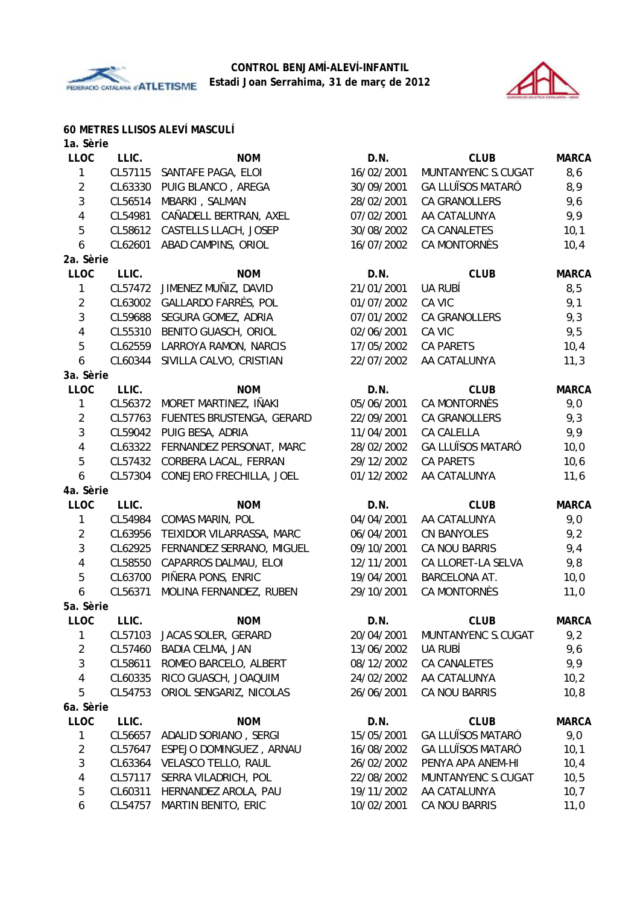



### **60 METRES LLISOS ALEVÍ MASCULÍ**

| 1a. Sèrie               |         |                           |            |                          |              |
|-------------------------|---------|---------------------------|------------|--------------------------|--------------|
| <b>LLOC</b>             | LLIC.   | <b>NOM</b>                | D.N.       | <b>CLUB</b>              | <b>MARCA</b> |
| 1                       | CL57115 | SANTAFE PAGA, ELOI        | 16/02/2001 | MUNTANYENC S.CUGAT       | 8,6          |
| $\overline{2}$          | CL63330 | PUIG BLANCO, AREGA        | 30/09/2001 | <b>GA LLUÏSOS MATARÓ</b> | 8,9          |
| 3                       | CL56514 | MBARKI, SALMAN            | 28/02/2001 | <b>CA GRANOLLERS</b>     | 9,6          |
| 4                       | CL54981 | CAÑADELL BERTRAN, AXEL    | 07/02/2001 | AA CATALUNYA             | 9,9          |
| 5                       | CL58612 | CASTELLS LLACH, JOSEP     | 30/08/2002 | CA CANALETES             | 10,1         |
| 6                       | CL62601 | ABAD CAMPINS, ORIOL       | 16/07/2002 | CA MONTORNÈS             | 10,4         |
| 2a. Sèrie               |         |                           |            |                          |              |
| <b>LLOC</b>             | LLIC.   | <b>NOM</b>                | D.N.       | <b>CLUB</b>              | <b>MARCA</b> |
| 1                       | CL57472 | JIMENEZ MUÑIZ, DAVID      | 21/01/2001 | UA RUBÍ                  | 8,5          |
| $\overline{2}$          | CL63002 | GALLARDO FARRÉS, POL      | 01/07/2002 | CA VIC                   | 9,1          |
| 3                       | CL59688 | SEGURA GOMEZ, ADRIA       | 07/01/2002 | CA GRANOLLERS            | 9,3          |
| 4                       | CL55310 | BENITO GUASCH, ORIOL      | 02/06/2001 | CA VIC                   | 9,5          |
| 5                       | CL62559 | LARROYA RAMON, NARCIS     | 17/05/2002 | <b>CA PARETS</b>         | 10,4         |
| 6                       | CL60344 | SIVILLA CALVO, CRISTIAN   | 22/07/2002 | AA CATALUNYA             | 11,3         |
| 3a. Sèrie               |         |                           |            |                          |              |
| <b>LLOC</b>             | LLIC.   | <b>NOM</b>                | D.N.       | <b>CLUB</b>              | <b>MARCA</b> |
| 1                       | CL56372 | MORET MARTINEZ, IÑAKI     | 05/06/2001 | <b>CA MONTORNÈS</b>      | 9,0          |
| $\sqrt{2}$              | CL57763 | FUENTES BRUSTENGA, GERARD | 22/09/2001 | CA GRANOLLERS            | 9,3          |
| $\mathbf{3}$            | CL59042 | PUIG BESA, ADRIA          | 11/04/2001 | CA CALELLA               | 9,9          |
| 4                       | CL63322 | FERNANDEZ PERSONAT, MARC  | 28/02/2002 | <b>GA LLUÏSOS MATARÓ</b> | 10,0         |
| 5                       | CL57432 | CORBERA LACAL, FERRAN     | 29/12/2002 | <b>CA PARETS</b>         | 10,6         |
| 6                       | CL57304 | CONEJERO FRECHILLA, JOEL  | 01/12/2002 | AA CATALUNYA             | 11,6         |
| 4a. Sèrie               |         |                           |            |                          |              |
| <b>LLOC</b>             | LLIC.   | <b>NOM</b>                | D.N.       | <b>CLUB</b>              | <b>MARCA</b> |
| 1                       | CL54984 | <b>COMAS MARIN, POL</b>   | 04/04/2001 | AA CATALUNYA             | 9,0          |
| $\overline{2}$          | CL63956 | TEIXIDOR VILARRASSA, MARC | 06/04/2001 | CN BANYOLES              | 9,2          |
| $\sqrt{3}$              | CL62925 | FERNANDEZ SERRANO, MIGUEL | 09/10/2001 | CA NOU BARRIS            | 9,4          |
| 4                       | CL58550 | CAPARROS DALMAU, ELOI     | 12/11/2001 | CA LLORET-LA SELVA       | 9,8          |
| 5                       | CL63700 | PIÑERA PONS, ENRIC        | 19/04/2001 | BARCELONA AT.            | 10,0         |
| 6                       | CL56371 | MOLINA FERNANDEZ, RUBEN   | 29/10/2001 | CA MONTORNÈS             | 11,0         |
| 5a. Sèrie               |         |                           |            |                          |              |
| LLOC                    | LLIC.   | <b>NOM</b>                | D.N.       | <b>CLUB</b>              | <b>MARCA</b> |
| 1                       | CL57103 | JACAS SOLER, GERARD       | 20/04/2001 | MUNTANYENC S.CUGAT       | 9,2          |
| $\overline{2}$          | CL57460 | <b>BADIA CELMA, JAN</b>   | 13/06/2002 | UA RUBÍ                  | 9,6          |
| 3                       | CL58611 | ROMEO BARCELO, ALBERT     | 08/12/2002 | CA CANALETES             | 9,9          |
| $\overline{\mathbf{4}}$ | CL60335 | RICO GUASCH, JOAQUIM      | 24/02/2002 | AA CATALUNYA             | 10,2         |
| 5                       | CL54753 | ORIOL SENGARIZ, NICOLAS   | 26/06/2001 | CA NOU BARRIS            | 10, 8        |
| 6a. Sèrie               |         |                           |            |                          |              |
| <b>LLOC</b>             | LLIC.   | <b>NOM</b>                | D.N.       | <b>CLUB</b>              | <b>MARCA</b> |
| 1                       | CL56657 | ADALID SORIANO, SERGI     | 15/05/2001 | <b>GA LLUÏSOS MATARÓ</b> | 9,0          |
| $\overline{c}$          | CL57647 | ESPEJO DOMINGUEZ, ARNAU   | 16/08/2002 | <b>GA LLUÏSOS MATARÓ</b> | 10,1         |
| 3                       | CL63364 | VELASCO TELLO, RAUL       | 26/02/2002 | PENYA APA ANEM-HI        | 10,4         |
| 4                       | CL57117 | SERRA VILADRICH, POL      | 22/08/2002 | MUNTANYENC S.CUGAT       | 10, 5        |
| 5                       | CL60311 | HERNANDEZ AROLA, PAU      | 19/11/2002 | AA CATALUNYA             | 10,7         |
| 6                       | CL54757 | MARTIN BENITO, ERIC       | 10/02/2001 | CA NOU BARRIS            | 11,0         |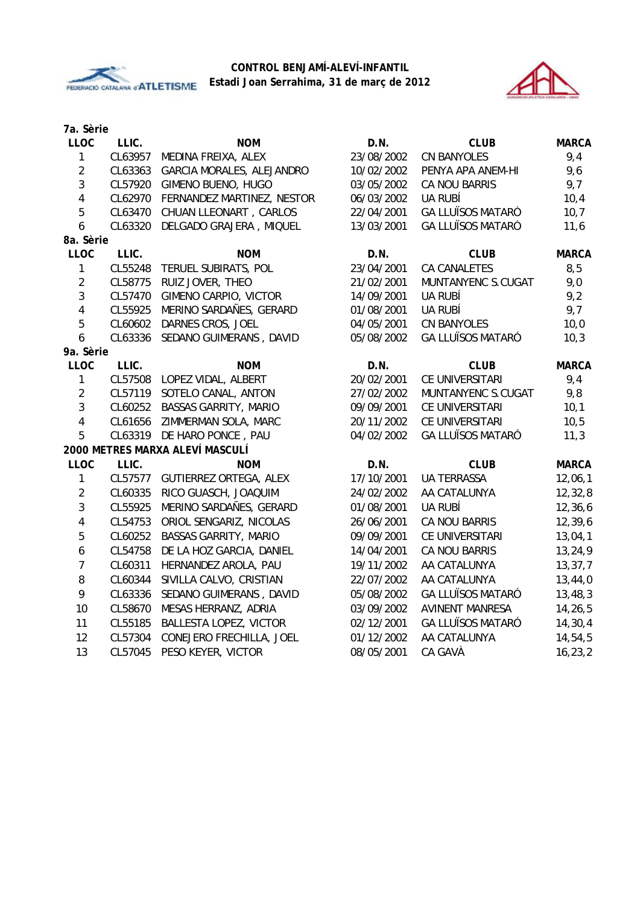



| 7a. Sèrie               |         |                                 |            |                          |              |
|-------------------------|---------|---------------------------------|------------|--------------------------|--------------|
| <b>LLOC</b>             | LLIC.   | <b>NOM</b>                      | D.N.       | <b>CLUB</b>              | <b>MARCA</b> |
| $\mathbf{1}$            | CL63957 | MEDINA FREIXA, ALEX             | 23/08/2002 | <b>CN BANYOLES</b>       | 9,4          |
| $\overline{2}$          | CL63363 | GARCIA MORALES, ALEJANDRO       | 10/02/2002 | PENYA APA ANEM-HI        | 9,6          |
| 3                       | CL57920 | GIMENO BUENO, HUGO              | 03/05/2002 | CA NOU BARRIS            | 9,7          |
| $\overline{\mathbf{4}}$ | CL62970 | FERNANDEZ MARTINEZ, NESTOR      | 06/03/2002 | <b>UA RUBÍ</b>           | 10,4         |
| 5                       | CL63470 | CHUAN LLEONART, CARLOS          | 22/04/2001 | <b>GA LLUÏSOS MATARÓ</b> | 10,7         |
| $\boldsymbol{6}$        | CL63320 | DELGADO GRAJERA, MIQUEL         | 13/03/2001 | <b>GA LLUÏSOS MATARÓ</b> | 11,6         |
| 8a. Sèrie               |         |                                 |            |                          |              |
| <b>LLOC</b>             | LLIC.   | <b>NOM</b>                      | D.N.       | <b>CLUB</b>              | <b>MARCA</b> |
| 1                       | CL55248 | TERUEL SUBIRATS, POL            | 23/04/2001 | CA CANALETES             | 8,5          |
| $\overline{2}$          | CL58775 | RUIZ JOVER, THEO                | 21/02/2001 | MUNTANYENC S.CUGAT       | 9,0          |
| $\mathbf{3}$            | CL57470 | GIMENO CARPIO, VICTOR           | 14/09/2001 | UA RUBÍ                  | 9,2          |
| $\overline{4}$          | CL55925 | MERINO SARDAÑES, GERARD         | 01/08/2001 | UA RUBÍ                  | 9,7          |
| 5                       | CL60602 | DARNES CROS, JOEL               | 04/05/2001 | <b>CN BANYOLES</b>       | 10,0         |
| $\boldsymbol{6}$        | CL63336 | SEDANO GUIMERANS, DAVID         | 05/08/2002 | <b>GA LLUÏSOS MATARÓ</b> | 10,3         |
| 9a. Sèrie               |         |                                 |            |                          |              |
| LLOC                    | LLIC.   | <b>NOM</b>                      | D.N.       | <b>CLUB</b>              | <b>MARCA</b> |
| $\mathbf{1}$            | CL57508 | LOPEZ VIDAL, ALBERT             | 20/02/2001 | CE UNIVERSITARI          | 9,4          |
| $\overline{2}$          | CL57119 | SOTELO CANAL, ANTON             | 27/02/2002 | MUNTANYENC S.CUGAT       | 9,8          |
| 3                       | CL60252 | <b>BASSAS GARRITY, MARIO</b>    | 09/09/2001 | CE UNIVERSITARI          | 10,1         |
| 4                       | CL61656 | ZIMMERMAN SOLA, MARC            | 20/11/2002 | CE UNIVERSITARI          | 10, 5        |
| 5                       | CL63319 | DE HARO PONCE, PAU              | 04/02/2002 | <b>GA LLUÏSOS MATARÓ</b> | 11,3         |
|                         |         | 2000 METRES MARXA ALEVÍ MASCULÍ |            |                          |              |
| <b>LLOC</b>             | LLIC.   | <b>NOM</b>                      | D.N.       | <b>CLUB</b>              | <b>MARCA</b> |
| $\mathbf{1}$            | CL57577 | GUTIERREZ ORTEGA, ALEX          | 17/10/2001 | <b>UA TERRASSA</b>       | 12,06,1      |
| $\sqrt{2}$              | CL60335 | RICO GUASCH, JOAQUIM            | 24/02/2002 | AA CATALUNYA             | 12, 32, 8    |
| 3                       | CL55925 | MERINO SARDAÑES, GERARD         | 01/08/2001 | UA RUBÍ                  | 12,36,6      |
| 4                       | CL54753 | ORIOL SENGARIZ, NICOLAS         | 26/06/2001 | CA NOU BARRIS            | 12,39,6      |
| 5                       | CL60252 | <b>BASSAS GARRITY, MARIO</b>    | 09/09/2001 | CE UNIVERSITARI          | 13,04,1      |
| 6                       | CL54758 | DE LA HOZ GARCIA, DANIEL        | 14/04/2001 | CA NOU BARRIS            | 13,24,9      |
| $\overline{7}$          | CL60311 | HERNANDEZ AROLA, PAU            | 19/11/2002 | AA CATALUNYA             | 13, 37, 7    |
| 8                       | CL60344 | SIVILLA CALVO, CRISTIAN         | 22/07/2002 | AA CATALUNYA             | 13,44,0      |
| 9                       | CL63336 | SEDANO GUIMERANS, DAVID         | 05/08/2002 | <b>GA LLUÏSOS MATARÓ</b> | 13,48,3      |
| 10                      | CL58670 | MESAS HERRANZ, ADRIA            | 03/09/2002 | <b>AVINENT MANRESA</b>   | 14,26,5      |
| 11                      | CL55185 | <b>BALLESTA LOPEZ, VICTOR</b>   | 02/12/2001 | <b>GA LLUÏSOS MATARÓ</b> | 14, 30, 4    |
| 12                      | CL57304 | CONEJERO FRECHILLA, JOEL        | 01/12/2002 | AA CATALUNYA             | 14,54,5      |
| 13                      | CL57045 | PESO KEYER, VICTOR              | 08/05/2001 | CA GAVÀ                  | 16, 23, 2    |
|                         |         |                                 |            |                          |              |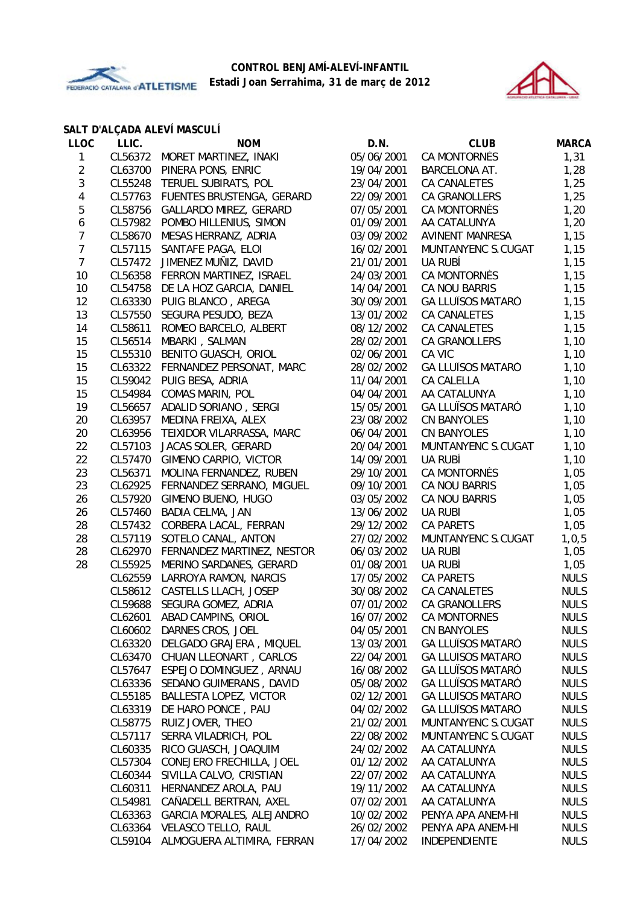



### **SALT D'ALÇADA ALEVÍ MASCULÍ**

| <b>LLOC</b>    | LLIC.              | <b>NOM</b>                                        | D.N.                     | <b>CLUB</b>                               | <b>MARCA</b>               |
|----------------|--------------------|---------------------------------------------------|--------------------------|-------------------------------------------|----------------------------|
| 1              | CL56372            | MORET MARTINEZ, IÑAKI                             | 05/06/2001               | CA MONTORNÈS                              | 1,31                       |
| 2              | CL63700            | PIÑERA PONS, ENRIC                                | 19/04/2001               | BARCELONA AT.                             | 1,28                       |
| 3              | CL55248            | TERUEL SUBIRATS, POL                              | 23/04/2001               | CA CANALETES                              | 1,25                       |
| 4              | CL57763            | FUENTES BRUSTENGA, GERARD                         | 22/09/2001               | CA GRANOLLERS                             | 1,25                       |
| 5              | CL58756            | <b>GALLARDO MIREZ, GERARD</b>                     | 07/05/2001               | CA MONTORNÈS                              | 1,20                       |
| 6              | CL57982            | POMBO HILLENIUS, SIMON                            | 01/09/2001               | AA CATALUNYA                              | 1,20                       |
| $\overline{7}$ | CL58670            | MESAS HERRANZ, ADRIA                              | 03/09/2002               | AVINENT MANRESA                           | 1,15                       |
| $\overline{7}$ | CL57115            | SANTAFE PAGA, ELOI                                | 16/02/2001               | MUNTANYENC S.CUGAT                        | 1,15                       |
| $\overline{7}$ | CL57472            | JIMENEZ MUÑIZ, DAVID                              | 21/01/2001               | UA RUBÍ                                   | 1,15                       |
| 10             | CL56358            | FERRON MARTINEZ, ISRAEL                           | 24/03/2001               | CA MONTORNÈS                              | 1,15                       |
| 10             | CL54758            | DE LA HOZ GARCIA, DANIEL                          | 14/04/2001               | CA NOU BARRIS                             | 1,15                       |
| 12             | CL63330            | PUIG BLANCO, AREGA                                | 30/09/2001               | <b>GA LLUÏSOS MATARÓ</b>                  | 1,15                       |
| 13             | CL57550            | SEGURA PESUDO, BEZA                               | 13/01/2002               | CA CANALETES                              | 1,15                       |
| 14             | CL58611            | ROMEO BARCELO, ALBERT                             | 08/12/2002               | CA CANALETES                              | 1,15                       |
| 15             | CL56514            | MBARKI, SALMAN                                    | 28/02/2001               | CA GRANOLLERS                             | 1,10                       |
| 15             | CL55310            | BENITO GUASCH, ORIOL                              | 02/06/2001               | CA VIC                                    | 1,10                       |
| 15             | CL63322            | FERNANDEZ PERSONAT, MARC                          | 28/02/2002               | <b>GA LLUÏSOS MATARÓ</b>                  | 1,10                       |
| 15             | CL59042            | PUIG BESA, ADRIA                                  | 11/04/2001               | CA CALELLA                                | 1,10                       |
| 15             | CL54984            | <b>COMAS MARIN, POL</b>                           | 04/04/2001               | AA CATALUNYA                              | 1,10                       |
| 19             | CL56657            | ADALID SORIANO, SERGI                             | 15/05/2001               | <b>GA LLUÏSOS MATARÓ</b>                  | 1,10                       |
| 20             | CL63957            | MEDINA FREIXA, ALEX                               | 23/08/2002               | CN BANYOLES                               | 1,10                       |
| 20             | CL63956            | TEIXIDOR VILARRASSA, MARC                         | 06/04/2001               | CN BANYOLES                               | 1,10                       |
| 22             | CL57103            | JACAS SOLER, GERARD                               | 20/04/2001               | MUNTANYENC S.CUGAT                        | 1,10                       |
| 22             | CL57470            | GIMENO CARPIO, VICTOR                             | 14/09/2001               | UA RUBÍ                                   | 1,10                       |
| 23             | CL56371            | MOLINA FERNANDEZ, RUBEN                           | 29/10/2001               | CA MONTORNÈS                              | 1,05                       |
| 23             | CL62925            | FERNANDEZ SERRANO, MIGUEL                         | 09/10/2001               | CA NOU BARRIS                             | 1,05                       |
| 26             | CL57920            | GIMENO BUENO, HUGO                                | 03/05/2002               | CA NOU BARRIS                             | 1,05                       |
| 26             | CL57460            | <b>BADIA CELMA, JAN</b>                           | 13/06/2002               | UA RUBÍ                                   | 1,05                       |
| 28             | CL57432            | CORBERA LACAL, FERRAN                             | 29/12/2002               | <b>CA PARETS</b>                          | 1,05                       |
| 28             | CL57119            | SOTELO CANAL, ANTON                               | 27/02/2002               | MUNTANYENC S.CUGAT                        | 1,0,5                      |
| 28             | CL62970            | FERNANDEZ MARTINEZ, NESTOR                        | 06/03/2002               | UA RUBÍ                                   | 1,05                       |
| 28             | CL55925            | MERINO SARDAÑES, GERARD                           | 01/08/2001               | UA RUBÍ                                   | 1,05                       |
|                | CL62559            | LARROYA RAMON, NARCIS                             | 17/05/2002               | <b>CA PARETS</b>                          | <b>NULS</b>                |
|                | CL58612            | CASTELLS LLACH, JOSEP                             | 30/08/2002               | CA CANALETES                              | <b>NULS</b>                |
|                | CL59688            | SEGURA GOMEZ, ADRIA                               | 07/01/2002               | CA GRANOLLERS                             | <b>NULS</b>                |
|                |                    | CL62601 ABAD CAMPINS, ORIOL                       | 16/07/2002               | CA MONTORNÈS                              | <b>NULS</b>                |
|                | CL60602            | DARNES CROS, JOEL                                 | 04/05/2001               | CN BANYOLES                               | <b>NULS</b>                |
|                | CL63320            | DELGADO GRAJERA, MIQUEL                           | 13/03/2001               | <b>GA LLUÏSOS MATARÓ</b>                  | <b>NULS</b>                |
|                | CL63470            | CHUAN LLEONART, CARLOS                            | 22/04/2001               | <b>GA LLUÏSOS MATARÓ</b>                  | <b>NULS</b>                |
|                | CL57647            | ESPEJO DOMINGUEZ, ARNAU                           | 16/08/2002               | <b>GA LLUÏSOS MATARÓ</b>                  | <b>NULS</b>                |
|                | CL63336            | SEDANO GUIMERANS, DAVID                           | 05/08/2002               | <b>GA LLUÏSOS MATARÓ</b>                  | <b>NULS</b>                |
|                | CL55185            | <b>BALLESTA LOPEZ, VICTOR</b>                     | 02/12/2001               | <b>GA LLUÏSOS MATARÓ</b>                  | <b>NULS</b>                |
|                | CL63319            | DE HARO PONCE, PAU                                | 04/02/2002               | <b>GA LLUÏSOS MATARÓ</b>                  | <b>NULS</b>                |
|                | CL58775            | RUIZ JOVER, THEO                                  | 21/02/2001               | MUNTANYENC S.CUGAT                        | <b>NULS</b>                |
|                | CL57117            | SERRA VILADRICH, POL                              | 22/08/2002               | MUNTANYENC S.CUGAT                        | <b>NULS</b>                |
|                | CL60335            | RICO GUASCH, JOAQUIM                              | 24/02/2002               | AA CATALUNYA                              | <b>NULS</b>                |
|                | CL57304            | CONEJERO FRECHILLA, JOEL                          | 01/12/2002               | AA CATALUNYA                              | <b>NULS</b>                |
|                | CL60344            | SIVILLA CALVO, CRISTIAN                           | 22/07/2002               | AA CATALUNYA                              | <b>NULS</b>                |
|                | CL60311            | HERNANDEZ AROLA, PAU                              | 19/11/2002               | AA CATALUNYA                              | <b>NULS</b>                |
|                | CL54981            | CAÑADELL BERTRAN, AXEL                            | 07/02/2001               | AA CATALUNYA                              | <b>NULS</b>                |
|                | CL63363            | GARCIA MORALES, ALEJANDRO                         | 10/02/2002               | PENYA APA ANEM-HI                         | <b>NULS</b>                |
|                | CL63364<br>CL59104 | VELASCO TELLO, RAUL<br>ALMOGUERA ALTIMIRA, FERRAN | 26/02/2002<br>17/04/2002 | PENYA APA ANEM-HI<br><b>INDEPENDIENTE</b> | <b>NULS</b><br><b>NULS</b> |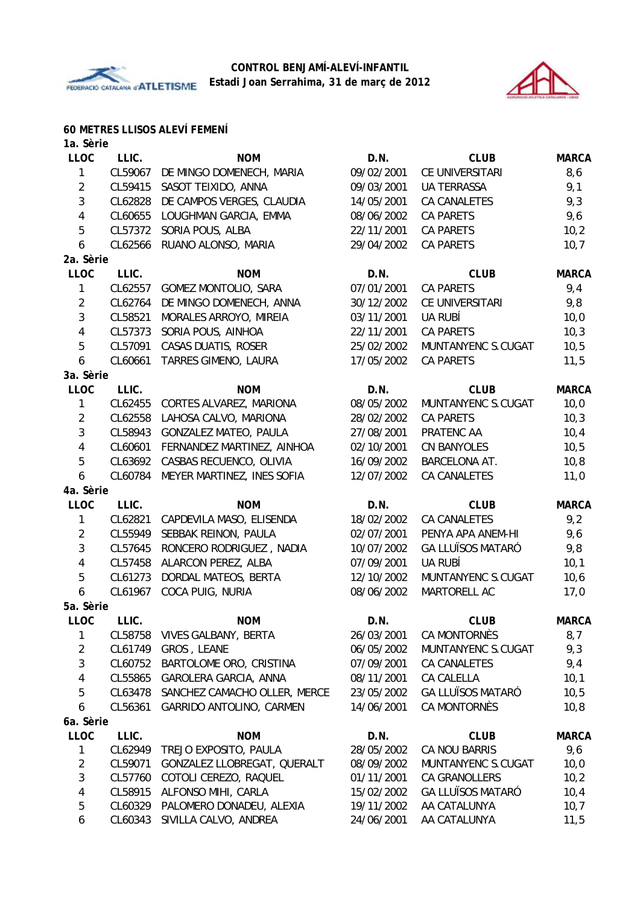



### **60 METRES LLISOS ALEVÍ FEMENÍ**

| 1a. Sèrie      |         |                              |            |                          |              |
|----------------|---------|------------------------------|------------|--------------------------|--------------|
| <b>LLOC</b>    | LLIC.   | <b>NOM</b>                   | D.N.       | <b>CLUB</b>              | <b>MARCA</b> |
| 1              | CL59067 | DE MINGO DOMENECH, MARIA     | 09/02/2001 | CE UNIVERSITARI          | 8,6          |
| $\overline{2}$ | CL59415 | SASOT TEIXIDO, ANNA          | 09/03/2001 | <b>UA TERRASSA</b>       | 9,1          |
| 3              | CL62828 | DE CAMPOS VERGES, CLAUDIA    | 14/05/2001 | <b>CA CANALETES</b>      | 9,3          |
| 4              | CL60655 | LOUGHMAN GARCIA, EMMA        | 08/06/2002 | <b>CA PARETS</b>         | 9,6          |
| 5              | CL57372 | SORIA POUS, ALBA             | 22/11/2001 | <b>CA PARETS</b>         | 10,2         |
| 6              | CL62566 | RUANO ALONSO, MARIA          | 29/04/2002 | <b>CA PARETS</b>         | 10,7         |
| 2a. Sèrie      |         |                              |            |                          |              |
| <b>LLOC</b>    | LLIC.   | <b>NOM</b>                   | D.N.       | <b>CLUB</b>              | <b>MARCA</b> |
| 1              | CL62557 | <b>GOMEZ MONTOLIO, SARA</b>  | 07/01/2001 | <b>CA PARETS</b>         | 9,4          |
| $\overline{2}$ | CL62764 | DE MINGO DOMENECH, ANNA      | 30/12/2002 | CE UNIVERSITARI          | 9,8          |
| 3              | CL58521 | MORALES ARROYO, MIREIA       | 03/11/2001 | UA RUBÍ                  | 10,0         |
| 4              | CL57373 | SORIA POUS, AINHOA           | 22/11/2001 | <b>CA PARETS</b>         | 10,3         |
| 5              | CL57091 | CASAS DUATIS, ROSER          | 25/02/2002 | MUNTANYENC S.CUGAT       | 10,5         |
| 6              | CL60661 | TARRES GIMENO, LAURA         | 17/05/2002 | <b>CA PARETS</b>         | 11,5         |
| 3a. Sèrie      |         |                              |            |                          |              |
| <b>LLOC</b>    | LLIC.   | <b>NOM</b>                   | D.N.       | <b>CLUB</b>              | <b>MARCA</b> |
| 1              | CL62455 | CORTES ALVAREZ, MARIONA      | 08/05/2002 | MUNTANYENC S.CUGAT       | 10,0         |
| $\overline{2}$ | CL62558 | LAHOSA CALVO, MARIONA        | 28/02/2002 | <b>CA PARETS</b>         | 10,3         |
| 3              | CL58943 | <b>GONZALEZ MATEO, PAULA</b> | 27/08/2001 | PRATENC AA               | 10,4         |
| 4              | CL60601 | FERNANDEZ MARTINEZ, AINHOA   | 02/10/2001 | <b>CN BANYOLES</b>       | 10,5         |
| 5              | CL63692 | CASBAS RECUENCO, OLIVIA      | 16/09/2002 | BARCELONA AT.            | 10, 8        |
| 6              | CL60784 | MEYER MARTINEZ, INES SOFIA   | 12/07/2002 | CA CANALETES             | 11,0         |
| 4a. Sèrie      |         |                              |            |                          |              |
| <b>LLOC</b>    | LLIC.   | <b>NOM</b>                   | D.N.       | <b>CLUB</b>              | <b>MARCA</b> |
| $\mathbf{1}$   | CL62821 | CAPDEVILA MASO, ELISENDA     | 18/02/2002 | <b>CA CANALETES</b>      | 9,2          |
| $\overline{2}$ | CL55949 | SEBBAK REINON, PAULA         | 02/07/2001 | PENYA APA ANEM-HI        | 9,6          |
| 3              | CL57645 | RONCERO RODRIGUEZ, NADIA     | 10/07/2002 | <b>GA LLUÏSOS MATARÓ</b> | 9,8          |
| 4              | CL57458 | ALARCON PEREZ, ALBA          | 07/09/2001 | UA RUBÍ                  | 10,1         |
| 5              | CL61273 | DORDAL MATEOS, BERTA         | 12/10/2002 | MUNTANYENC S.CUGAT       | 10, 6        |
| 6              | CL61967 | COCA PUIG, NURIA             | 08/06/2002 | MARTORELL AC             | 17,0         |
| 5a. Sèrie      |         |                              |            |                          |              |
| <b>LLOC</b>    | LLIC.   | <b>NOM</b>                   | D.N.       | <b>CLUB</b>              | <b>MARCA</b> |
| 1              | CL58758 | VIVES GALBANY, BERTA         | 26/03/2001 | CA MONTORNÈS             | 8,7          |
| $\overline{2}$ | CL61749 | GROS, LEANE                  | 06/05/2002 | MUNTANYENC S.CUGAT       | 9,3          |
| 3              | CL60752 | BARTOLOME ORO, CRISTINA      | 07/09/2001 | <b>CA CANALETES</b>      | 9,4          |
| 4              | CL55865 | GAROLERA GARCIA, ANNA        | 08/11/2001 | CA CALELLA               | 10,1         |
| 5              | CL63478 | SANCHEZ CAMACHO OLLER, MERCE | 23/05/2002 | <b>GA LLUÏSOS MATARÓ</b> | 10, 5        |
| 6              | CL56361 | GARRIDO ANTOLINO, CARMEN     | 14/06/2001 | CA MONTORNÈS             | 10, 8        |
| 6a. Sèrie      |         |                              |            |                          |              |
| LLOC           | LLIC.   | <b>NOM</b>                   | D.N.       | <b>CLUB</b>              | <b>MARCA</b> |
| $\mathbf{1}$   | CL62949 | TREJO EXPOSITO, PAULA        | 28/05/2002 | CA NOU BARRIS            | 9,6          |
| $\overline{2}$ | CL59071 | GONZALEZ LLOBREGAT, QUERALT  | 08/09/2002 | MUNTANYENC S.CUGAT       | 10,0         |
| 3              | CL57760 | COTOLI CEREZO, RAQUEL        | 01/11/2001 | CA GRANOLLERS            | 10,2         |
| 4              | CL58915 | ALFONSO MIHI, CARLA          | 15/02/2002 | <b>GA LLUÏSOS MATARÓ</b> | 10,4         |
| 5              | CL60329 | PALOMERO DONADEU, ALEXIA     | 19/11/2002 | AA CATALUNYA             | 10,7         |
| 6              | CL60343 | SIVILLA CALVO, ANDREA        | 24/06/2001 | AA CATALUNYA             | 11,5         |
|                |         |                              |            |                          |              |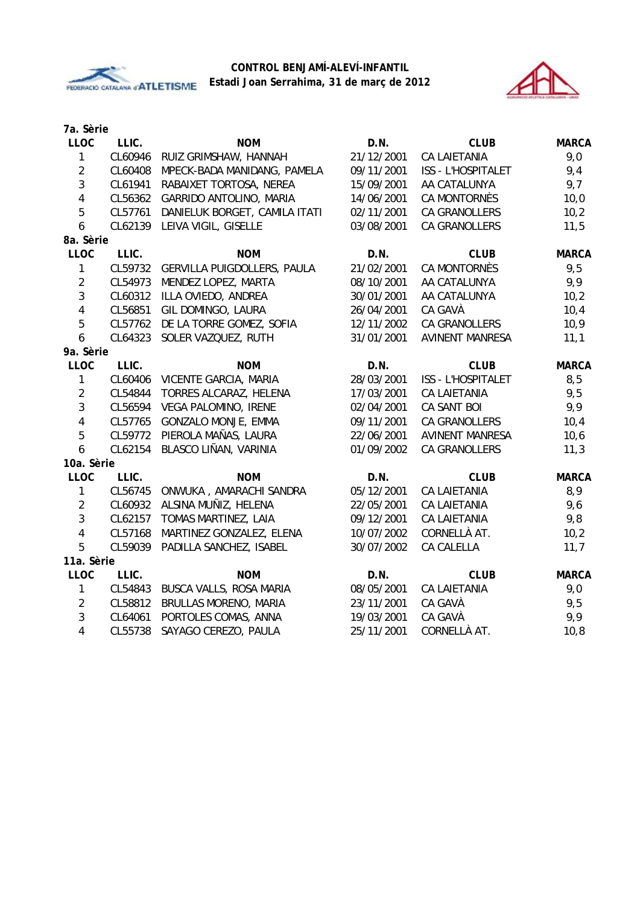



| 7a. Sèrie               |         |                               |            |                           |              |
|-------------------------|---------|-------------------------------|------------|---------------------------|--------------|
| <b>LLOC</b>             | LLIC.   | <b>NOM</b>                    | D.N.       | <b>CLUB</b>               | <b>MARCA</b> |
| $\mathbf{1}$            | CL60946 | RUIZ GRIMSHAW, HANNAH         | 21/12/2001 | <b>CA LAIETANIA</b>       | 9,0          |
| $\overline{2}$          | CL60408 | MPECK-BADA MANIDANG, PAMELA   | 09/11/2001 | <b>ISS - L'HOSPITALET</b> | 9,4          |
| 3                       | CL61941 | RABAIXET TORTOSA, NEREA       | 15/09/2001 | AA CATALUNYA              | 9,7          |
| $\overline{4}$          | CL56362 | GARRIDO ANTOLINO, MARIA       | 14/06/2001 | <b>CA MONTORNÈS</b>       | 10,0         |
| 5                       | CL57761 | DANIELUK BORGET, CAMILA ITATI | 02/11/2001 | CA GRANOLLERS             | 10,2         |
| 6                       | CL62139 | LEIVA VIGIL, GISELLE          | 03/08/2001 | CA GRANOLLERS             | 11,5         |
| 8a. Sèrie               |         |                               |            |                           |              |
| <b>LLOC</b>             | LLIC.   | <b>NOM</b>                    | D.N.       | <b>CLUB</b>               | <b>MARCA</b> |
| 1                       | CL59732 | GERVILLA PUIGDOLLERS, PAULA   | 21/02/2001 | <b>CA MONTORNÈS</b>       | 9,5          |
| $\overline{2}$          | CL54973 | MENDEZ LOPEZ, MARTA           | 08/10/2001 | AA CATALUNYA              | 9,9          |
| $\mathbf{3}$            | CL60312 | ILLA OVIEDO, ANDREA           | 30/01/2001 | AA CATALUNYA              | 10,2         |
| $\overline{\mathbf{4}}$ | CL56851 | GIL DOMINGO, LAURA            | 26/04/2001 | CA GAVÀ                   | 10,4         |
| 5                       | CL57762 | DE LA TORRE GOMEZ, SOFIA      | 12/11/2002 | <b>CA GRANOLLERS</b>      | 10,9         |
| 6                       | CL64323 | SOLER VAZQUEZ, RUTH           | 31/01/2001 | <b>AVINENT MANRESA</b>    | 11,1         |
| 9a. Sèrie               |         |                               |            |                           |              |
| <b>LLOC</b>             | LLIC.   | <b>NOM</b>                    | D.N.       | <b>CLUB</b>               | <b>MARCA</b> |
| $\mathbf{1}$            | CL60406 | VICENTE GARCIA, MARIA         | 28/03/2001 | ISS - L'HOSPITALET        | 8,5          |
| $\overline{2}$          | CL54844 | TORRES ALCARAZ, HELENA        | 17/03/2001 | <b>CA LAIETANIA</b>       | 9,5          |
| $\mathbf{3}$            | CL56594 | VEGA PALOMINO, IRENE          | 02/04/2001 | CA SANT BOI               | 9,9          |
| $\overline{4}$          | CL57765 | <b>GONZALO MONJE, EMMA</b>    | 09/11/2001 | <b>CA GRANOLLERS</b>      | 10,4         |
| 5                       | CL59772 | PIEROLA MAÑAS, LAURA          | 22/06/2001 | <b>AVINENT MANRESA</b>    | 10,6         |
| 6                       | CL62154 | BLASCO LIÑAN, VARINIA         | 01/09/2002 | <b>CA GRANOLLERS</b>      | 11,3         |
| 10a. Sèrie              |         |                               |            |                           |              |
| <b>LLOC</b>             | LLIC.   | <b>NOM</b>                    | D.N.       | <b>CLUB</b>               | <b>MARCA</b> |
| $\mathbf{1}$            | CL56745 | ONWUKA, AMARACHI SANDRA       | 05/12/2001 | <b>CA LAIETANIA</b>       | 8,9          |
| $\overline{2}$          | CL60932 | ALSINA MUÑIZ, HELENA          | 22/05/2001 | <b>CA LAIETANIA</b>       | 9,6          |
| 3                       | CL62157 | TOMAS MARTINEZ, LAIA          | 09/12/2001 | CA LAIETANIA              | 9,8          |
| $\overline{\mathbf{4}}$ | CL57168 | MARTINEZ GONZALEZ, ELENA      | 10/07/2002 | CORNELLÀ AT.              | 10,2         |
| 5                       | CL59039 | PADILLA SANCHEZ, ISABEL       | 30/07/2002 | CA CALELLA                | 11,7         |
| 11a. Sèrie              |         |                               |            |                           |              |
| <b>LLOC</b>             | LLIC.   | <b>NOM</b>                    | D.N.       | <b>CLUB</b>               | <b>MARCA</b> |
| $\mathbf{1}$            | CL54843 | BUSCA VALLS, ROSA MARIA       | 08/05/2001 | <b>CA LAIETANIA</b>       | 9,0          |
| $\overline{2}$          | CL58812 | <b>BRULLAS MORENO, MARIA</b>  | 23/11/2001 | CA GAVÀ                   | 9,5          |
| 3                       | CL64061 | PORTOLES COMAS, ANNA          | 19/03/2001 | CA GAVÀ                   | 9,9          |
| $\overline{4}$          | CL55738 | SAYAGO CEREZO, PAULA          | 25/11/2001 | CORNELLÀ AT.              | 10,8         |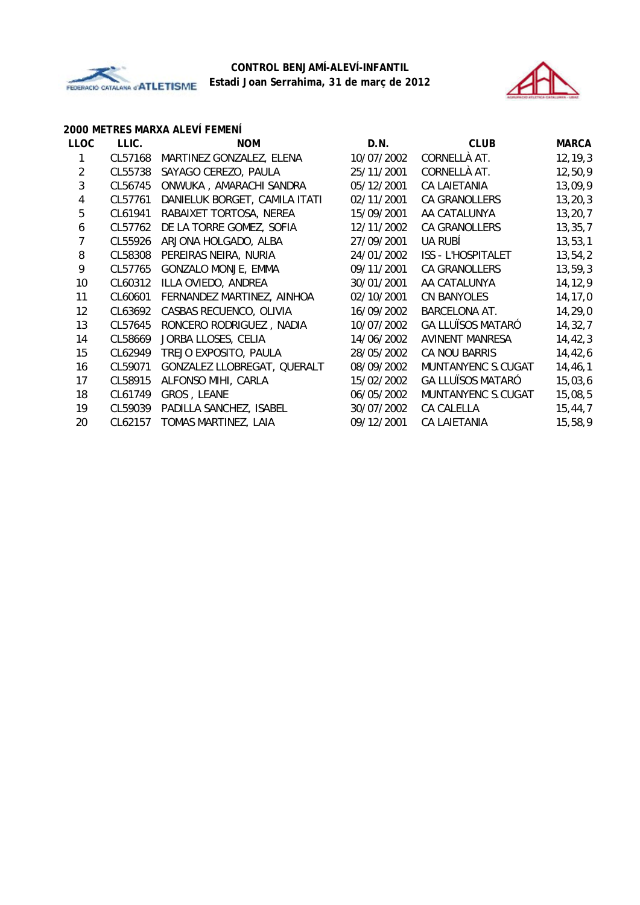



#### **2000 METRES MARXA ALEVÍ FEMENÍ**

| <b>LLOC</b> | LLIC.   | <b>NOM</b>                    | D.N.       | <b>CLUB</b>               | <b>MARCA</b> |
|-------------|---------|-------------------------------|------------|---------------------------|--------------|
|             | CL57168 | MARTINEZ GONZALEZ, ELENA      | 10/07/2002 | CORNELLÀ AT.              | 12, 19, 3    |
| 2           | CL55738 | SAYAGO CEREZO, PAULA          | 25/11/2001 | CORNELLÀ AT.              | 12,50,9      |
| 3           | CL56745 | ONWUKA, AMARACHI SANDRA       | 05/12/2001 | <b>CA LAIETANIA</b>       | 13,09,9      |
| 4           | CL57761 | DANIELUK BORGET, CAMILA ITATI | 02/11/2001 | CA GRANOLLERS             | 13, 20, 3    |
| 5           | CL61941 | RABAIXET TORTOSA, NEREA       | 15/09/2001 | AA CATALUNYA              | 13, 20, 7    |
| 6           | CL57762 | DE LA TORRE GOMEZ, SOFIA      | 12/11/2002 | CA GRANOLLERS             | 13, 35, 7    |
| 7           | CL55926 | ARJONA HOLGADO, ALBA          | 27/09/2001 | UA RUBÍ                   | 13, 53, 1    |
| 8           | CL58308 | PEREIRAS NEIRA, NURIA         | 24/01/2002 | <b>ISS - L'HOSPITALET</b> | 13,54,2      |
| 9           | CL57765 | <b>GONZALO MONJE, EMMA</b>    | 09/11/2001 | CA GRANOLLERS             | 13,59,3      |
| 10          | CL60312 | ILLA OVIEDO, ANDREA           | 30/01/2001 | AA CATALUNYA              | 14, 12, 9    |
| 11          | CL60601 | FERNANDEZ MARTINEZ, AINHOA    | 02/10/2001 | CN BANYOLES               | 14, 17, 0    |
| 12          | CL63692 | CASBAS RECUENCO, OLIVIA       | 16/09/2002 | <b>BARCELONA AT.</b>      | 14,29,0      |
| 13          | CL57645 | RONCERO RODRIGUEZ, NADIA      | 10/07/2002 | <b>GA LLUÏSOS MATARÓ</b>  | 14, 32, 7    |
| 14          | CL58669 | JORBA LLOSES, CELIA           | 14/06/2002 | <b>AVINENT MANRESA</b>    | 14, 42, 3    |
| 15          | CL62949 | TREJO EXPOSITO, PAULA         | 28/05/2002 | CA NOU BARRIS             | 14,42,6      |
| 16          | CL59071 | GONZALEZ LLOBREGAT, QUERALT   | 08/09/2002 | MUNTANYENC S.CUGAT        | 14,46,1      |
| 17          | CL58915 | ALFONSO MIHI, CARLA           | 15/02/2002 | <b>GA LLUÏSOS MATARÓ</b>  | 15,03,6      |
| 18          | CL61749 | GROS, LEANE                   | 06/05/2002 | MUNTANYENC S.CUGAT        | 15,08,5      |
| 19          | CL59039 | PADILLA SANCHEZ, ISABEL       | 30/07/2002 | CA CALELLA                | 15,44,7      |
| 20          | CL62157 | TOMAS MARTINEZ, LAIA          | 09/12/2001 | CA LAIETANIA              | 15,58,9      |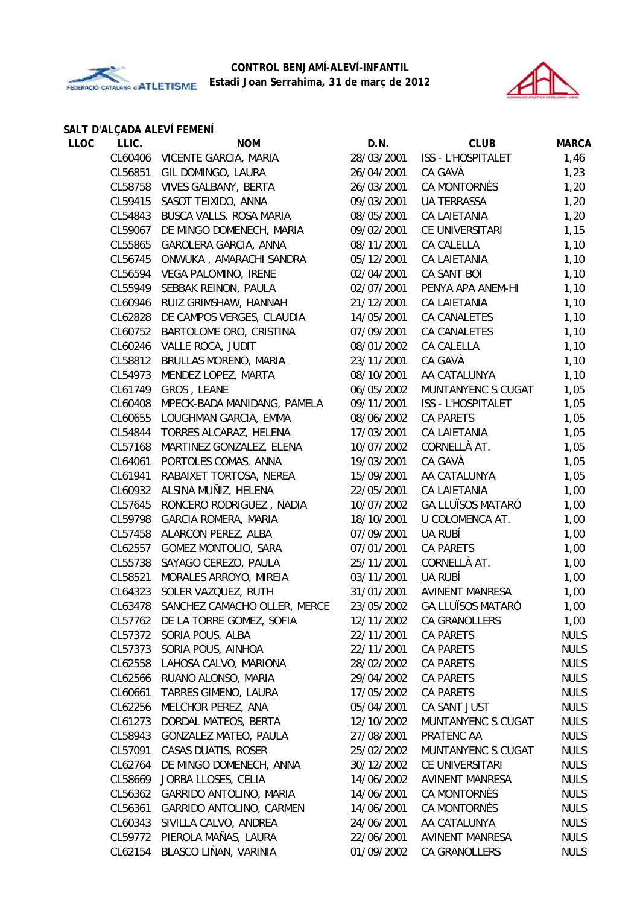



### **SALT D'ALÇADA ALEVÍ FEMENÍ**

| <b>LLOC</b> | LLIC.   | <b>NOM</b>                   | D.N.       | <b>CLUB</b>              | <b>MARCA</b> |
|-------------|---------|------------------------------|------------|--------------------------|--------------|
|             | CL60406 | VICENTE GARCIA, MARIA        | 28/03/2001 | ISS - L'HOSPITALET       | 1,46         |
|             | CL56851 | GIL DOMINGO, LAURA           | 26/04/2001 | CA GAVÀ                  | 1,23         |
|             | CL58758 | <b>VIVES GALBANY, BERTA</b>  | 26/03/2001 | CA MONTORNÈS             | 1,20         |
|             | CL59415 | SASOT TEIXIDO, ANNA          | 09/03/2001 | <b>UA TERRASSA</b>       | 1,20         |
|             | CL54843 | BUSCA VALLS, ROSA MARIA      | 08/05/2001 | <b>CA LAIETANIA</b>      | 1,20         |
|             | CL59067 | DE MINGO DOMENECH, MARIA     | 09/02/2001 | CE UNIVERSITARI          | 1,15         |
|             | CL55865 | GAROLERA GARCIA, ANNA        | 08/11/2001 | CA CALELLA               | 1,10         |
|             | CL56745 | ONWUKA, AMARACHI SANDRA      | 05/12/2001 | <b>CA LAIETANIA</b>      | 1,10         |
|             | CL56594 | VEGA PALOMINO, IRENE         | 02/04/2001 | CA SANT BOI              | 1,10         |
|             | CL55949 | SEBBAK REINON, PAULA         | 02/07/2001 | PENYA APA ANEM-HI        | 1,10         |
|             | CL60946 | RUIZ GRIMSHAW, HANNAH        | 21/12/2001 | CA LAIETANIA             | 1,10         |
|             | CL62828 | DE CAMPOS VERGES, CLAUDIA    | 14/05/2001 | CA CANALETES             | 1,10         |
|             | CL60752 | BARTOLOME ORO, CRISTINA      | 07/09/2001 | CA CANALETES             | 1,10         |
|             | CL60246 | VALLE ROCA, JUDIT            | 08/01/2002 | CA CALELLA               | 1,10         |
|             | CL58812 | BRULLAS MORENO, MARIA        | 23/11/2001 | CA GAVÀ                  | 1,10         |
|             | CL54973 | MENDEZ LOPEZ, MARTA          | 08/10/2001 | AA CATALUNYA             | 1,10         |
|             | CL61749 | GROS, LEANE                  | 06/05/2002 | MUNTANYENC S.CUGAT       | 1,05         |
|             | CL60408 | MPECK-BADA MANIDANG, PAMELA  | 09/11/2001 | ISS - L'HOSPITALET       | 1,05         |
|             | CL60655 | LOUGHMAN GARCIA, EMMA        | 08/06/2002 | <b>CA PARETS</b>         | 1,05         |
|             | CL54844 | TORRES ALCARAZ, HELENA       | 17/03/2001 | CA LAIETANIA             | 1,05         |
|             | CL57168 | MARTINEZ GONZALEZ, ELENA     | 10/07/2002 | CORNELLÀ AT.             | 1,05         |
|             | CL64061 | PORTOLES COMAS, ANNA         | 19/03/2001 | CA GAVÀ                  | 1,05         |
|             | CL61941 | RABAIXET TORTOSA, NEREA      | 15/09/2001 | AA CATALUNYA             | 1,05         |
|             | CL60932 | ALSINA MUÑIZ, HELENA         | 22/05/2001 | CA LAIETANIA             | 1,00         |
|             | CL57645 | RONCERO RODRIGUEZ, NADIA     | 10/07/2002 | <b>GA LLUÏSOS MATARÓ</b> | 1,00         |
|             | CL59798 | GARCIA ROMERA, MARIA         | 18/10/2001 | U COLOMENCA AT.          | 1,00         |
|             | CL57458 | ALARCON PEREZ, ALBA          | 07/09/2001 | UA RUBÍ                  | 1,00         |
|             | CL62557 | GOMEZ MONTOLIO, SARA         | 07/01/2001 | <b>CA PARETS</b>         | 1,00         |
|             | CL55738 | SAYAGO CEREZO, PAULA         | 25/11/2001 | CORNELLÀ AT.             | 1,00         |
|             | CL58521 | MORALES ARROYO, MIREIA       | 03/11/2001 | UA RUBÍ                  | 1,00         |
|             | CL64323 | SOLER VAZQUEZ, RUTH          | 31/01/2001 | <b>AVINENT MANRESA</b>   | 1,00         |
|             | CL63478 | SANCHEZ CAMACHO OLLER, MERCE | 23/05/2002 | <b>GA LLUÏSOS MATARÓ</b> | 1,00         |
|             | CL57762 | DE LA TORRE GOMEZ, SOFIA     | 12/11/2002 | CA GRANOLLERS            | 1,00         |
|             | CL57372 | SORIA POUS, ALBA             | 22/11/2001 | CA PARETS                | <b>NULS</b>  |
|             | CL57373 | SORIA POUS, AINHOA           | 22/11/2001 | <b>CA PARETS</b>         | <b>NULS</b>  |
|             | CL62558 | LAHOSA CALVO, MARIONA        | 28/02/2002 | CA PARETS                | <b>NULS</b>  |
|             | CL62566 | RUANO ALONSO, MARIA          | 29/04/2002 | CA PARETS                | <b>NULS</b>  |
|             | CL60661 | TARRES GIMENO, LAURA         | 17/05/2002 | <b>CA PARETS</b>         | <b>NULS</b>  |
|             | CL62256 | MELCHOR PEREZ, ANA           | 05/04/2001 | CA SANT JUST             | <b>NULS</b>  |
|             | CL61273 | DORDAL MATEOS, BERTA         | 12/10/2002 | MUNTANYENC S.CUGAT       | <b>NULS</b>  |
|             | CL58943 | GONZALEZ MATEO, PAULA        | 27/08/2001 | PRATENC AA               | <b>NULS</b>  |
|             | CL57091 | CASAS DUATIS, ROSER          | 25/02/2002 | MUNTANYENC S.CUGAT       | <b>NULS</b>  |
|             | CL62764 | DE MINGO DOMENECH, ANNA      | 30/12/2002 | CE UNIVERSITARI          | <b>NULS</b>  |
|             | CL58669 | JORBA LLOSES, CELIA          | 14/06/2002 | <b>AVINENT MANRESA</b>   | <b>NULS</b>  |
|             | CL56362 | GARRIDO ANTOLINO, MARIA      | 14/06/2001 | CA MONTORNÈS             | <b>NULS</b>  |
|             | CL56361 | GARRIDO ANTOLINO, CARMEN     | 14/06/2001 | CA MONTORNÈS             | <b>NULS</b>  |
|             | CL60343 | SIVILLA CALVO, ANDREA        | 24/06/2001 | AA CATALUNYA             | <b>NULS</b>  |
|             | CL59772 | PIEROLA MAÑAS, LAURA         | 22/06/2001 | <b>AVINENT MANRESA</b>   | <b>NULS</b>  |
|             | CL62154 | BLASCO LIÑAN, VARINIA        | 01/09/2002 | CA GRANOLLERS            | <b>NULS</b>  |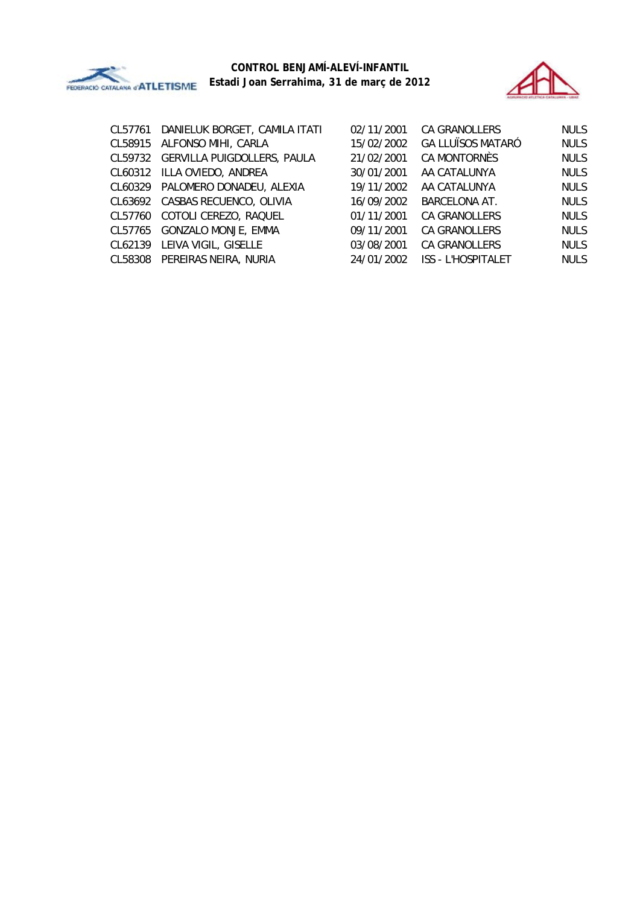



| CL57761 DANIELUK BORGET, CAMILA ITATI | 02/11/2001 | CA GRANOLLERS             | <b>NULS</b> |
|---------------------------------------|------------|---------------------------|-------------|
| CL58915 ALFONSO MIHI, CARLA           | 15/02/2002 | <b>GA LLUÏSOS MATARÓ</b>  | <b>NULS</b> |
| CL59732 GERVILLA PUIGDOLLERS, PAULA   | 21/02/2001 | CA MONTORNÈS              | <b>NULS</b> |
| CL60312 ILLA OVIEDO, ANDREA           | 30/01/2001 | AA CATALUNYA              | <b>NULS</b> |
| CL60329 PALOMERO DONADEU, ALEXIA      | 19/11/2002 | AA CATALUNYA              | <b>NULS</b> |
| CL63692 CASBAS RECUENCO, OLIVIA       | 16/09/2002 | <b>BARCELONA AT.</b>      | <b>NULS</b> |
| CL57760 COTOLI CEREZO, RAQUEL         | 01/11/2001 | CA GRANOLLERS             | <b>NULS</b> |
| CL57765 GONZALO MONJE, EMMA           | 09/11/2001 | CA GRANOLLERS             | <b>NULS</b> |
| CL62139 LEIVA VIGIL, GISELLE          | 03/08/2001 | CA GRANOLLERS             | <b>NULS</b> |
| CL58308 PEREIRAS NEIRA, NURIA         | 24/01/2002 | <b>ISS - L'HOSPITALET</b> | <b>NULS</b> |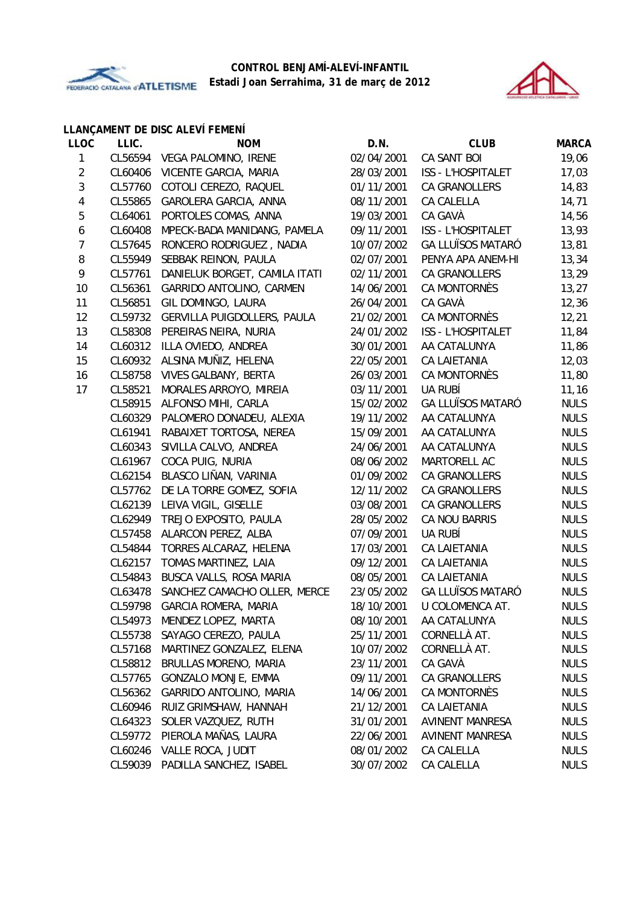



#### **LLANÇAMENT DE DISC ALEVÍ FEMENÍ**

| <b>LLOC</b>    | LLIC.   | <b>NOM</b>                    | D.N.       | <b>CLUB</b>               | <b>MARCA</b> |
|----------------|---------|-------------------------------|------------|---------------------------|--------------|
| $\mathbf{1}$   |         | CL56594 VEGA PALOMINO, IRENE  | 02/04/2001 | CA SANT BOI               | 19,06        |
| $\overline{2}$ | CL60406 | VICENTE GARCIA, MARIA         | 28/03/2001 | ISS - L'HOSPITALET        | 17,03        |
| 3              | CL57760 | COTOLI CEREZO, RAQUEL         | 01/11/2001 | CA GRANOLLERS             | 14,83        |
| 4              | CL55865 | GAROLERA GARCIA, ANNA         | 08/11/2001 | CA CALELLA                | 14,71        |
| 5              | CL64061 | PORTOLES COMAS, ANNA          | 19/03/2001 | CA GAVÀ                   | 14,56        |
| 6              | CL60408 | MPECK-BADA MANIDANG, PAMELA   | 09/11/2001 | ISS - L'HOSPITALET        | 13,93        |
| $\overline{7}$ | CL57645 | RONCERO RODRIGUEZ, NADIA      | 10/07/2002 | <b>GA LLUÏSOS MATARÓ</b>  | 13,81        |
| 8              | CL55949 | SEBBAK REINON, PAULA          | 02/07/2001 | PENYA APA ANEM-HI         | 13,34        |
| 9              | CL57761 | DANIELUK BORGET, CAMILA ITATI | 02/11/2001 | CA GRANOLLERS             | 13,29        |
| 10             | CL56361 | GARRIDO ANTOLINO, CARMEN      | 14/06/2001 | CA MONTORNÈS              | 13,27        |
| 11             | CL56851 | GIL DOMINGO, LAURA            | 26/04/2001 | CA GAVÀ                   | 12,36        |
| 12             | CL59732 | GERVILLA PUIGDOLLERS, PAULA   | 21/02/2001 | CA MONTORNÈS              | 12,21        |
| 13             | CL58308 | PEREIRAS NEIRA, NURIA         | 24/01/2002 | <b>ISS - L'HOSPITALET</b> | 11,84        |
| 14             | CL60312 | ILLA OVIEDO, ANDREA           | 30/01/2001 | AA CATALUNYA              | 11,86        |
| 15             | CL60932 | ALSINA MUÑIZ, HELENA          | 22/05/2001 | <b>CA LAIETANIA</b>       | 12,03        |
| 16             | CL58758 | <b>VIVES GALBANY, BERTA</b>   | 26/03/2001 | CA MONTORNÈS              | 11,80        |
| 17             | CL58521 | MORALES ARROYO, MIREIA        | 03/11/2001 | UA RUBÍ                   | 11, 16       |
|                | CL58915 | ALFONSO MIHI, CARLA           | 15/02/2002 | <b>GA LLUÏSOS MATARÓ</b>  | <b>NULS</b>  |
|                | CL60329 | PALOMERO DONADEU, ALEXIA      | 19/11/2002 | AA CATALUNYA              | <b>NULS</b>  |
|                | CL61941 | RABAIXET TORTOSA, NEREA       | 15/09/2001 | AA CATALUNYA              | <b>NULS</b>  |
|                | CL60343 | SIVILLA CALVO, ANDREA         | 24/06/2001 | AA CATALUNYA              | <b>NULS</b>  |
|                | CL61967 | COCA PUIG, NURIA              | 08/06/2002 | MARTORELL AC              | <b>NULS</b>  |
|                | CL62154 | BLASCO LIÑAN, VARINIA         | 01/09/2002 | CA GRANOLLERS             | <b>NULS</b>  |
|                | CL57762 | DE LA TORRE GOMEZ, SOFIA      | 12/11/2002 | CA GRANOLLERS             | <b>NULS</b>  |
|                | CL62139 | LEIVA VIGIL, GISELLE          | 03/08/2001 | CA GRANOLLERS             | <b>NULS</b>  |
|                | CL62949 | TREJO EXPOSITO, PAULA         | 28/05/2002 | CA NOU BARRIS             | <b>NULS</b>  |
|                | CL57458 | ALARCON PEREZ, ALBA           | 07/09/2001 | UA RUBÍ                   | <b>NULS</b>  |
|                | CL54844 | TORRES ALCARAZ, HELENA        | 17/03/2001 | CA LAIETANIA              | <b>NULS</b>  |
|                | CL62157 | TOMAS MARTINEZ, LAIA          | 09/12/2001 | CA LAIETANIA              | <b>NULS</b>  |
|                | CL54843 | BUSCA VALLS, ROSA MARIA       | 08/05/2001 | <b>CA LAIETANIA</b>       | <b>NULS</b>  |
|                | CL63478 | SANCHEZ CAMACHO OLLER, MERCE  | 23/05/2002 | <b>GA LLUÏSOS MATARÓ</b>  | <b>NULS</b>  |
|                | CL59798 | <b>GARCIA ROMERA, MARIA</b>   | 18/10/2001 | U COLOMENCA AT.           | <b>NULS</b>  |
|                | CL54973 | MENDEZ LOPEZ, MARTA           | 08/10/2001 | AA CATALUNYA              | <b>NULS</b>  |
|                | CL55738 | SAYAGO CEREZO, PAULA          | 25/11/2001 | CORNELLÀ AT.              | <b>NULS</b>  |
|                | CL57168 | MARTINEZ GONZALEZ, ELENA      | 10/07/2002 | CORNELLÀ AT.              | <b>NULS</b>  |
|                | CL58812 | BRULLAS MORENO, MARIA         | 23/11/2001 | CA GAVÀ                   | <b>NULS</b>  |
|                | CL57765 | GONZALO MONJE, EMMA           | 09/11/2001 | <b>CA GRANOLLERS</b>      | <b>NULS</b>  |
|                | CL56362 | GARRIDO ANTOLINO, MARIA       | 14/06/2001 | CA MONTORNÈS              | <b>NULS</b>  |
|                | CL60946 | RUIZ GRIMSHAW, HANNAH         | 21/12/2001 | CA LAIETANIA              | <b>NULS</b>  |
|                | CL64323 | SOLER VAZQUEZ, RUTH           | 31/01/2001 | <b>AVINENT MANRESA</b>    | <b>NULS</b>  |
|                | CL59772 | PIEROLA MAÑAS, LAURA          | 22/06/2001 | <b>AVINENT MANRESA</b>    | <b>NULS</b>  |
|                | CL60246 | VALLE ROCA, JUDIT             | 08/01/2002 | CA CALELLA                | <b>NULS</b>  |
|                | CL59039 | PADILLA SANCHEZ, ISABEL       | 30/07/2002 | CA CALELLA                | <b>NULS</b>  |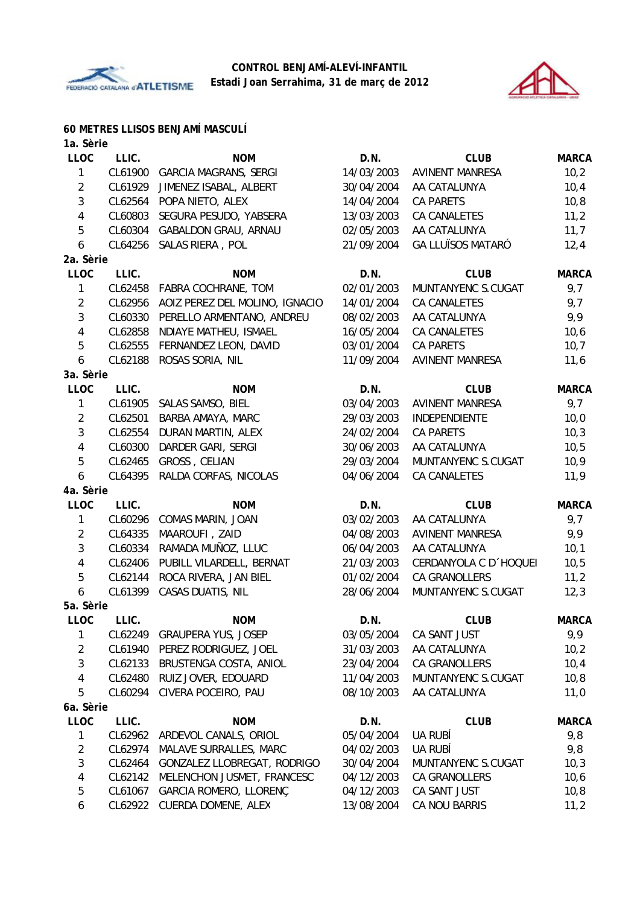



#### **60 METRES LLISOS BENJAMÍ MASCULÍ**

| 1a. Sèrie      |         |                                     |            |                          |              |
|----------------|---------|-------------------------------------|------------|--------------------------|--------------|
| <b>LLOC</b>    | LLIC.   | <b>NOM</b>                          | D.N.       | <b>CLUB</b>              | <b>MARCA</b> |
| 1              | CL61900 | <b>GARCIA MAGRANS, SERGI</b>        | 14/03/2003 | <b>AVINENT MANRESA</b>   | 10,2         |
| $\overline{2}$ | CL61929 | JIMENEZ ISABAL, ALBERT              | 30/04/2004 | AA CATALUNYA             | 10,4         |
| 3              | CL62564 | POPA NIETO, ALEX                    | 14/04/2004 | <b>CA PARETS</b>         | 10,8         |
| 4              | CL60803 | SEGURA PESUDO, YABSERA              | 13/03/2003 | <b>CA CANALETES</b>      | 11,2         |
| 5              | CL60304 | GABALDON GRAU, ARNAU                | 02/05/2003 | AA CATALUNYA             | 11,7         |
| 6              | CL64256 | SALAS RIERA, POL                    | 21/09/2004 | <b>GA LLUÏSOS MATARÓ</b> | 12,4         |
| 2a. Sèrie      |         |                                     |            |                          |              |
| <b>LLOC</b>    | LLIC.   | <b>NOM</b>                          | D.N.       | <b>CLUB</b>              | <b>MARCA</b> |
| 1              | CL62458 | FABRA COCHRANE, TOM                 | 02/01/2003 | MUNTANYENC S.CUGAT       | 9,7          |
| $\overline{2}$ | CL62956 | AOIZ PEREZ DEL MOLINO, IGNACIO      | 14/01/2004 | <b>CA CANALETES</b>      | 9,7          |
| 3              | CL60330 | PERELLO ARMENTANO, ANDREU           | 08/02/2003 | AA CATALUNYA             | 9,9          |
| 4              | CL62858 | NDIAYE MATHEU, ISMAEL               | 16/05/2004 | <b>CA CANALETES</b>      | 10,6         |
| 5              | CL62555 | FERNANDEZ LEON, DAVID               | 03/01/2004 | <b>CA PARETS</b>         | 10, 7        |
| 6              | CL62188 | ROSAS SORIA, NIL                    | 11/09/2004 | <b>AVINENT MANRESA</b>   | 11,6         |
| 3a. Sèrie      |         |                                     |            |                          |              |
| <b>LLOC</b>    | LLIC.   | <b>NOM</b>                          | D.N.       | <b>CLUB</b>              | <b>MARCA</b> |
| 1              | CL61905 | SALAS SAMSO, BIEL                   | 03/04/2003 | <b>AVINENT MANRESA</b>   | 9,7          |
| $\overline{2}$ | CL62501 | BARBA AMAYA, MARC                   | 29/03/2003 | INDEPENDIENTE            | 10,0         |
| 3              | CL62554 | DURAN MARTIN, ALEX                  | 24/02/2004 | <b>CA PARETS</b>         | 10,3         |
| 4              | CL60300 | DARDER GARI, SERGI                  | 30/06/2003 | AA CATALUNYA             | 10, 5        |
| 5              | CL62465 | GROSS, CELIAN                       | 29/03/2004 | MUNTANYENC S.CUGAT       | 10,9         |
| 6              | CL64395 | RALDA CORFAS, NICOLAS               | 04/06/2004 | <b>CA CANALETES</b>      | 11,9         |
| 4a. Sèrie      |         |                                     |            |                          |              |
| <b>LLOC</b>    | LLIC.   | <b>NOM</b>                          | D.N.       | <b>CLUB</b>              | <b>MARCA</b> |
| 1              | CL60296 | COMAS MARIN, JOAN                   | 03/02/2003 | AA CATALUNYA             | 9,7          |
| $\overline{2}$ | CL64335 | MAAROUFI, ZAID                      | 04/08/2003 | <b>AVINENT MANRESA</b>   | 9,9          |
| $\mathfrak{Z}$ | CL60334 | RAMADA MUÑOZ, LLUC                  | 06/04/2003 | AA CATALUNYA             | 10,1         |
| 4              | CL62406 | PUBILL VILARDELL, BERNAT            | 21/03/2003 | CERDANYOLA C D 'HOQUEI   | 10,5         |
| 5              | CL62144 | ROCA RIVERA, JAN BIEL               | 01/02/2004 | CA GRANOLLERS            | 11,2         |
| 6              | CL61399 | CASAS DUATIS, NIL                   | 28/06/2004 | MUNTANYENC S.CUGAT       | 12,3         |
| 5a. Sèrie      |         |                                     |            |                          |              |
| LLOC           | LLIC.   | <b>NOM</b>                          | D.N.       | <b>CLUB</b>              | <b>MARCA</b> |
| 1              |         | CL62249 GRAUPERA YUS, JOSEP         | 03/05/2004 | CA SANT JUST             | 9,9          |
| $\overline{2}$ |         | CL61940 PEREZ RODRIGUEZ, JOEL       | 31/03/2003 | AA CATALUNYA             | 10,2         |
| 3              | CL62133 | BRUSTENGA COSTA, ANIOL              | 23/04/2004 | CA GRANOLLERS            | 10,4         |
| 4              | CL62480 | RUIZ JOVER, EDOUARD                 | 11/04/2003 | MUNTANYENC S.CUGAT       | 10, 8        |
| 5              |         | CL60294 CIVERA POCEIRO, PAU         | 08/10/2003 | AA CATALUNYA             | 11,0         |
| 6a. Sèrie      |         |                                     |            |                          |              |
| <b>LLOC</b>    | LLIC.   | <b>NOM</b>                          | D.N.       | <b>CLUB</b>              | <b>MARCA</b> |
| 1              |         | CL62962 ARDEVOL CANALS, ORIOL       | 05/04/2004 | <b>UA RUBÍ</b>           | 9,8          |
| $\overline{c}$ |         | CL62974 MALAVE SURRALLES, MARC      | 04/02/2003 | UA RUBÍ                  | 9,8          |
| 3              |         | CL62464 GONZALEZ LLOBREGAT, RODRIGO | 30/04/2004 | MUNTANYENC S.CUGAT       | 10,3         |
| 4              |         | CL62142 MELENCHON JUSMET, FRANCESC  | 04/12/2003 | CA GRANOLLERS            | 10, 6        |
| 5              |         | CL61067 GARCIA ROMERO, LLORENÇ      | 04/12/2003 | CA SANT JUST             | 10, 8        |
| 6              |         | CL62922 CUERDA DOMENE, ALEX         | 13/08/2004 | CA NOU BARRIS            | 11,2         |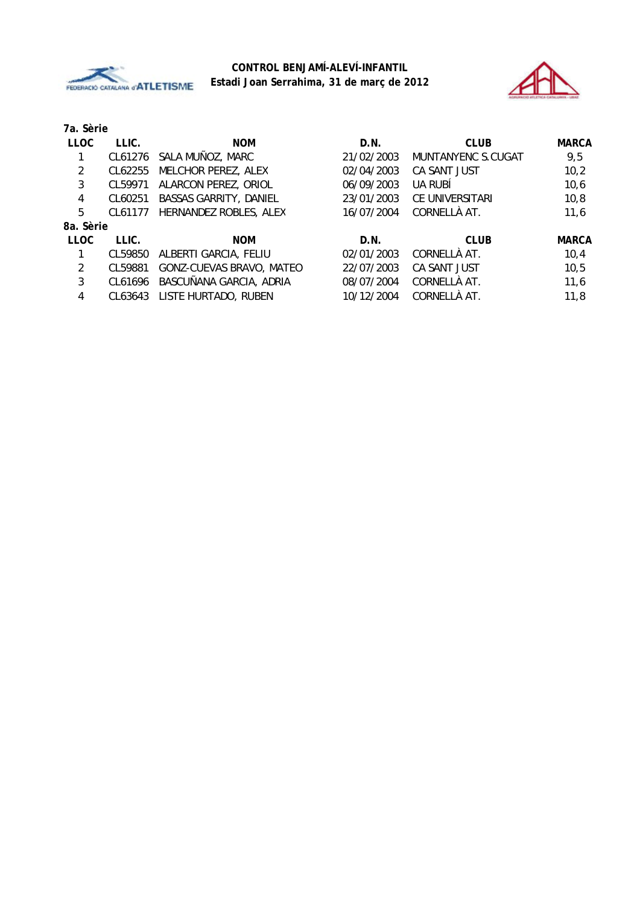



| 7a. Sèrie   |         |                                 |            |                    |              |
|-------------|---------|---------------------------------|------------|--------------------|--------------|
| <b>LLOC</b> | LLIC.   | <b>NOM</b>                      | D.N.       | <b>CLUB</b>        | <b>MARCA</b> |
|             |         | CL61276 SALA MUÑOZ, MARC        | 21/02/2003 | MUNTANYENC S.CUGAT | 9,5          |
| 2           | CL62255 | MELCHOR PEREZ, ALEX             | 02/04/2003 | CA SANT JUST       | 10,2         |
| 3           | CL59971 | ALARCON PEREZ, ORIOL            | 06/09/2003 | <b>UA RUBÍ</b>     | 10,6         |
| 4           | CL60251 | <b>BASSAS GARRITY, DANIEL</b>   | 23/01/2003 | CE UNIVERSITARI    | 10,8         |
| 5           | CL61177 | HERNANDEZ ROBLES, ALEX          | 16/07/2004 | CORNELLÀ AT.       | 11,6         |
| 8a. Sèrie   |         |                                 |            |                    |              |
| <b>LLOC</b> | LLIC.   | <b>NOM</b>                      | D.N.       | <b>CLUB</b>        | <b>MARCA</b> |
|             | CL59850 | ALBERTI GARCIA, FELIU           | 02/01/2003 | CORNELLÀ AT.       | 10,4         |
| 2           | CL59881 | <b>GONZ-CUEVAS BRAVO, MATEO</b> | 22/07/2003 | CA SANT JUST       | 10,5         |
| 3           | CL61696 | BASCUÑANA GARCIA, ADRIA         | 08/07/2004 | CORNELLÀ AT.       | 11,6         |
| 4           | CL63643 | LISTE HURTADO, RUBEN            | 10/12/2004 | CORNELLÀ AT.       | 11,8         |
|             |         |                                 |            |                    |              |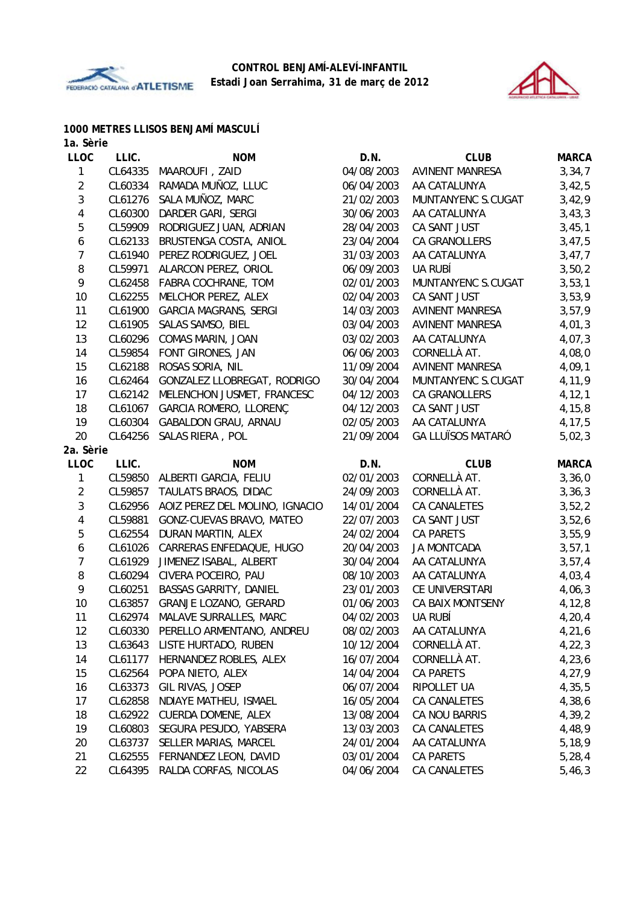



### **1000 METRES LLISOS BENJAMÍ MASCULÍ**

| 1a. Sèrie        |         |                                        |            |                          |              |
|------------------|---------|----------------------------------------|------------|--------------------------|--------------|
| <b>LLOC</b>      | LLIC.   | <b>NOM</b>                             | D.N.       | <b>CLUB</b>              | <b>MARCA</b> |
| $\mathbf{1}$     | CL64335 | MAAROUFI, ZAID                         | 04/08/2003 | <b>AVINENT MANRESA</b>   | 3,34,7       |
| $\overline{2}$   | CL60334 | RAMADA MUÑOZ, LLUC                     | 06/04/2003 | AA CATALUNYA             | 3,42,5       |
| $\mathfrak{Z}$   | CL61276 | SALA MUÑOZ, MARC                       | 21/02/2003 | MUNTANYENC S.CUGAT       | 3,42,9       |
| 4                | CL60300 | DARDER GARI, SERGI                     | 30/06/2003 | AA CATALUNYA             | 3,43,3       |
| 5                | CL59909 | RODRIGUEZ JUAN, ADRIAN                 | 28/04/2003 | CA SANT JUST             | 3,45,1       |
| 6                | CL62133 | BRUSTENGA COSTA, ANIOL                 | 23/04/2004 | CA GRANOLLERS            | 3,47,5       |
| $\overline{7}$   | CL61940 | PEREZ RODRIGUEZ, JOEL                  | 31/03/2003 | AA CATALUNYA             | 3,47,7       |
| 8                | CL59971 | ALARCON PEREZ, ORIOL                   | 06/09/2003 | UA RUBÍ                  | 3,50,2       |
| 9                | CL62458 | FABRA COCHRANE, TOM                    | 02/01/2003 | MUNTANYENC S.CUGAT       | 3,53,1       |
| 10               | CL62255 | MELCHOR PEREZ, ALEX                    | 02/04/2003 | CA SANT JUST             | 3,53,9       |
| 11               | CL61900 | <b>GARCIA MAGRANS, SERGI</b>           | 14/03/2003 | <b>AVINENT MANRESA</b>   | 3, 57, 9     |
| 12               | CL61905 | SALAS SAMSO, BIEL                      | 03/04/2003 | <b>AVINENT MANRESA</b>   | 4,01,3       |
| 13               | CL60296 | COMAS MARIN, JOAN                      | 03/02/2003 | AA CATALUNYA             | 4,07,3       |
| 14               | CL59854 | FONT GIRONES, JAN                      | 06/06/2003 | CORNELLÀ AT.             | 4,08,0       |
| 15               | CL62188 | ROSAS SORIA, NIL                       | 11/09/2004 | <b>AVINENT MANRESA</b>   | 4,09,1       |
| 16               | CL62464 | GONZALEZ LLOBREGAT, RODRIGO            | 30/04/2004 | MUNTANYENC S.CUGAT       | 4,11,9       |
| 17               | CL62142 | MELENCHON JUSMET, FRANCESC             | 04/12/2003 | <b>CA GRANOLLERS</b>     | 4, 12, 1     |
| 18               | CL61067 | GARCIA ROMERO, LLORENÇ                 | 04/12/2003 | CA SANT JUST             | 4,15,8       |
| 19               | CL60304 | <b>GABALDON GRAU, ARNAU</b>            | 02/05/2003 | AA CATALUNYA             | 4, 17, 5     |
| 20               | CL64256 | SALAS RIERA, POL                       | 21/09/2004 | <b>GA LLUÏSOS MATARÓ</b> | 5,02,3       |
| 2a. Sèrie        |         |                                        |            |                          |              |
| <b>LLOC</b>      | LLIC.   | <b>NOM</b>                             | D.N.       | <b>CLUB</b>              | <b>MARCA</b> |
| $\mathbf{1}$     |         | CL59850 ALBERTI GARCIA, FELIU          | 02/01/2003 | CORNELLÀ AT.             | 3,36,0       |
| $\overline{2}$   | CL59857 | TAULATS BRAOS, DIDAC                   | 24/09/2003 | CORNELLÀ AT.             | 3, 36, 3     |
| $\sqrt{3}$       |         | CL62956 AOIZ PEREZ DEL MOLINO, IGNACIO | 14/01/2004 | CA CANALETES             | 3,52,2       |
| $\pmb{4}$        | CL59881 | GONZ-CUEVAS BRAVO, MATEO               | 22/07/2003 | CA SANT JUST             | 3,52,6       |
| $\sqrt{5}$       | CL62554 | DURAN MARTIN, ALEX                     | 24/02/2004 | <b>CA PARETS</b>         | 3,55,9       |
| $\boldsymbol{6}$ | CL61026 | CARRERAS ENFEDAQUE, HUGO               | 20/04/2003 | JA MONTCADA              | 3, 57, 1     |
| $\overline{7}$   | CL61929 | JIMENEZ ISABAL, ALBERT                 | 30/04/2004 | AA CATALUNYA             | 3, 57, 4     |
| 8                | CL60294 | CIVERA POCEIRO, PAU                    | 08/10/2003 | AA CATALUNYA             | 4,03,4       |
| 9                | CL60251 | BASSAS GARRITY, DANIEL                 | 23/01/2003 | CE UNIVERSITARI          | 4,06,3       |
| 10               | CL63857 | GRANJE LOZANO, GERARD                  | 01/06/2003 | CA BAIX MONTSENY         | 4,12,8       |
| 11               | CL62974 | MALAVE SURRALLES, MARC                 | 04/02/2003 | UA RUBÍ                  | 4, 20, 4     |
| 12               | CL60330 | PERELLO ARMENTANO, ANDREU              | 08/02/2003 | AA CATALUNYA             | 4,21,6       |
| 13               | CL63643 | LISTE HURTADO, RUBEN                   | 10/12/2004 | CORNELLÀ AT.             | 4, 22, 3     |
| 14               | CL61177 | HERNANDEZ ROBLES, ALEX                 | 16/07/2004 | CORNELLÀ AT.             | 4, 23, 6     |
| 15               | CL62564 | POPA NIETO, ALEX                       | 14/04/2004 | CA PARETS                | 4,27,9       |
| 16               | CL63373 | GIL RIVAS, JOSEP                       | 06/07/2004 | RIPOLLET UA              | 4,35,5       |
| 17               | CL62858 | NDIAYE MATHEU, ISMAEL                  | 16/05/2004 | CA CANALETES             | 4,38,6       |
| 18               | CL62922 | <b>CUERDA DOMENE, ALEX</b>             | 13/08/2004 | CA NOU BARRIS            | 4,39,2       |
| 19               | CL60803 | SEGURA PESUDO, YABSERA                 | 13/03/2003 | CA CANALETES             | 4,48,9       |
| 20               | CL63737 | SELLER MARIAS, MARCEL                  | 24/01/2004 | AA CATALUNYA             | 5,18,9       |
| 21               | CL62555 | FERNANDEZ LEON, DAVID                  | 03/01/2004 | CA PARETS                | 5, 28, 4     |
| 22               | CL64395 | RALDA CORFAS, NICOLAS                  | 04/06/2004 | CA CANALETES             | 5,46,3       |
|                  |         |                                        |            |                          |              |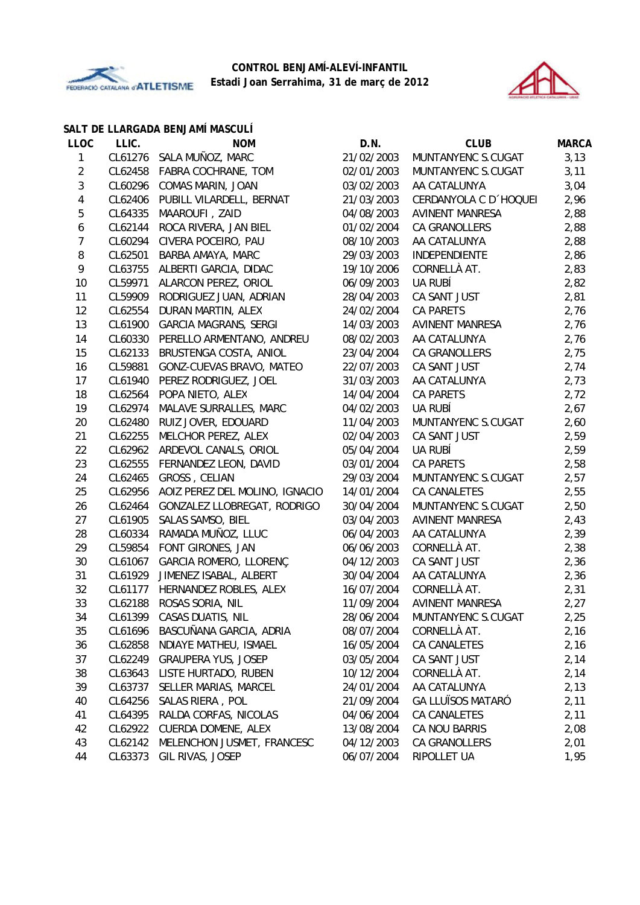



|                |         | SALT DE LLARGADA BENJAMÍ MASCULÍ |            |                          |              |
|----------------|---------|----------------------------------|------------|--------------------------|--------------|
| <b>LLOC</b>    | LLIC.   | <b>NOM</b>                       | D.N.       | <b>CLUB</b>              | <b>MARCA</b> |
| 1              |         | CL61276 SALA MUÑOZ, MARC         | 21/02/2003 | MUNTANYENC S.CUGAT       | 3, 13        |
| $\overline{2}$ | CL62458 | FABRA COCHRANE, TOM              | 02/01/2003 | MUNTANYENC S.CUGAT       | 3,11         |
| 3              | CL60296 | COMAS MARIN, JOAN                | 03/02/2003 | AA CATALUNYA             | 3,04         |
| 4              | CL62406 | PUBILL VILARDELL, BERNAT         | 21/03/2003 | CERDANYOLA C D 'HOQUEI   | 2,96         |
| 5              | CL64335 | MAAROUFI, ZAID                   | 04/08/2003 | <b>AVINENT MANRESA</b>   | 2,88         |
| 6              | CL62144 | ROCA RIVERA, JAN BIEL            | 01/02/2004 | CA GRANOLLERS            | 2,88         |
| $\overline{7}$ | CL60294 | CIVERA POCEIRO, PAU              | 08/10/2003 | AA CATALUNYA             | 2,88         |
| 8              | CL62501 | BARBA AMAYA, MARC                | 29/03/2003 | <b>INDEPENDIENTE</b>     | 2,86         |
| 9              | CL63755 | ALBERTI GARCIA, DIDAC            | 19/10/2006 | CORNELLÀ AT.             | 2,83         |
| 10             | CL59971 | ALARCON PEREZ, ORIOL             | 06/09/2003 | UA RUBÍ                  | 2,82         |
| 11             | CL59909 | RODRIGUEZ JUAN, ADRIAN           | 28/04/2003 | CA SANT JUST             | 2,81         |
| 12             | CL62554 | DURAN MARTIN, ALEX               | 24/02/2004 | <b>CA PARETS</b>         | 2,76         |
| 13             | CL61900 | <b>GARCIA MAGRANS, SERGI</b>     | 14/03/2003 | <b>AVINENT MANRESA</b>   | 2,76         |
| 14             | CL60330 | PERELLO ARMENTANO, ANDREU        | 08/02/2003 | AA CATALUNYA             | 2,76         |
| 15             | CL62133 | BRUSTENGA COSTA, ANIOL           | 23/04/2004 | CA GRANOLLERS            | 2,75         |
| 16             | CL59881 | GONZ-CUEVAS BRAVO, MATEO         | 22/07/2003 | CA SANT JUST             | 2,74         |
| 17             | CL61940 | PEREZ RODRIGUEZ, JOEL            | 31/03/2003 | AA CATALUNYA             | 2,73         |
| 18             | CL62564 | POPA NIETO, ALEX                 | 14/04/2004 | <b>CA PARETS</b>         | 2,72         |
| 19             | CL62974 | MALAVE SURRALLES, MARC           | 04/02/2003 | UA RUBÍ                  | 2,67         |
| 20             | CL62480 | RUIZ JOVER, EDOUARD              | 11/04/2003 | MUNTANYENC S.CUGAT       | 2,60         |
| 21             | CL62255 | MELCHOR PEREZ, ALEX              | 02/04/2003 | CA SANT JUST             | 2,59         |
| 22             | CL62962 | ARDEVOL CANALS, ORIOL            | 05/04/2004 | UA RUBÍ                  | 2,59         |
| 23             | CL62555 | FERNANDEZ LEON, DAVID            | 03/01/2004 | <b>CA PARETS</b>         | 2,58         |
| 24             | CL62465 | GROSS, CELIAN                    | 29/03/2004 | MUNTANYENC S.CUGAT       | 2,57         |
| 25             | CL62956 | AOIZ PEREZ DEL MOLINO, IGNACIO   | 14/01/2004 | CA CANALETES             | 2,55         |
| 26             | CL62464 | GONZALEZ LLOBREGAT, RODRIGO      | 30/04/2004 | MUNTANYENC S.CUGAT       | 2,50         |
| 27             | CL61905 | SALAS SAMSO, BIEL                | 03/04/2003 | <b>AVINENT MANRESA</b>   | 2,43         |
| 28             | CL60334 | RAMADA MUÑOZ, LLUC               | 06/04/2003 | AA CATALUNYA             | 2,39         |
| 29             | CL59854 | FONT GIRONES, JAN                | 06/06/2003 | CORNELLÀ AT.             | 2,38         |
| 30             | CL61067 | GARCIA ROMERO, LLORENÇ           | 04/12/2003 | CA SANT JUST             | 2,36         |
| 31             | CL61929 | JIMENEZ ISABAL, ALBERT           | 30/04/2004 | AA CATALUNYA             | 2,36         |
| 32             | CL61177 | HERNANDEZ ROBLES, ALEX           | 16/07/2004 | CORNELLÀ AT.             | 2,31         |
| 33             | CL62188 | ROSAS SORIA, NIL                 | 11/09/2004 | <b>AVINENT MANRESA</b>   | 2,27         |
| 34             | CL61399 | CASAS DUATIS, NIL                | 28/06/2004 | MUNTANYENC S.CUGAT       | 2,25         |
| 35             | CL61696 | BASCUÑANA GARCIA, ADRIA          | 08/07/2004 | CORNELLÀ AT.             | 2,16         |
| 36             | CL62858 | NDIAYE MATHEU, ISMAEL            | 16/05/2004 | CA CANALETES             | 2,16         |
| 37             | CL62249 | <b>GRAUPERA YUS, JOSEP</b>       | 03/05/2004 | CA SANT JUST             | 2,14         |
| 38             | CL63643 | LISTE HURTADO, RUBEN             | 10/12/2004 | CORNELLÀ AT.             | 2,14         |
| 39             | CL63737 | SELLER MARIAS, MARCEL            | 24/01/2004 | AA CATALUNYA             | 2,13         |
| 40             | CL64256 | SALAS RIERA, POL                 | 21/09/2004 | <b>GA LLUÏSOS MATARÓ</b> | 2,11         |
| 41             | CL64395 | RALDA CORFAS, NICOLAS            | 04/06/2004 | CA CANALETES             | 2,11         |
| 42             | CL62922 | CUERDA DOMENE, ALEX              | 13/08/2004 | CA NOU BARRIS            | 2,08         |
| 43             | CL62142 | MELENCHON JUSMET, FRANCESC       | 04/12/2003 | CA GRANOLLERS            | 2,01         |
| 44             | CL63373 | GIL RIVAS, JOSEP                 | 06/07/2004 | RIPOLLET UA              | 1,95         |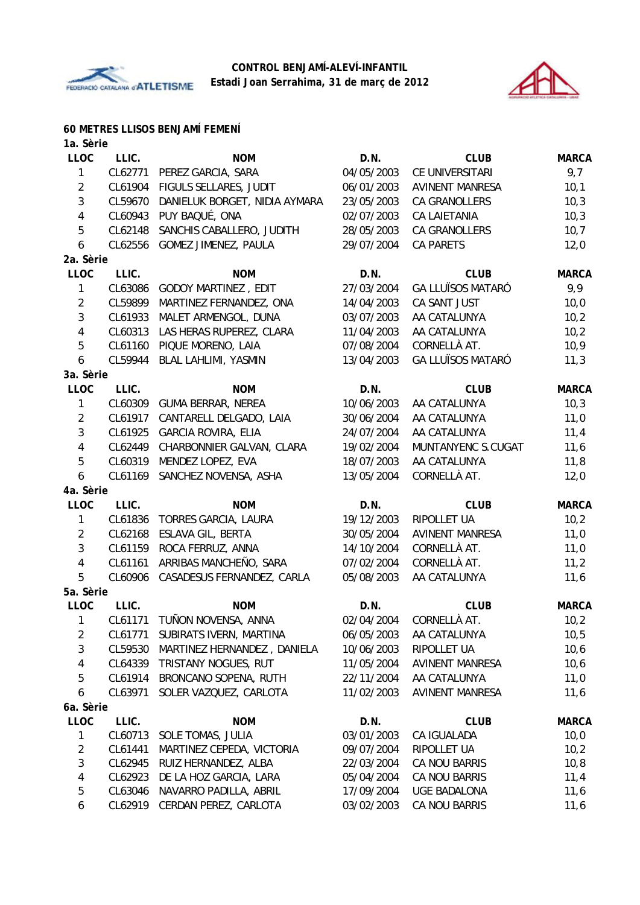



### **60 METRES LLISOS BENJAMÍ FEMENÍ**

| 1a. Sèrie      |         |                                 |            |                          |              |
|----------------|---------|---------------------------------|------------|--------------------------|--------------|
| <b>LLOC</b>    | LLIC.   | <b>NOM</b>                      | D.N.       | <b>CLUB</b>              | <b>MARCA</b> |
| 1              | CL62771 | PEREZ GARCIA, SARA              | 04/05/2003 | CE UNIVERSITARI          | 9,7          |
| $\overline{2}$ | CL61904 | FIGULS SELLARES, JUDIT          | 06/01/2003 | <b>AVINENT MANRESA</b>   | 10,1         |
| 3              | CL59670 | DANIELUK BORGET, NIDIA AYMARA   | 23/05/2003 | <b>CA GRANOLLERS</b>     | 10,3         |
| 4              | CL60943 | PUY BAQUÉ, ONA                  | 02/07/2003 | <b>CA LAIETANIA</b>      | 10,3         |
| 5              | CL62148 | SANCHIS CABALLERO, JUDITH       | 28/05/2003 | CA GRANOLLERS            | 10,7         |
| 6              | CL62556 | GOMEZ JIMENEZ, PAULA            | 29/07/2004 | <b>CA PARETS</b>         | 12,0         |
| 2a. Sèrie      |         |                                 |            |                          |              |
| <b>LLOC</b>    | LLIC.   | <b>NOM</b>                      | D.N.       | <b>CLUB</b>              | <b>MARCA</b> |
| 1              | CL63086 | <b>GODOY MARTINEZ, EDIT</b>     | 27/03/2004 | <b>GA LLUÏSOS MATARÓ</b> | 9,9          |
| $\overline{2}$ | CL59899 | MARTINEZ FERNANDEZ, ONA         | 14/04/2003 | CA SANT JUST             | 10,0         |
| 3              | CL61933 | MALET ARMENGOL, DUNA            | 03/07/2003 | AA CATALUNYA             | 10,2         |
| 4              | CL60313 | LAS HERAS RUPEREZ, CLARA        | 11/04/2003 | AA CATALUNYA             | 10,2         |
| 5              | CL61160 | PIQUE MORENO, LAIA              | 07/08/2004 | CORNELLÀ AT.             | 10,9         |
| 6              | CL59944 | BLAL LAHLIMI, YASMIN            | 13/04/2003 | <b>GA LLUÏSOS MATARÓ</b> | 11,3         |
| 3a. Sèrie      |         |                                 |            |                          |              |
| LLOC           | LLIC.   | <b>NOM</b>                      | D.N.       | <b>CLUB</b>              | <b>MARCA</b> |
| 1              | CL60309 | <b>GUMA BERRAR, NEREA</b>       | 10/06/2003 | AA CATALUNYA             | 10,3         |
| $\overline{2}$ | CL61917 | CANTARELL DELGADO, LAIA         | 30/06/2004 | AA CATALUNYA             | 11,0         |
| 3              | CL61925 | <b>GARCIA ROVIRA, ELIA</b>      | 24/07/2004 | AA CATALUNYA             | 11,4         |
| 4              | CL62449 | CHARBONNIER GALVAN, CLARA       | 19/02/2004 | MUNTANYENC S.CUGAT       | 11,6         |
| 5              | CL60319 | MENDEZ LOPEZ, EVA               | 18/07/2003 | AA CATALUNYA             | 11,8         |
| 6              | CL61169 | SANCHEZ NOVENSA, ASHA           | 13/05/2004 | CORNELLÀ AT.             | 12,0         |
| 4a. Sèrie      |         |                                 |            |                          |              |
| <b>LLOC</b>    | LLIC.   | <b>NOM</b>                      | D.N.       | <b>CLUB</b>              | <b>MARCA</b> |
| 1              | CL61836 | TORRES GARCIA, LAURA            | 19/12/2003 | RIPOLLET UA              | 10,2         |
| $\overline{2}$ | CL62168 | ESLAVA GIL, BERTA               | 30/05/2004 | <b>AVINENT MANRESA</b>   | 11,0         |
| 3              | CL61159 | ROCA FERRUZ, ANNA               | 14/10/2004 | CORNELLÀ AT.             | 11,0         |
| 4              | CL61161 | ARRIBAS MANCHEÑO, SARA          | 07/02/2004 | CORNELLÀ AT.             | 11,2         |
| 5              | CL60906 | CASADESUS FERNANDEZ, CARLA      | 05/08/2003 | AA CATALUNYA             | 11,6         |
| 5a. Sèrie      |         |                                 |            |                          |              |
| <b>LLOC</b>    | LLIC.   | <b>NOM</b>                      | D.N.       | <b>CLUB</b>              | <b>MARCA</b> |
|                |         | 1 CL61171 TUÑON NOVENSA, ANNA   | 02/04/2004 | CORNELLÀ AT.             | 10,2         |
| 2              |         | CL61771 SUBIRATS IVERN, MARTINA | 06/05/2003 | AA CATALUNYA             | 10, 5        |
| $\mathfrak{Z}$ | CL59530 | MARTINEZ HERNANDEZ, DANIELA     | 10/06/2003 | RIPOLLET UA              | 10,6         |
| 4              | CL64339 | TRISTANY NOGUES, RUT            | 11/05/2004 | <b>AVINENT MANRESA</b>   | 10, 6        |
| 5              | CL61914 | BRONCANO SOPENA, RUTH           | 22/11/2004 | AA CATALUNYA             | 11,0         |
| 6              | CL63971 | SOLER VAZQUEZ, CARLOTA          | 11/02/2003 | <b>AVINENT MANRESA</b>   | 11,6         |
| 6a. Sèrie      |         |                                 |            |                          |              |
| <b>LLOC</b>    | LLIC.   | <b>NOM</b>                      | D.N.       | <b>CLUB</b>              | <b>MARCA</b> |
| 1              | CL60713 | SOLE TOMAS, JULIA               | 03/01/2003 | CA IGUALADA              | 10,0         |
| $\overline{c}$ | CL61441 | MARTINEZ CEPEDA, VICTORIA       | 09/07/2004 | RIPOLLET UA              | 10,2         |
| 3              | CL62945 | RUIZ HERNANDEZ, ALBA            | 22/03/2004 | CA NOU BARRIS            | 10, 8        |
| 4              | CL62923 | DE LA HOZ GARCIA, LARA          | 05/04/2004 | CA NOU BARRIS            | 11,4         |
| 5              | CL63046 | NAVARRO PADILLA, ABRIL          | 17/09/2004 | <b>UGE BADALONA</b>      | 11,6         |
| 6              | CL62919 | CERDAN PEREZ, CARLOTA           | 03/02/2003 | CA NOU BARRIS            | 11,6         |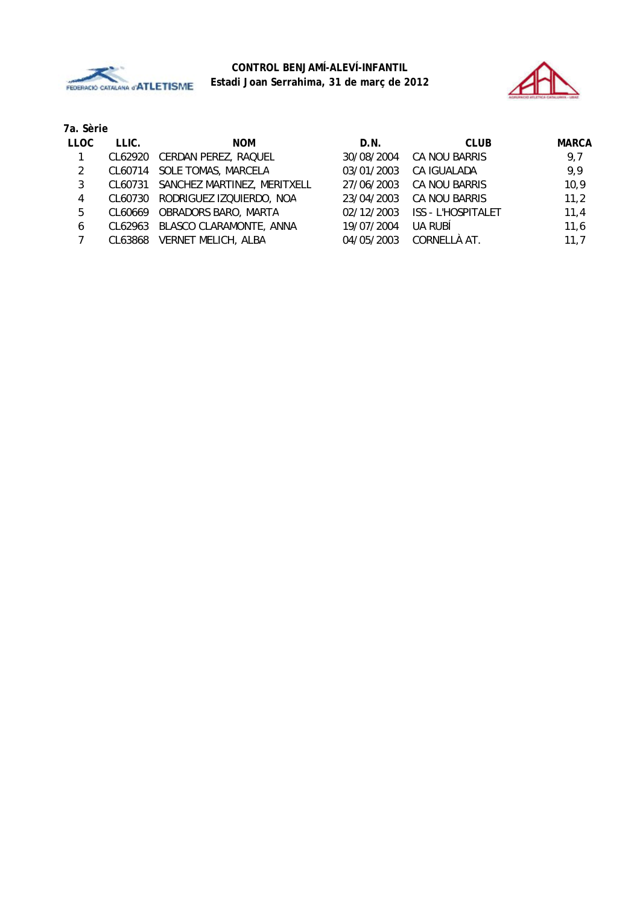



### **7a. Sèrie**

| LLOC | LLIC.   | <b>NOM</b>                       | D.N.       | <b>CLUB</b>        | <b>MARCA</b> |
|------|---------|----------------------------------|------------|--------------------|--------------|
|      |         | CL62920 CERDAN PEREZ, RAQUEL     | 30/08/2004 | CA NOU BARRIS      | 9,7          |
| 2    |         | CL60714 SOLE TOMAS, MARCELA      | 03/01/2003 | CA IGUALADA        | 9,9          |
| 3    | CL60731 | SANCHEZ MARTINEZ, MERITXELL      | 27/06/2003 | CA NOU BARRIS      | 10,9         |
| 4    |         | CL60730 RODRIGUEZ IZQUIERDO, NOA | 23/04/2003 | CA NOU BARRIS      | 11,2         |
| 5    |         | CL60669 OBRADORS BARO, MARTA     | 02/12/2003 | ISS - L'HOSPITALET | 11.4         |
| 6    |         | CL62963 BLASCO CLARAMONTE, ANNA  | 19/07/2004 | UA RUBÍ            | 11,6         |
|      |         | CL63868 VERNET MELICH, ALBA      | 04/05/2003 | CORNELLÀ AT.       | 11.7         |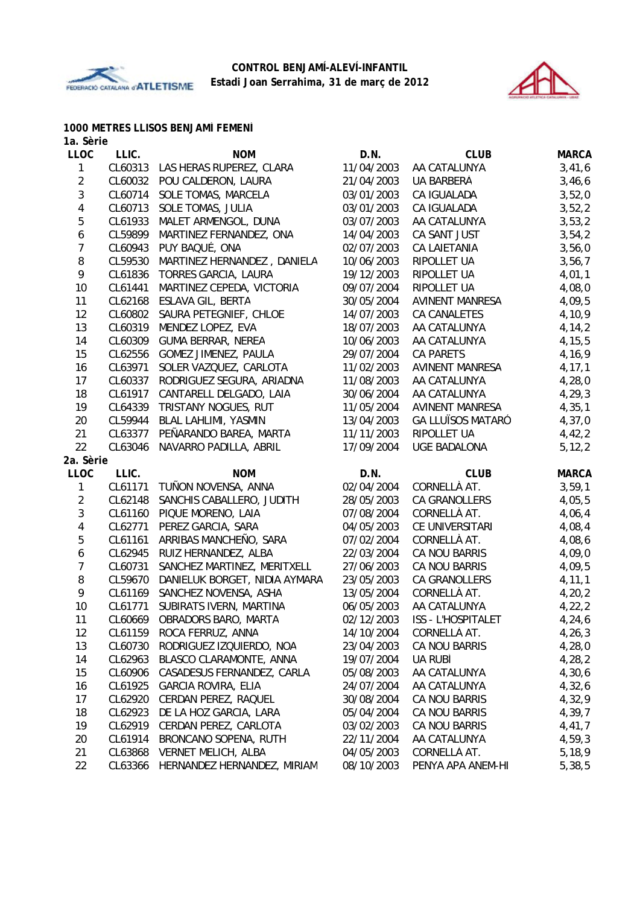



#### **1000 METRES LLISOS BENJAMÍ FEMENÍ**

| 1a. Sèrie      |         |                               |            |                          |              |
|----------------|---------|-------------------------------|------------|--------------------------|--------------|
| <b>LLOC</b>    | LLIC.   | <b>NOM</b>                    | D.N.       | <b>CLUB</b>              | <b>MARCA</b> |
| $\mathbf{1}$   | CL60313 | LAS HERAS RUPEREZ, CLARA      | 11/04/2003 | AA CATALUNYA             | 3,41,6       |
| $\overline{2}$ | CL60032 | POU CALDERON, LAURA           | 21/04/2003 | UA BARBERÀ               | 3,46,6       |
| 3              | CL60714 | SOLE TOMAS, MARCELA           | 03/01/2003 | CA IGUALADA              | 3,52,0       |
| 4              | CL60713 | SOLE TOMAS, JULIA             | 03/01/2003 | CA IGUALADA              | 3,52,2       |
| 5              | CL61933 | MALET ARMENGOL, DUNA          | 03/07/2003 | AA CATALUNYA             | 3, 53, 2     |
| 6              | CL59899 | MARTINEZ FERNANDEZ, ONA       | 14/04/2003 | CA SANT JUST             | 3,54,2       |
| $\overline{7}$ | CL60943 | PUY BAQUÉ, ONA                | 02/07/2003 | <b>CA LAIETANIA</b>      | 3,56,0       |
| 8              | CL59530 | MARTINEZ HERNANDEZ, DANIELA   | 10/06/2003 | RIPOLLET UA              | 3,56,7       |
| 9              | CL61836 | TORRES GARCIA, LAURA          | 19/12/2003 | RIPOLLET UA              | 4,01,1       |
| 10             | CL61441 | MARTINEZ CEPEDA, VICTORIA     | 09/07/2004 | RIPOLLET UA              | 4,08,0       |
| 11             | CL62168 | ESLAVA GIL, BERTA             | 30/05/2004 | <b>AVINENT MANRESA</b>   | 4,09,5       |
| 12             | CL60802 | SAURA PETEGNIEF, CHLOE        | 14/07/2003 | CA CANALETES             | 4,10,9       |
| 13             | CL60319 | MENDEZ LOPEZ, EVA             | 18/07/2003 | AA CATALUNYA             | 4, 14, 2     |
| 14             | CL60309 | <b>GUMA BERRAR, NEREA</b>     | 10/06/2003 | AA CATALUNYA             | 4, 15, 5     |
| 15             | CL62556 | <b>GOMEZ JIMENEZ, PAULA</b>   | 29/07/2004 | CA PARETS                | 4,16,9       |
| 16             | CL63971 | SOLER VAZQUEZ, CARLOTA        | 11/02/2003 | <b>AVINENT MANRESA</b>   | 4, 17, 1     |
| 17             | CL60337 | RODRIGUEZ SEGURA, ARIADNA     | 11/08/2003 | AA CATALUNYA             | 4,28,0       |
| 18             | CL61917 | CANTARELL DELGADO, LAIA       | 30/06/2004 | AA CATALUNYA             | 4, 29, 3     |
| 19             | CL64339 | TRISTANY NOGUES, RUT          | 11/05/2004 | <b>AVINENT MANRESA</b>   | 4, 35, 1     |
| 20             | CL59944 | BLAL LAHLIMI, YASMIN          | 13/04/2003 | <b>GA LLUÏSOS MATARÓ</b> | 4,37,0       |
| 21             | CL63377 | PEÑARANDO BAREA, MARTA        | 11/11/2003 | RIPOLLET UA              | 4,42,2       |
| 22             | CL63046 | NAVARRO PADILLA, ABRIL        | 17/09/2004 | <b>UGE BADALONA</b>      | 5, 12, 2     |
| 2a. Sèrie      |         |                               |            |                          |              |
| <b>LLOC</b>    | LLIC.   | <b>NOM</b>                    | D.N.       | <b>CLUB</b>              | <b>MARCA</b> |
| 1              | CL61171 | TUÑON NOVENSA, ANNA           | 02/04/2004 | CORNELLÀ AT.             | 3,59,1       |
| $\overline{a}$ | CL62148 | SANCHIS CABALLERO, JUDITH     | 28/05/2003 | CA GRANOLLERS            | 4,05,5       |
| 3              | CL61160 | PIQUE MORENO, LAIA            | 07/08/2004 | CORNELLÀ AT.             | 4,06,4       |
| 4              | CL62771 | PEREZ GARCIA, SARA            | 04/05/2003 | CE UNIVERSITARI          | 4,08,4       |
| 5              | CL61161 | ARRIBAS MANCHEÑO, SARA        | 07/02/2004 | CORNELLÀ AT.             | 4,08,6       |
| 6              | CL62945 | RUIZ HERNANDEZ, ALBA          | 22/03/2004 | CA NOU BARRIS            | 4,09,0       |
| 7              | CL60731 | SANCHEZ MARTINEZ, MERITXELL   | 27/06/2003 | CA NOU BARRIS            | 4,09,5       |
| 8              | CL59670 | DANIELUK BORGET, NIDIA AYMARA | 23/05/2003 | CA GRANOLLERS            | 4, 11, 1     |
| 9              | CL61169 | SANCHEZ NOVENSA, ASHA         | 13/05/2004 | CORNELLÀ AT.             | 4, 20, 2     |
| 10             | CL61771 | SUBIRATS IVERN, MARTINA       | 06/05/2003 | AA CATALUNYA             | 4, 22, 2     |
| 11             |         | CL60669 OBRADORS BARO, MARTA  | 02/12/2003 | ISS - L'HOSPITALET       | 4,24,6       |
| 12             | CL61159 | ROCA FERRUZ, ANNA             | 14/10/2004 | CORNELLÀ AT.             | 4, 26, 3     |
| 13             | CL60730 | RODRIGUEZ IZQUIERDO, NOA      | 23/04/2003 | CA NOU BARRIS            | 4, 28, 0     |
| 14             | CL62963 | BLASCO CLARAMONTE, ANNA       | 19/07/2004 | UA RUBÍ                  | 4, 28, 2     |
| 15             | CL60906 | CASADESUS FERNANDEZ, CARLA    | 05/08/2003 | AA CATALUNYA             | 4,30,6       |
| 16             | CL61925 | <b>GARCIA ROVIRA, ELIA</b>    | 24/07/2004 | AA CATALUNYA             | 4,32,6       |
| 17             | CL62920 | CERDAN PEREZ, RAQUEL          | 30/08/2004 | CA NOU BARRIS            | 4,32,9       |
| 18             | CL62923 | DE LA HOZ GARCIA, LARA        | 05/04/2004 | CA NOU BARRIS            | 4,39,7       |
| 19             | CL62919 | CERDAN PEREZ, CARLOTA         | 03/02/2003 | CA NOU BARRIS            | 4,41,7       |
| 20             | CL61914 | BRONCANO SOPENA, RUTH         | 22/11/2004 | AA CATALUNYA             | 4,59,3       |
| 21             | CL63868 | VERNET MELICH, ALBA           | 04/05/2003 | CORNELLÀ AT.             | 5,18,9       |
| 22             | CL63366 | HERNANDEZ HERNANDEZ, MIRIAM   | 08/10/2003 | PENYA APA ANEM-HI        | 5, 38, 5     |
|                |         |                               |            |                          |              |